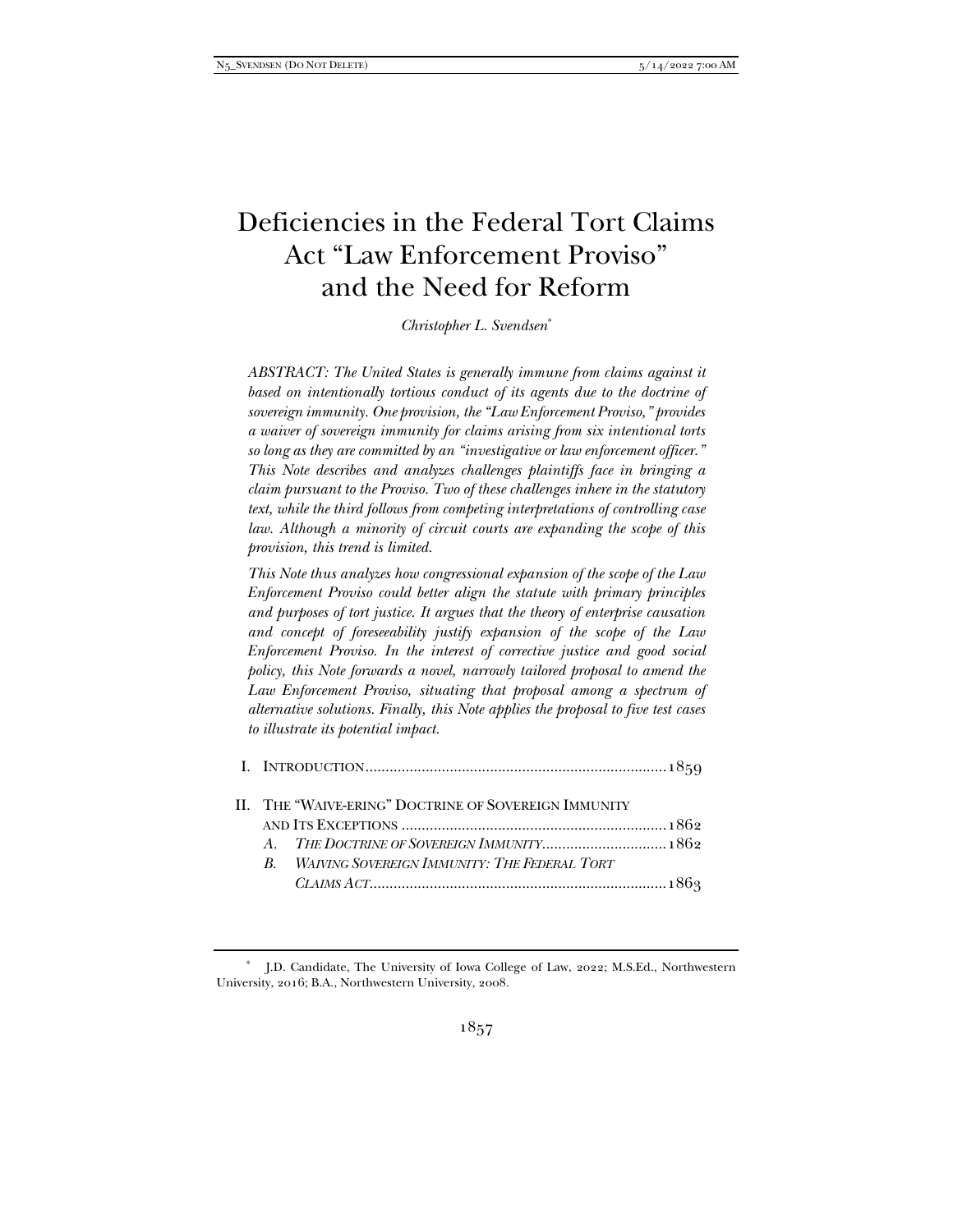# Deficiencies in the Federal Tort Claims Act "Law Enforcement Proviso" and the Need for Reform

*Christopher L. Svendsen*\*

*ABSTRACT: The United States is generally immune from claims against it*  based on intentionally tortious conduct of its agents due to the doctrine of *sovereign immunity. One provision, the "Law Enforcement Proviso," provides a waiver of sovereign immunity for claims arising from six intentional torts so long as they are committed by an "investigative or law enforcement officer." This Note describes and analyzes challenges plaintiffs face in bringing a claim pursuant to the Proviso. Two of these challenges inhere in the statutory text, while the third follows from competing interpretations of controlling case law. Although a minority of circuit courts are expanding the scope of this provision, this trend is limited.* 

*This Note thus analyzes how congressional expansion of the scope of the Law Enforcement Proviso could better align the statute with primary principles and purposes of tort justice. It argues that the theory of enterprise causation and concept of foreseeability justify expansion of the scope of the Law Enforcement Proviso. In the interest of corrective justice and good social policy, this Note forwards a novel, narrowly tailored proposal to amend the*  Law Enforcement Proviso, situating that proposal among a spectrum of *alternative solutions. Finally, this Note applies the proposal to five test cases to illustrate its potential impact.* 

| $\mathbb{R}$ | <b>WAIVING SOVEREIGN IMMUNITY: THE FEDERAL TORT</b> |                                                                                                    |
|--------------|-----------------------------------------------------|----------------------------------------------------------------------------------------------------|
|              |                                                     |                                                                                                    |
|              |                                                     | II. THE "WAIVE-ERING" DOCTRINE OF SOVEREIGN IMMUNITY<br>A. THE DOCTRINE OF SOVEREIGN IMMUNITY 1862 |

 <sup>\*</sup> J.D. Candidate, The University of Iowa College of Law, 2022; M.S.Ed., Northwestern University, 2016; B.A., Northwestern University, 2008.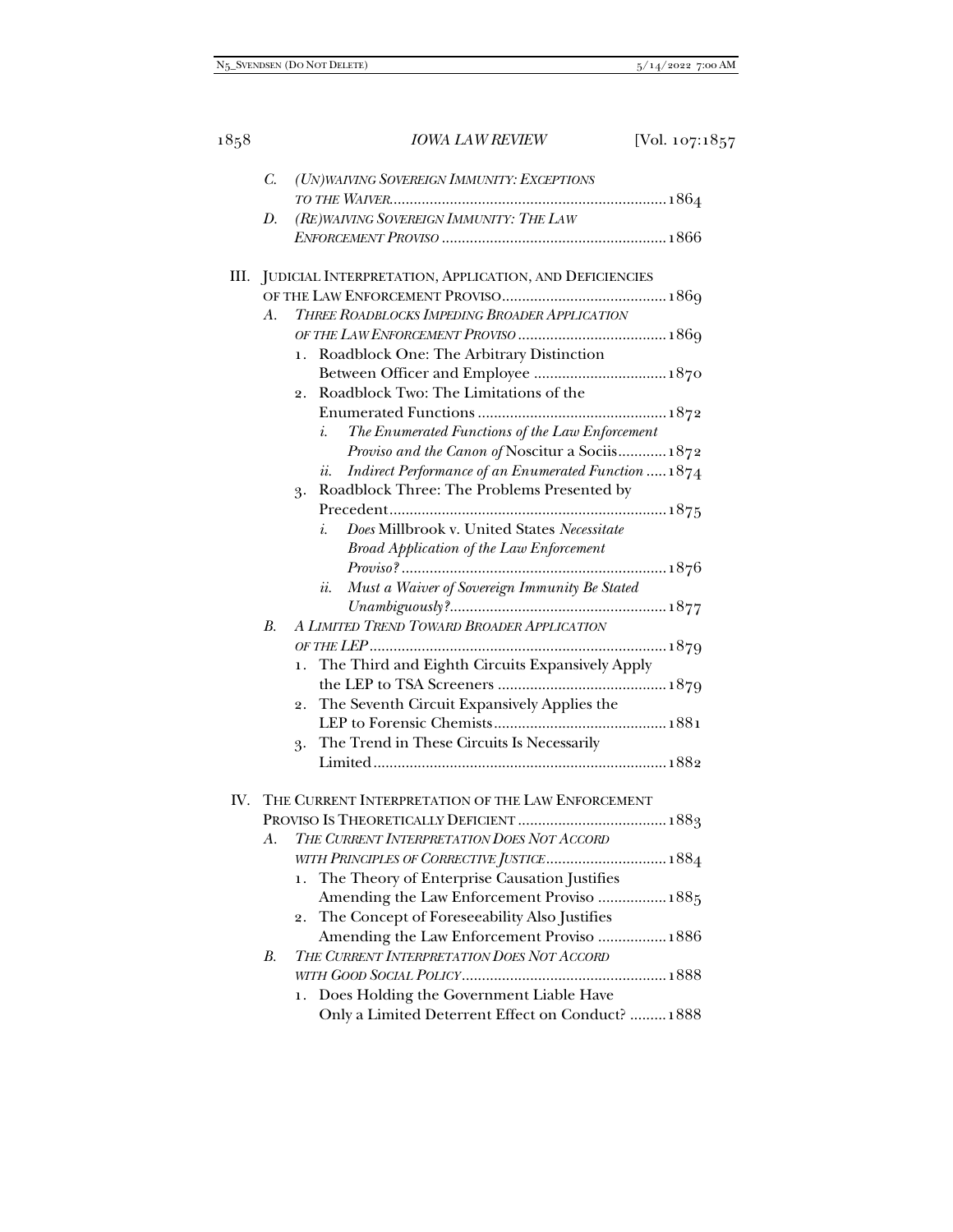|     | $C_{\cdot}$ | (UN) WAIVING SOVEREIGN IMMUNITY: EXCEPTIONS                        |
|-----|-------------|--------------------------------------------------------------------|
|     |             |                                                                    |
|     | D.          | (RE) WAIVING SOVEREIGN IMMUNITY: THE LAW                           |
|     |             |                                                                    |
|     |             |                                                                    |
|     |             | III. JUDICIAL INTERPRETATION, APPLICATION, AND DEFICIENCIES        |
|     |             |                                                                    |
|     | A.          | THREE ROADBLOCKS IMPEDING BROADER APPLICATION                      |
|     |             |                                                                    |
|     |             | Roadblock One: The Arbitrary Distinction<br>1.                     |
|     |             | Between Officer and Employee  1870                                 |
|     |             | Roadblock Two: The Limitations of the<br>2.                        |
|     |             |                                                                    |
|     |             | i.<br>The Enumerated Functions of the Law Enforcement              |
|     |             | Proviso and the Canon of Noscitur a Sociis 1872                    |
|     |             | Indirect Performance of an Enumerated Function  1874<br><i>ii.</i> |
|     |             | Roadblock Three: The Problems Presented by<br>3.                   |
|     |             |                                                                    |
|     |             | Does Millbrook v. United States Necessitate<br>i.                  |
|     |             | <b>Broad Application of the Law Enforcement</b>                    |
|     |             |                                                                    |
|     |             | Must a Waiver of Sovereign Immunity Be Stated<br><i>ii.</i>        |
|     |             |                                                                    |
|     | $B_{\cdot}$ | A LIMITED TREND TOWARD BROADER APPLICATION                         |
|     |             |                                                                    |
|     |             | The Third and Eighth Circuits Expansively Apply<br>1.              |
|     |             |                                                                    |
|     |             | The Seventh Circuit Expansively Applies the<br>2.                  |
|     |             |                                                                    |
|     |             | The Trend in These Circuits Is Necessarily<br>3.                   |
|     |             |                                                                    |
|     |             |                                                                    |
| IV. |             | THE CURRENT INTERPRETATION OF THE LAW ENFORCEMENT                  |
|     |             |                                                                    |
|     | А.          | THE CURRENT INTERPRETATION DOES NOT ACCORD                         |
|     |             | WITH PRINCIPLES OF CORRECTIVE JUSTICE 1884                         |
|     |             | The Theory of Enterprise Causation Justifies<br>1.                 |
|     |             | Amending the Law Enforcement Proviso  1885                         |
|     |             | The Concept of Foreseeability Also Justifies<br>2.                 |
|     |             | Amending the Law Enforcement Proviso  1886                         |
|     | $B_{\cdot}$ | THE CURRENT INTERPRETATION DOES NOT ACCORD                         |
|     |             |                                                                    |
|     |             | Does Holding the Government Liable Have<br>ı.                      |
|     |             | Only a Limited Deterrent Effect on Conduct?  1888                  |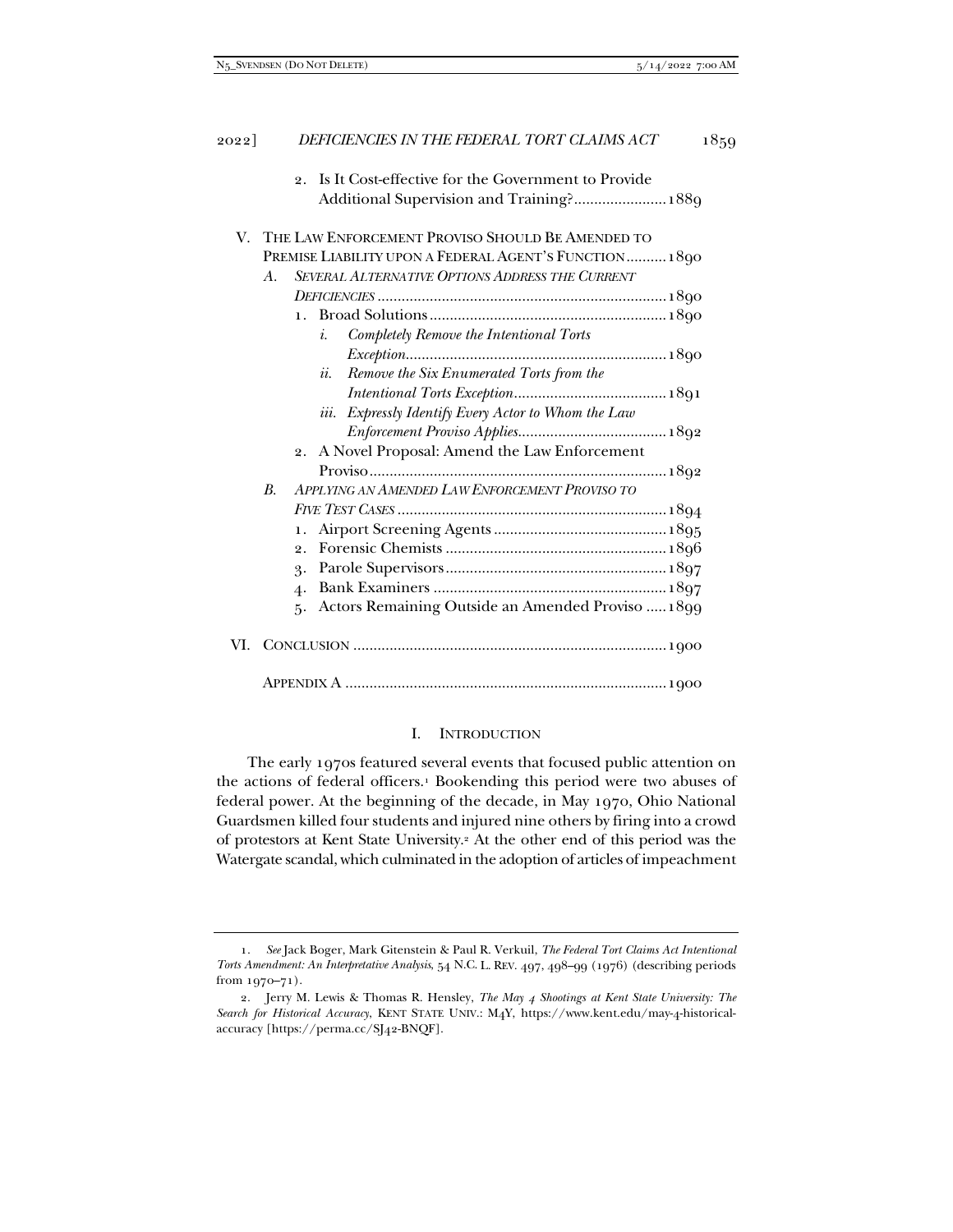|    | V. THE LAW ENFORCEMENT PROVISO SHOULD BE AMENDED TO           |
|----|---------------------------------------------------------------|
|    | PREMISE LIABILITY UPON A FEDERAL AGENT'S FUNCTION 1890        |
| A. | SEVERAL ALTERNATIVE OPTIONS ADDRESS THE CURRENT               |
|    |                                                               |
|    | $\mathbf{1}$ .                                                |
|    | Completely Remove the Intentional Torts<br>$i$ .              |
|    |                                                               |
|    | Remove the Six Enumerated Torts from the<br>ii.               |
|    |                                                               |
|    | Expressly Identify Every Actor to Whom the Law<br><i>iii.</i> |
|    |                                                               |
|    | 2. A Novel Proposal: Amend the Law Enforcement                |
|    |                                                               |
| B. | APPLYING AN AMENDED LAW ENFORCEMENT PROVISO TO                |
|    |                                                               |
|    | 1.                                                            |
|    | $\overline{2}$ .                                              |
|    | 3.                                                            |
|    | $\overline{4}$                                                |
|    | Actors Remaining Outside an Amended Proviso  1899<br>ҕ.       |

APPENDIX A ................................................................................ 1900

## I. INTRODUCTION

The early 1970s featured several events that focused public attention on the actions of federal officers.<sup>1</sup> Bookending this period were two abuses of federal power. At the beginning of the decade, in May 1970, Ohio National Guardsmen killed four students and injured nine others by firing into a crowd of protestors at Kent State University.2 At the other end of this period was the Watergate scandal, which culminated in the adoption of articles of impeachment

 <sup>1.</sup> *See* Jack Boger, Mark Gitenstein & Paul R. Verkuil, *The Federal Tort Claims Act Intentional Torts Amendment: An Interpretative Analysis*, 54 N.C. L. REV. 497, 498–99 (1976) (describing periods from 1970–71).

 <sup>2.</sup> Jerry M. Lewis & Thomas R. Hensley, *The May 4 Shootings at Kent State University: The Search for Historical Accuracy*, KENT STATE UNIV.: M4Y, https://www.kent.edu/may-4-historicalaccuracy [https://perma.cc/SJ42-BNQF].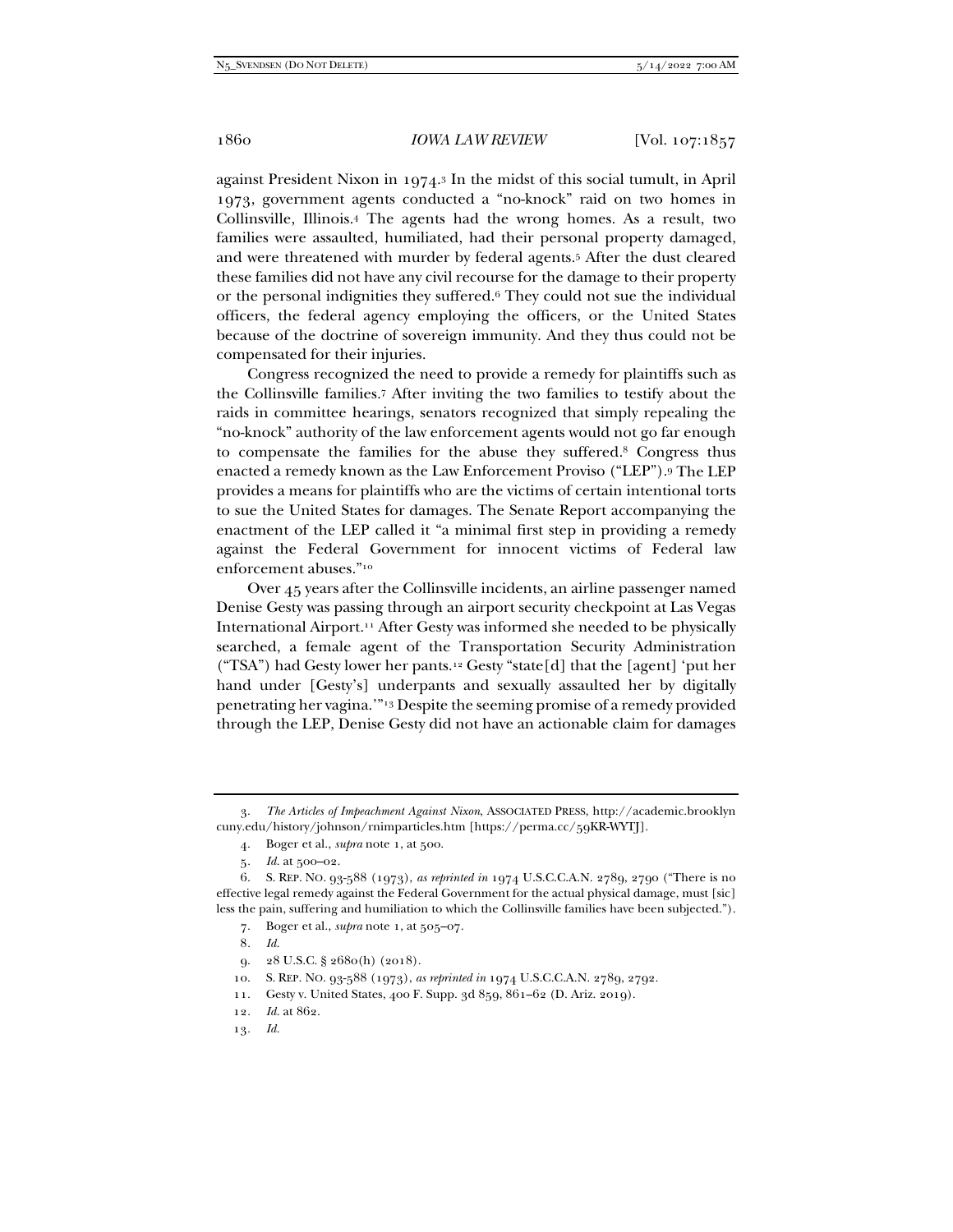against President Nixon in 1974.3 In the midst of this social tumult, in April 1973, government agents conducted a "no-knock" raid on two homes in Collinsville, Illinois.4 The agents had the wrong homes. As a result, two families were assaulted, humiliated, had their personal property damaged, and were threatened with murder by federal agents.5 After the dust cleared these families did not have any civil recourse for the damage to their property or the personal indignities they suffered.6 They could not sue the individual officers, the federal agency employing the officers, or the United States because of the doctrine of sovereign immunity. And they thus could not be compensated for their injuries.

Congress recognized the need to provide a remedy for plaintiffs such as the Collinsville families.7 After inviting the two families to testify about the raids in committee hearings, senators recognized that simply repealing the "no-knock" authority of the law enforcement agents would not go far enough to compensate the families for the abuse they suffered.8 Congress thus enacted a remedy known as the Law Enforcement Proviso ("LEP").9 The LEP provides a means for plaintiffs who are the victims of certain intentional torts to sue the United States for damages. The Senate Report accompanying the enactment of the LEP called it "a minimal first step in providing a remedy against the Federal Government for innocent victims of Federal law enforcement abuses."10

Over 45 years after the Collinsville incidents, an airline passenger named Denise Gesty was passing through an airport security checkpoint at Las Vegas International Airport.11 After Gesty was informed she needed to be physically searched, a female agent of the Transportation Security Administration ("TSA") had Gesty lower her pants.12 Gesty "state[d] that the [agent] 'put her hand under [Gesty's] underpants and sexually assaulted her by digitally penetrating her vagina.'"13 Despite the seeming promise of a remedy provided through the LEP, Denise Gesty did not have an actionable claim for damages

7. Boger et al., *supra* note 1, at 505–07.

8*. Id.*

- 9. 28 U.S.C. § 2680(h) (2018).
- 10. S. REP. NO. 93-588 (1973), *as reprinted in* 1974 U.S.C.C.A.N. 2789, 2792.
- 11. Gesty v. United States, 400 F. Supp. 3d 859, 861–62 (D. Ariz. 2019).

13*. Id.*

 <sup>3.</sup> *The Articles of Impeachment Against Nixon*, ASSOCIATED PRESS, http://academic.brooklyn cuny.edu/history/johnson/rnimparticles.htm [https://perma.cc/59KR-WYTJ].

 <sup>4.</sup> Boger et al., *supra* note 1, at 500.

<sup>5</sup>*. Id.* at 500–02.

 <sup>6.</sup> S. REP. NO. 93-588 (1973), *as reprinted in* 1974 U.S.C.C.A.N. 2789, 2790 ("There is no effective legal remedy against the Federal Government for the actual physical damage, must [sic] less the pain, suffering and humiliation to which the Collinsville families have been subjected.").

<sup>12</sup>*. Id.* at 862.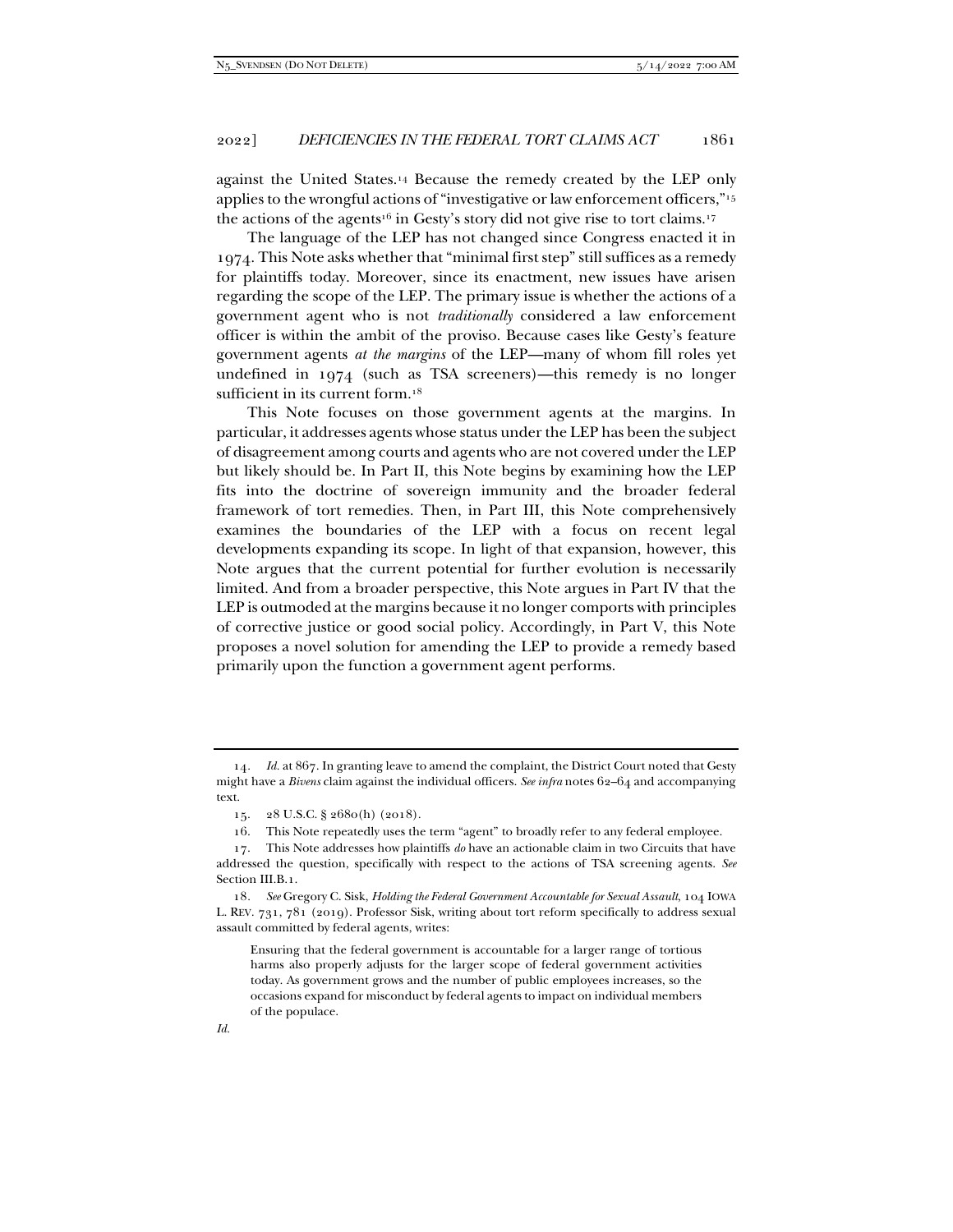against the United States.14 Because the remedy created by the LEP only applies to the wrongful actions of "investigative or law enforcement officers,"15 the actions of the agents<sup>16</sup> in Gesty's story did not give rise to tort claims.<sup>17</sup>

The language of the LEP has not changed since Congress enacted it in 1974. This Note asks whether that "minimal first step" still suffices as a remedy for plaintiffs today. Moreover, since its enactment, new issues have arisen regarding the scope of the LEP. The primary issue is whether the actions of a government agent who is not *traditionally* considered a law enforcement officer is within the ambit of the proviso. Because cases like Gesty's feature government agents *at the margins* of the LEP—many of whom fill roles yet undefined in 1974 (such as TSA screeners)—this remedy is no longer sufficient in its current form.<sup>18</sup>

This Note focuses on those government agents at the margins. In particular, it addresses agents whose status under the LEP has been the subject of disagreement among courts and agents who are not covered under the LEP but likely should be. In Part II, this Note begins by examining how the LEP fits into the doctrine of sovereign immunity and the broader federal framework of tort remedies. Then, in Part III, this Note comprehensively examines the boundaries of the LEP with a focus on recent legal developments expanding its scope. In light of that expansion, however, this Note argues that the current potential for further evolution is necessarily limited. And from a broader perspective, this Note argues in Part IV that the LEP is outmoded at the margins because it no longer comports with principles of corrective justice or good social policy. Accordingly, in Part V, this Note proposes a novel solution for amending the LEP to provide a remedy based primarily upon the function a government agent performs.

<sup>14</sup>*. Id.* at 867. In granting leave to amend the complaint, the District Court noted that Gesty might have a *Bivens* claim against the individual officers. *See infra* notes 62–64 and accompanying text.

 <sup>15. 28</sup> U.S.C. § 2680(h) (2018).

 <sup>16.</sup> This Note repeatedly uses the term "agent" to broadly refer to any federal employee.

 <sup>17.</sup> This Note addresses how plaintiffs *do* have an actionable claim in two Circuits that have addressed the question, specifically with respect to the actions of TSA screening agents. *See*  Section III.B.1.

<sup>18</sup>*. See* Gregory C. Sisk, *Holding the Federal Government Accountable for Sexual Assault*, 104 IOWA L. REV. 731, 781 (2019). Professor Sisk, writing about tort reform specifically to address sexual assault committed by federal agents, writes:

Ensuring that the federal government is accountable for a larger range of tortious harms also properly adjusts for the larger scope of federal government activities today. As government grows and the number of public employees increases, so the occasions expand for misconduct by federal agents to impact on individual members of the populace.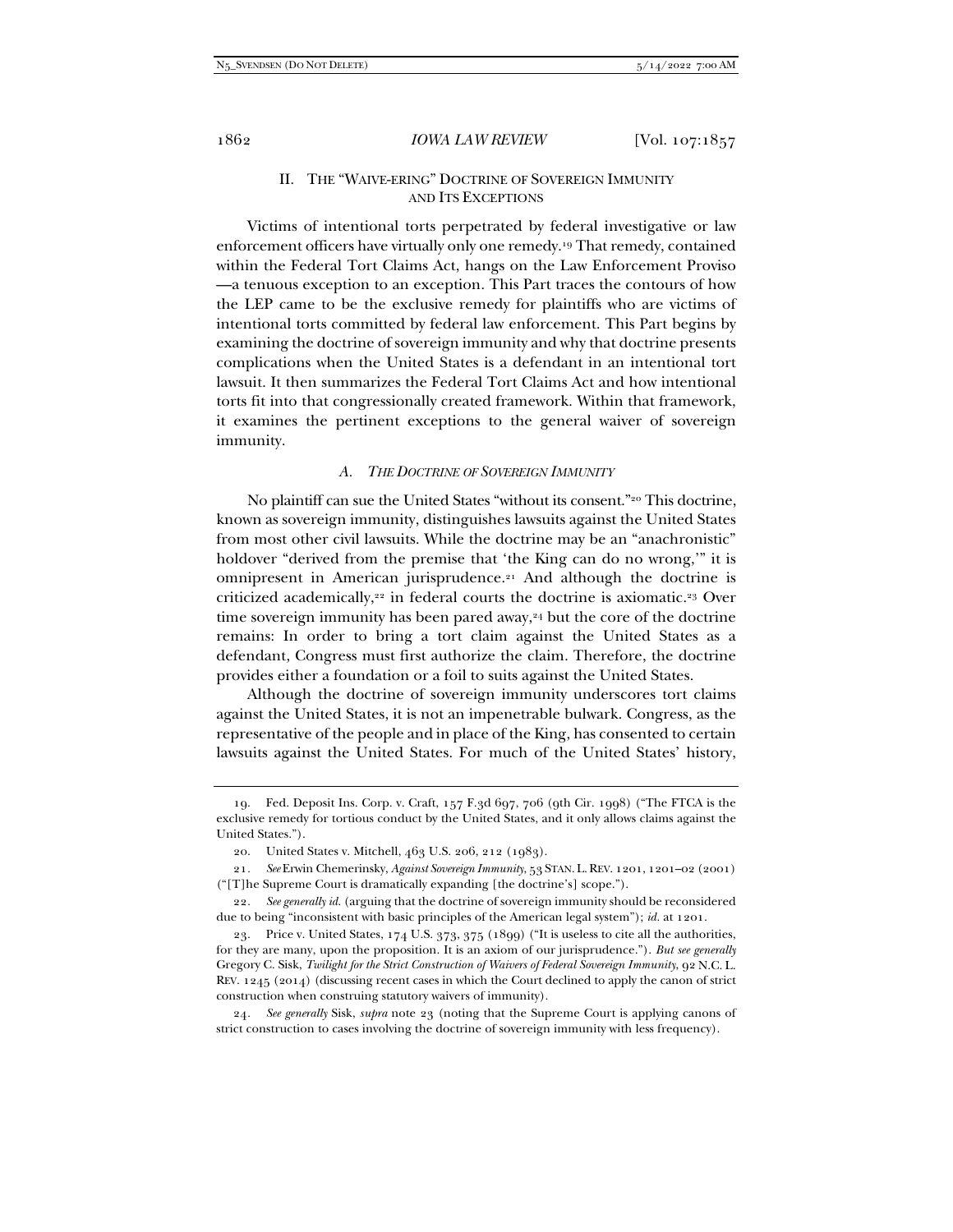# II. THE "WAIVE-ERING" DOCTRINE OF SOVEREIGN IMMUNITY AND ITS EXCEPTIONS

Victims of intentional torts perpetrated by federal investigative or law enforcement officers have virtually only one remedy.19 That remedy, contained within the Federal Tort Claims Act, hangs on the Law Enforcement Proviso —a tenuous exception to an exception. This Part traces the contours of how the LEP came to be the exclusive remedy for plaintiffs who are victims of intentional torts committed by federal law enforcement. This Part begins by examining the doctrine of sovereign immunity and why that doctrine presents complications when the United States is a defendant in an intentional tort lawsuit. It then summarizes the Federal Tort Claims Act and how intentional torts fit into that congressionally created framework. Within that framework, it examines the pertinent exceptions to the general waiver of sovereign immunity.

## *A. THE DOCTRINE OF SOVEREIGN IMMUNITY*

No plaintiff can sue the United States "without its consent."20 This doctrine, known as sovereign immunity, distinguishes lawsuits against the United States from most other civil lawsuits. While the doctrine may be an "anachronistic" holdover "derived from the premise that 'the King can do no wrong,'" it is omnipresent in American jurisprudence.<sup>21</sup> And although the doctrine is criticized academically,22 in federal courts the doctrine is axiomatic.23 Over time sovereign immunity has been pared away, $24$  but the core of the doctrine remains: In order to bring a tort claim against the United States as a defendant, Congress must first authorize the claim. Therefore, the doctrine provides either a foundation or a foil to suits against the United States.

Although the doctrine of sovereign immunity underscores tort claims against the United States, it is not an impenetrable bulwark. Congress, as the representative of the people and in place of the King, has consented to certain lawsuits against the United States. For much of the United States' history,

 <sup>19.</sup> Fed. Deposit Ins. Corp. v. Craft, 157 F.3d 697, 706 (9th Cir. 1998) ("The FTCA is the exclusive remedy for tortious conduct by the United States, and it only allows claims against the United States.").

 <sup>20.</sup> United States v. Mitchell, 463 U.S. 206, 212 (1983).

<sup>21</sup>*. See* Erwin Chemerinsky, *Against Sovereign Immunity*, 53 STAN. L.REV. 1201, 1201–02 (2001) ("[T]he Supreme Court is dramatically expanding [the doctrine's] scope.").

<sup>22</sup>*. See generally id.* (arguing that the doctrine of sovereign immunity should be reconsidered due to being "inconsistent with basic principles of the American legal system"); *id.* at 1201.

 <sup>23.</sup> Price v. United States, 174 U.S. 373, 375 (1899) ("It is useless to cite all the authorities, for they are many, upon the proposition. It is an axiom of our jurisprudence."). *But see generally* Gregory C. Sisk, *Twilight for the Strict Construction of Waivers of Federal Sovereign Immunity*, 92 N.C. L. REV. 1245 (2014) (discussing recent cases in which the Court declined to apply the canon of strict construction when construing statutory waivers of immunity).

<sup>24</sup>*. See generally* Sisk, *supra* note 23 (noting that the Supreme Court is applying canons of strict construction to cases involving the doctrine of sovereign immunity with less frequency).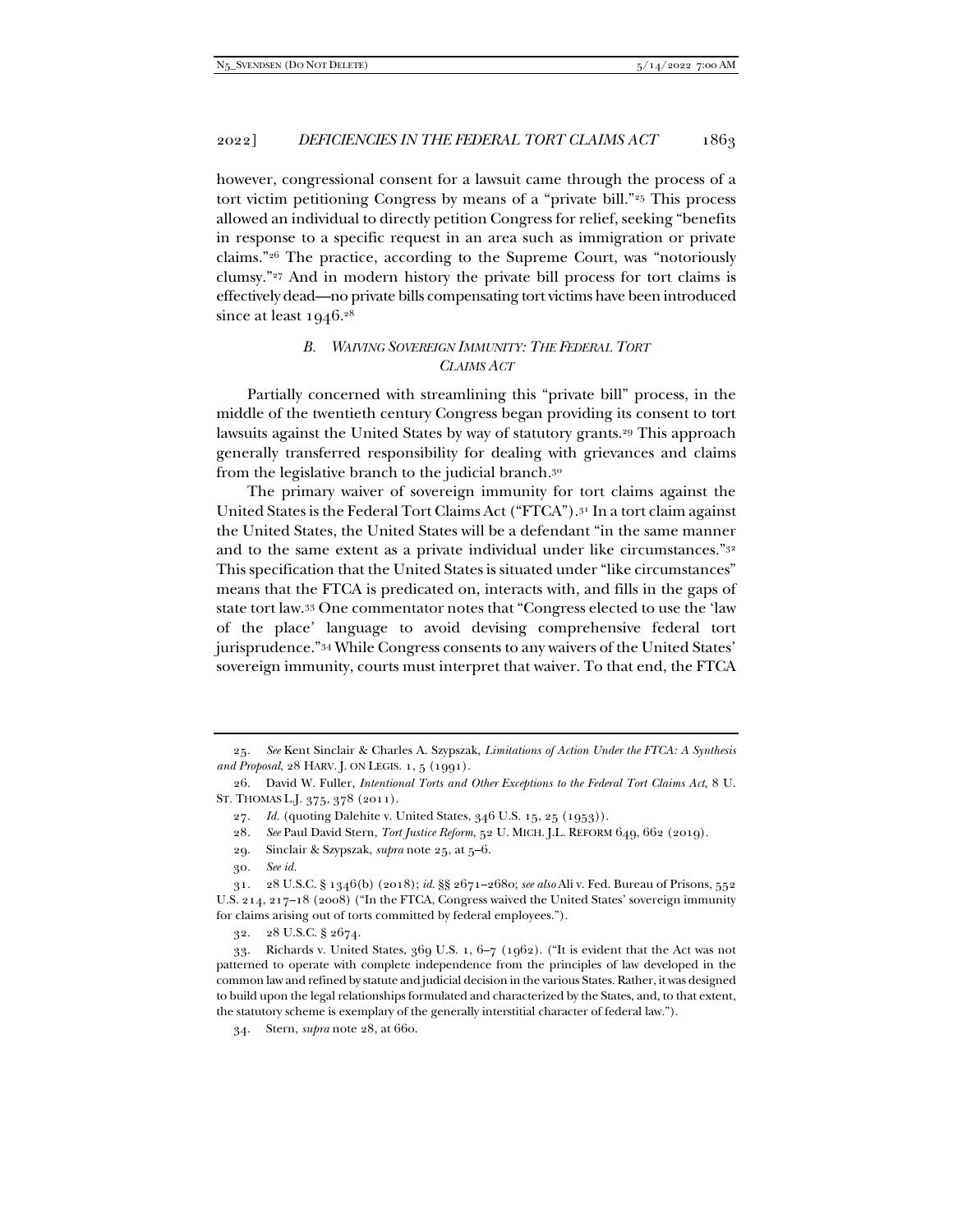however, congressional consent for a lawsuit came through the process of a tort victim petitioning Congress by means of a "private bill."<sup>25</sup> This process allowed an individual to directly petition Congress for relief, seeking "benefits in response to a specific request in an area such as immigration or private claims."26 The practice, according to the Supreme Court, was "notoriously clumsy."27 And in modern history the private bill process for tort claims is effectively dead—no private bills compensating tort victims have been introduced since at least  $1946.^{28}$ 

# *B. WAIVING SOVEREIGN IMMUNITY: THE FEDERAL TORT CLAIMS ACT*

Partially concerned with streamlining this "private bill" process, in the middle of the twentieth century Congress began providing its consent to tort lawsuits against the United States by way of statutory grants.29 This approach generally transferred responsibility for dealing with grievances and claims from the legislative branch to the judicial branch.30

The primary waiver of sovereign immunity for tort claims against the United States is the Federal Tort Claims Act ("FTCA").31 In a tort claim against the United States, the United States will be a defendant "in the same manner and to the same extent as a private individual under like circumstances."32 This specification that the United States is situated under "like circumstances" means that the FTCA is predicated on, interacts with, and fills in the gaps of state tort law.33 One commentator notes that "Congress elected to use the 'law of the place' language to avoid devising comprehensive federal tort jurisprudence."34 While Congress consents to any waivers of the United States' sovereign immunity, courts must interpret that waiver. To that end, the FTCA

32. 28 U.S.C. § 2674.

34. Stern, *supra* note 28, at 660.

<sup>25</sup>*. See* Kent Sinclair & Charles A. Szypszak, *Limitations of Action Under the FTCA: A Synthesis and Proposal*, 28 HARV. J. ON LEGIS. 1, 5 (1991).

 <sup>26.</sup> David W. Fuller, *Intentional Torts and Other Exceptions to the Federal Tort Claims Act*, 8 U. ST. THOMAS L.J. 375, 378 (2011).

<sup>27</sup>*. Id.* (quoting Dalehite v. United States, 346 U.S. 15, 25 (1953)).

<sup>28</sup>*. See* Paul David Stern, *Tort Justice Reform*, 52 U. MICH. J.L. REFORM 649, 662 (2019).

 <sup>29.</sup> Sinclair & Szypszak, *supra* note 25, at 5–6.

<sup>30</sup>*. See id.*

 <sup>31. 28</sup> U.S.C. § 1346(b) (2018); *id.* §§ 2671–2680; *see also* Ali v. Fed. Bureau of Prisons, 552 U.S. 214, 217–18 (2008) ("In the FTCA, Congress waived the United States' sovereign immunity for claims arising out of torts committed by federal employees.").

 <sup>33.</sup> Richards v. United States, 369 U.S. 1, 6–7 (1962). ("It is evident that the Act was not patterned to operate with complete independence from the principles of law developed in the common law and refined by statute and judicial decision in the various States. Rather, it was designed to build upon the legal relationships formulated and characterized by the States, and, to that extent, the statutory scheme is exemplary of the generally interstitial character of federal law.").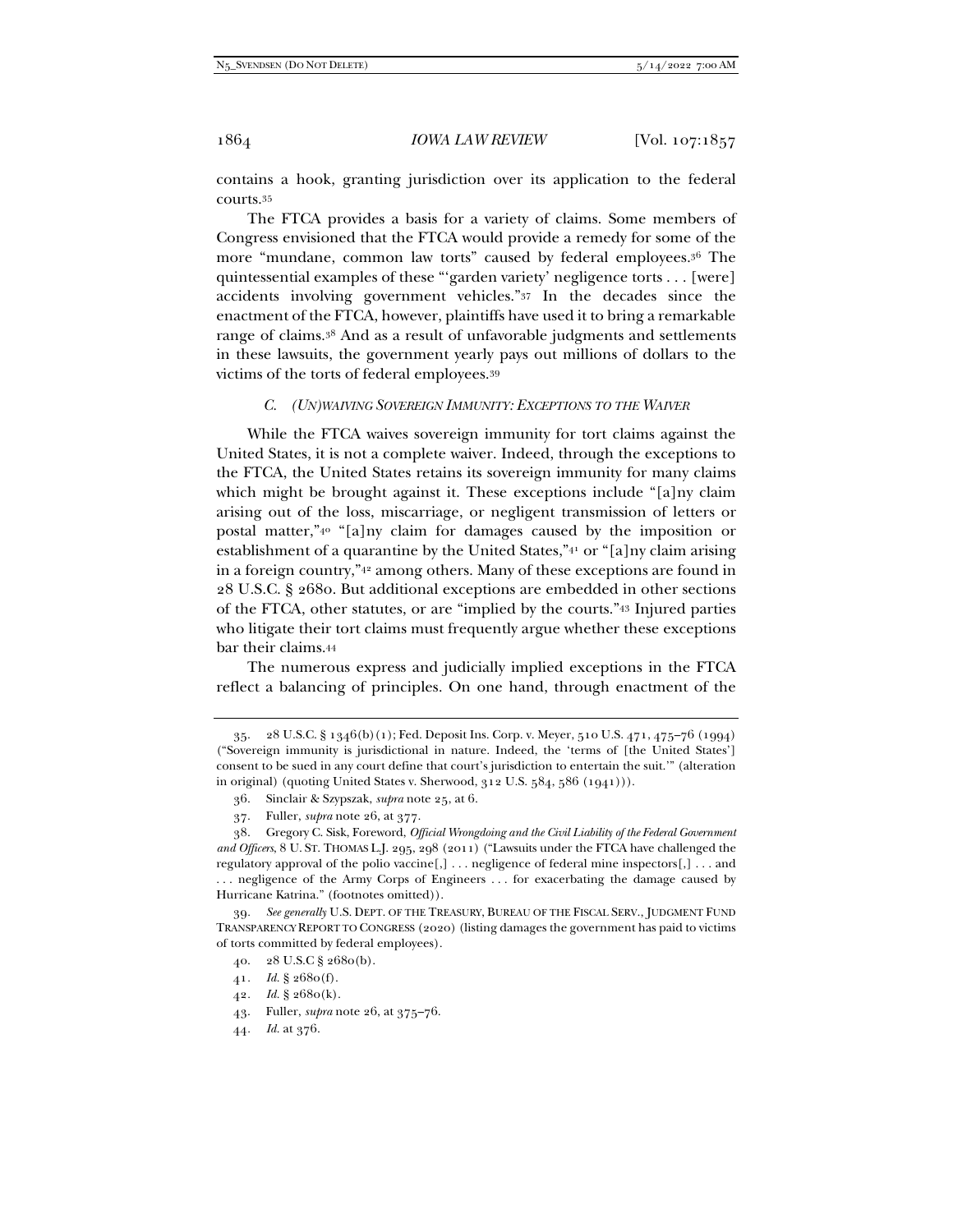contains a hook, granting jurisdiction over its application to the federal courts.35

The FTCA provides a basis for a variety of claims. Some members of Congress envisioned that the FTCA would provide a remedy for some of the more "mundane, common law torts" caused by federal employees.36 The quintessential examples of these "'garden variety' negligence torts . . . [were] accidents involving government vehicles."37 In the decades since the enactment of the FTCA, however, plaintiffs have used it to bring a remarkable range of claims.38 And as a result of unfavorable judgments and settlements in these lawsuits, the government yearly pays out millions of dollars to the victims of the torts of federal employees.39

# *C. (UN)WAIVING SOVEREIGN IMMUNITY: EXCEPTIONS TO THE WAIVER*

While the FTCA waives sovereign immunity for tort claims against the United States, it is not a complete waiver. Indeed, through the exceptions to the FTCA, the United States retains its sovereign immunity for many claims which might be brought against it. These exceptions include "[a]ny claim arising out of the loss, miscarriage, or negligent transmission of letters or postal matter,"40 "[a]ny claim for damages caused by the imposition or establishment of a quarantine by the United States,"41 or "[a]ny claim arising in a foreign country,"42 among others. Many of these exceptions are found in 28 U.S.C. § 2680. But additional exceptions are embedded in other sections of the FTCA, other statutes, or are "implied by the courts."43 Injured parties who litigate their tort claims must frequently argue whether these exceptions bar their claims.44

The numerous express and judicially implied exceptions in the FTCA reflect a balancing of principles. On one hand, through enactment of the

42*. Id.* § 2680(k).

 <sup>35. 28</sup> U.S.C. § 1346(b)(1); Fed. Deposit Ins. Corp. v. Meyer, 510 U.S. 471, 475–76 (1994) ("Sovereign immunity is jurisdictional in nature. Indeed, the 'terms of [the United States'] consent to be sued in any court define that court's jurisdiction to entertain the suit.'" (alteration in original) (quoting United States v. Sherwood, 312 U.S. 584, 586 (1941))).

 <sup>36.</sup> Sinclair & Szypszak, *supra* note 25, at 6.

 <sup>37.</sup> Fuller, *supra* note 26, at 377.

 <sup>38.</sup> Gregory C. Sisk, Foreword, *Official Wrongdoing and the Civil Liability of the Federal Government and Officers*, 8 U. ST. THOMAS L.J. 295, 298 (2011) ("Lawsuits under the FTCA have challenged the regulatory approval of the polio vaccine[,] . . . negligence of federal mine inspectors[,] . . . and . . . negligence of the Army Corps of Engineers . . . for exacerbating the damage caused by Hurricane Katrina." (footnotes omitted)).

<sup>39</sup>*. See generally* U.S. DEPT. OF THE TREASURY, BUREAU OF THE FISCAL SERV., JUDGMENT FUND TRANSPARENCY REPORT TO CONGRESS (2020) (listing damages the government has paid to victims of torts committed by federal employees).

 <sup>40. 28</sup> U.S.C § 2680(b).

<sup>41</sup>*. Id.* § 2680(f).

 <sup>43.</sup> Fuller, *supra* note 26, at 375–76.

<sup>44</sup>*. Id.* at 376.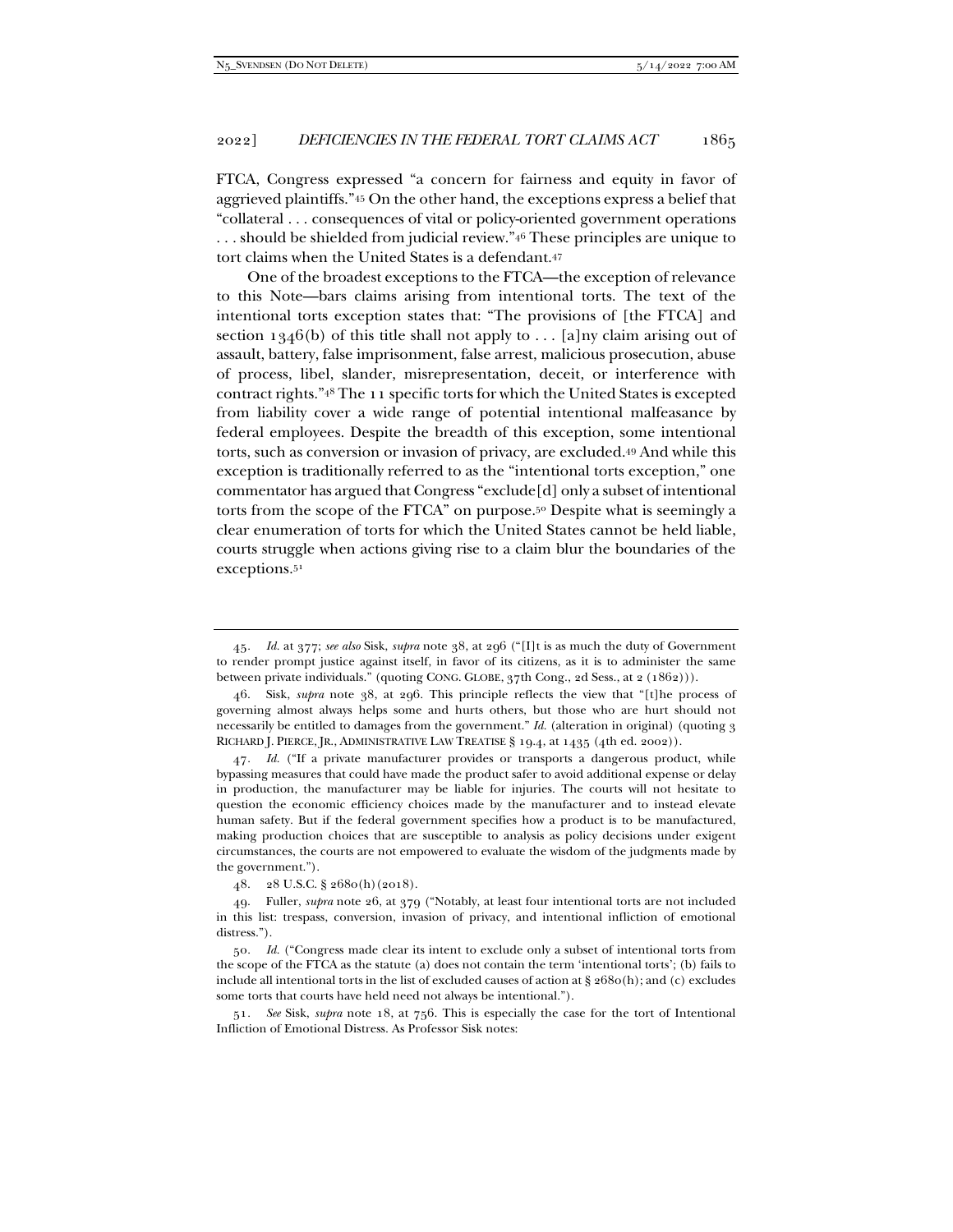FTCA, Congress expressed "a concern for fairness and equity in favor of aggrieved plaintiffs."45 On the other hand, the exceptions express a belief that "collateral . . . consequences of vital or policy-oriented government operations . . . should be shielded from judicial review."46 These principles are unique to tort claims when the United States is a defendant.47

One of the broadest exceptions to the FTCA—the exception of relevance to this Note—bars claims arising from intentional torts. The text of the intentional torts exception states that: "The provisions of [the FTCA] and section 1346(b) of this title shall not apply to ... [a]ny claim arising out of assault, battery, false imprisonment, false arrest, malicious prosecution, abuse of process, libel, slander, misrepresentation, deceit, or interference with contract rights."48 The 11 specific torts for which the United States is excepted from liability cover a wide range of potential intentional malfeasance by federal employees. Despite the breadth of this exception, some intentional torts, such as conversion or invasion of privacy, are excluded.49 And while this exception is traditionally referred to as the "intentional torts exception," one commentator has argued that Congress "exclude[d] only a subset of intentional torts from the scope of the FTCA" on purpose.50 Despite what is seemingly a clear enumeration of torts for which the United States cannot be held liable, courts struggle when actions giving rise to a claim blur the boundaries of the exceptions.51

47*. Id.* ("If a private manufacturer provides or transports a dangerous product, while bypassing measures that could have made the product safer to avoid additional expense or delay in production, the manufacturer may be liable for injuries. The courts will not hesitate to question the economic efficiency choices made by the manufacturer and to instead elevate human safety. But if the federal government specifies how a product is to be manufactured, making production choices that are susceptible to analysis as policy decisions under exigent circumstances, the courts are not empowered to evaluate the wisdom of the judgments made by the government.").

<sup>45</sup>*. Id.* at 377; *see also* Sisk, *supra* note 38, at 296 ("[I]t is as much the duty of Government to render prompt justice against itself, in favor of its citizens, as it is to administer the same between private individuals." (quoting CONG. GLOBE, 37th Cong., 2d Sess., at 2 (1862))).

 <sup>46.</sup> Sisk, *supra* note 38, at 296. This principle reflects the view that "[t]he process of governing almost always helps some and hurts others, but those who are hurt should not necessarily be entitled to damages from the government." *Id.* (alteration in original) (quoting 3 RICHARD J. PIERCE, JR., ADMINISTRATIVE LAW TREATISE § 19.4, at 1435 (4th ed. 2002)).

 <sup>48. 28</sup> U.S.C. § 2680(h)(2018).

 <sup>49.</sup> Fuller, *supra* note 26, at 379 ("Notably, at least four intentional torts are not included in this list: trespass, conversion, invasion of privacy, and intentional infliction of emotional distress.").

<sup>50</sup>*. Id.* ("Congress made clear its intent to exclude only a subset of intentional torts from the scope of the FTCA as the statute (a) does not contain the term 'intentional torts'; (b) fails to include all intentional torts in the list of excluded causes of action at § 2680(h); and (c) excludes some torts that courts have held need not always be intentional.").

<sup>51</sup>*. See* Sisk, *supra* note 18, at 756. This is especially the case for the tort of Intentional Infliction of Emotional Distress. As Professor Sisk notes: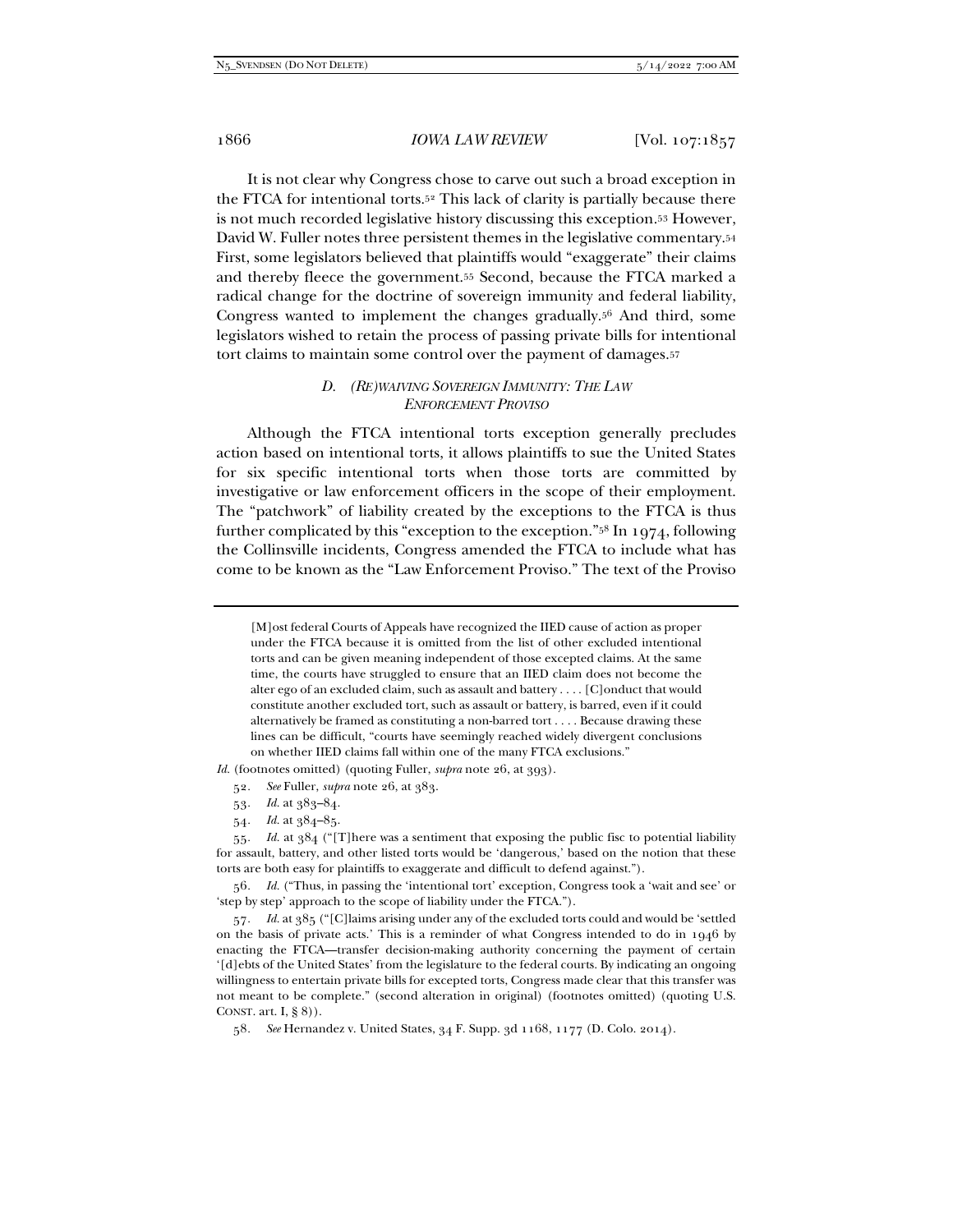It is not clear why Congress chose to carve out such a broad exception in the FTCA for intentional torts.52 This lack of clarity is partially because there is not much recorded legislative history discussing this exception.53 However, David W. Fuller notes three persistent themes in the legislative commentary.54 First, some legislators believed that plaintiffs would "exaggerate" their claims and thereby fleece the government.55 Second, because the FTCA marked a radical change for the doctrine of sovereign immunity and federal liability, Congress wanted to implement the changes gradually.56 And third, some legislators wished to retain the process of passing private bills for intentional tort claims to maintain some control over the payment of damages.57

## *D. (RE)WAIVING SOVEREIGN IMMUNITY: THE LAW ENFORCEMENT PROVISO*

Although the FTCA intentional torts exception generally precludes action based on intentional torts, it allows plaintiffs to sue the United States for six specific intentional torts when those torts are committed by investigative or law enforcement officers in the scope of their employment. The "patchwork" of liability created by the exceptions to the FTCA is thus further complicated by this "exception to the exception."58 In 1974, following the Collinsville incidents, Congress amended the FTCA to include what has come to be known as the "Law Enforcement Proviso." The text of the Proviso

[M]ost federal Courts of Appeals have recognized the IIED cause of action as proper under the FTCA because it is omitted from the list of other excluded intentional torts and can be given meaning independent of those excepted claims. At the same time, the courts have struggled to ensure that an IIED claim does not become the alter ego of an excluded claim, such as assault and battery . . . . [C]onduct that would constitute another excluded tort, such as assault or battery, is barred, even if it could alternatively be framed as constituting a non-barred tort . . . . Because drawing these lines can be difficult, "courts have seemingly reached widely divergent conclusions on whether IIED claims fall within one of the many FTCA exclusions."

*Id.* (footnotes omitted) (quoting Fuller, *supra* note 26, at 393).

- 52*. See* Fuller, *supra* note 26, at 383.
- 53*. Id.* at 383–84.
- 54*. Id.* at 384–85.

<sup>55</sup>*. Id.* at 384 ("[T]here was a sentiment that exposing the public fisc to potential liability for assault, battery, and other listed torts would be 'dangerous,' based on the notion that these torts are both easy for plaintiffs to exaggerate and difficult to defend against.").

<sup>56</sup>*. Id.* ("Thus, in passing the 'intentional tort' exception, Congress took a 'wait and see' or 'step by step' approach to the scope of liability under the FTCA.").

<sup>57</sup>*. Id.* at 385 ("[C]laims arising under any of the excluded torts could and would be 'settled on the basis of private acts.' This is a reminder of what Congress intended to do in 1946 by enacting the FTCA—transfer decision-making authority concerning the payment of certain '[d]ebts of the United States' from the legislature to the federal courts. By indicating an ongoing willingness to entertain private bills for excepted torts, Congress made clear that this transfer was not meant to be complete." (second alteration in original) (footnotes omitted) (quoting U.S. CONST. art. I, § 8)).

<sup>58</sup>*. See* Hernandez v. United States, 34 F. Supp. 3d 1168, 1177 (D. Colo. 2014).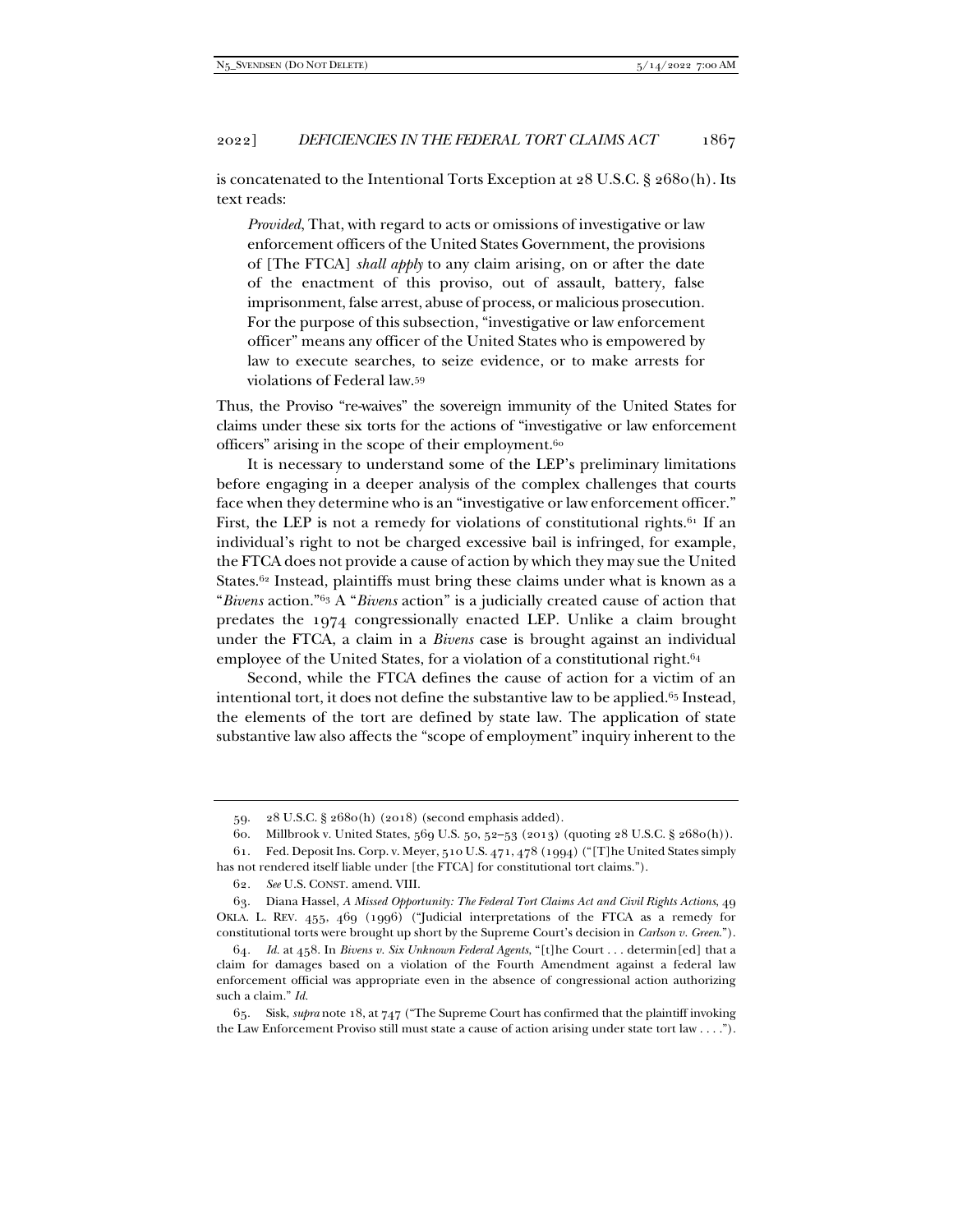is concatenated to the Intentional Torts Exception at  $28$  U.S.C. §  $2680(h)$ . Its text reads:

*Provided*, That, with regard to acts or omissions of investigative or law enforcement officers of the United States Government, the provisions of [The FTCA] *shall apply* to any claim arising, on or after the date of the enactment of this proviso, out of assault, battery, false imprisonment, false arrest, abuse of process, or malicious prosecution. For the purpose of this subsection, "investigative or law enforcement officer" means any officer of the United States who is empowered by law to execute searches, to seize evidence, or to make arrests for violations of Federal law.59

Thus, the Proviso "re-waives" the sovereign immunity of the United States for claims under these six torts for the actions of "investigative or law enforcement officers" arising in the scope of their employment.60

It is necessary to understand some of the LEP's preliminary limitations before engaging in a deeper analysis of the complex challenges that courts face when they determine who is an "investigative or law enforcement officer." First, the LEP is not a remedy for violations of constitutional rights.<sup>61</sup> If an individual's right to not be charged excessive bail is infringed, for example, the FTCA does not provide a cause of action by which they may sue the United States.<sup>62</sup> Instead, plaintiffs must bring these claims under what is known as a "*Bivens* action."63 A "*Bivens* action" is a judicially created cause of action that predates the 1974 congressionally enacted LEP. Unlike a claim brought under the FTCA, a claim in a *Bivens* case is brought against an individual employee of the United States, for a violation of a constitutional right.<sup>64</sup>

Second, while the FTCA defines the cause of action for a victim of an intentional tort, it does not define the substantive law to be applied.<sup>65</sup> Instead, the elements of the tort are defined by state law. The application of state substantive law also affects the "scope of employment" inquiry inherent to the

 <sup>59. 28</sup> U.S.C. § 2680(h) (2018) (second emphasis added).

 <sup>60.</sup> Millbrook v. United States, 569 U.S. 50, 52–53 (2013) (quoting 28 U.S.C. § 2680(h)).

 <sup>61.</sup> Fed. Deposit Ins. Corp. v. Meyer, 510 U.S. 471, 478 (1994) ("[T]he United States simply has not rendered itself liable under [the FTCA] for constitutional tort claims.").

<sup>62</sup>*. See* U.S. CONST. amend. VIII.

 <sup>63.</sup> Diana Hassel, *A Missed Opportunity: The Federal Tort Claims Act and Civil Rights Actions*, 49 OKLA. L. REV. 455, 469 (1996) ("Judicial interpretations of the FTCA as a remedy for constitutional torts were brought up short by the Supreme Court's decision in *Carlson v. Green*.").

<sup>64</sup>*. Id.* at 458. In *Bivens v. Six Unknown Federal Agents*, "[t]he Court . . . determin[ed] that a claim for damages based on a violation of the Fourth Amendment against a federal law enforcement official was appropriate even in the absence of congressional action authorizing such a claim." *Id.*

 <sup>65.</sup> Sisk, *supra* note 18, at 747 ("The Supreme Court has confirmed that the plaintiff invoking the Law Enforcement Proviso still must state a cause of action arising under state tort law . . . .").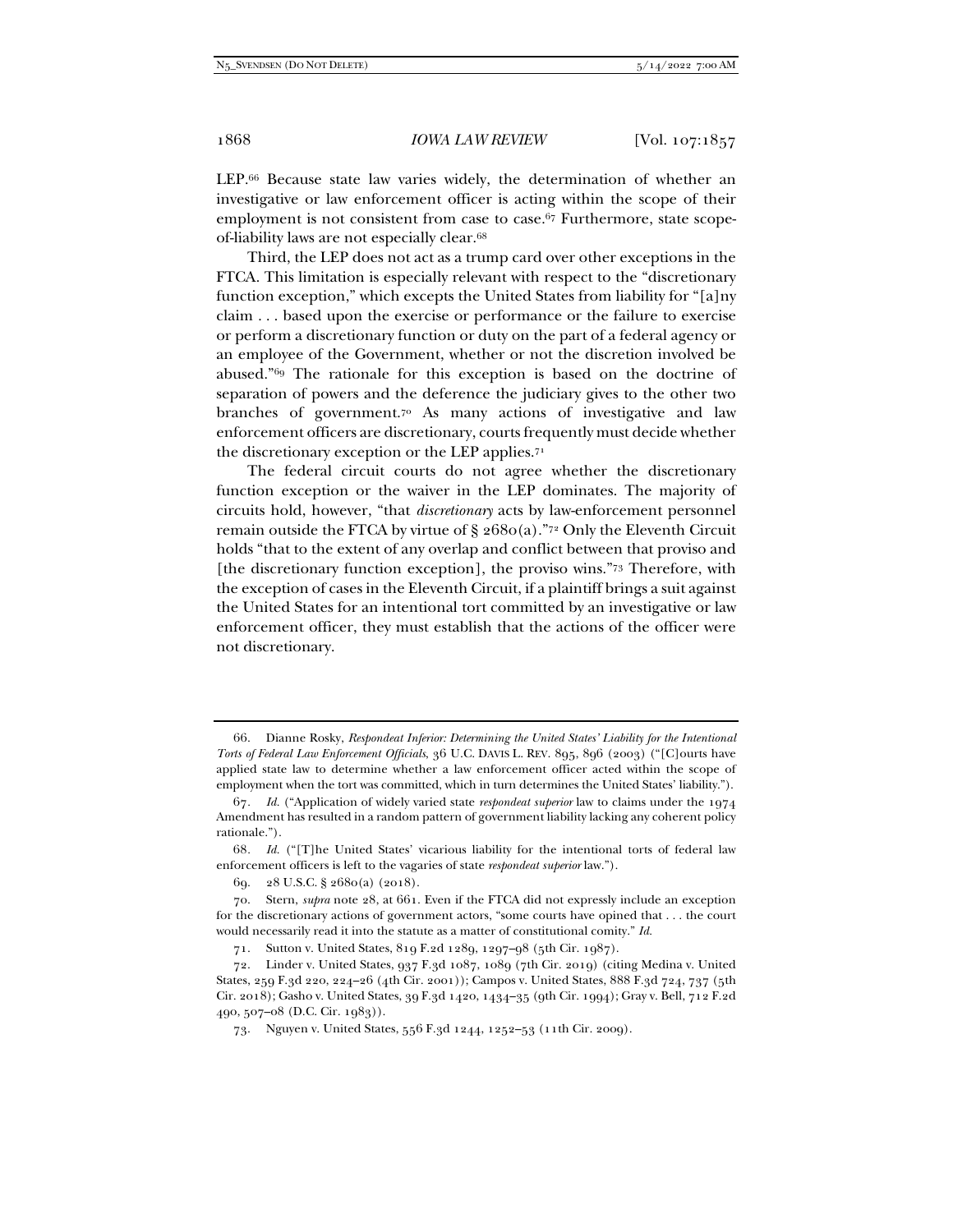LEP.66 Because state law varies widely, the determination of whether an investigative or law enforcement officer is acting within the scope of their employment is not consistent from case to case.<sup>67</sup> Furthermore, state scopeof-liability laws are not especially clear.68

Third, the LEP does not act as a trump card over other exceptions in the FTCA. This limitation is especially relevant with respect to the "discretionary function exception," which excepts the United States from liability for "[a]ny claim . . . based upon the exercise or performance or the failure to exercise or perform a discretionary function or duty on the part of a federal agency or an employee of the Government, whether or not the discretion involved be abused."69 The rationale for this exception is based on the doctrine of separation of powers and the deference the judiciary gives to the other two branches of government.70 As many actions of investigative and law enforcement officers are discretionary, courts frequently must decide whether the discretionary exception or the LEP applies.71

The federal circuit courts do not agree whether the discretionary function exception or the waiver in the LEP dominates. The majority of circuits hold, however, "that *discretionary* acts by law-enforcement personnel remain outside the FTCA by virtue of  $\S$  2680(a)."<sup>72</sup> Only the Eleventh Circuit holds "that to the extent of any overlap and conflict between that proviso and [the discretionary function exception], the proviso wins."73 Therefore, with the exception of cases in the Eleventh Circuit, if a plaintiff brings a suit against the United States for an intentional tort committed by an investigative or law enforcement officer, they must establish that the actions of the officer were not discretionary.

 <sup>66.</sup> Dianne Rosky, *Respondeat Inferior: Determining the United States' Liability for the Intentional Torts of Federal Law Enforcement Officials*, 36 U.C. DAVIS L. REV. 895, 896 (2003) ("[C]ourts have applied state law to determine whether a law enforcement officer acted within the scope of employment when the tort was committed, which in turn determines the United States' liability.").

<sup>67</sup>*. Id.* ("Application of widely varied state *respondeat superior* law to claims under the 1974 Amendment has resulted in a random pattern of government liability lacking any coherent policy rationale.").

<sup>68</sup>*. Id.* ("[T]he United States' vicarious liability for the intentional torts of federal law enforcement officers is left to the vagaries of state *respondeat superior* law.").

 <sup>69. 28</sup> U.S.C. § 2680(a) (2018).

 <sup>70.</sup> Stern, *supra* note 28, at 661. Even if the FTCA did not expressly include an exception for the discretionary actions of government actors, "some courts have opined that . . . the court would necessarily read it into the statute as a matter of constitutional comity." *Id.* 

 <sup>71.</sup> Sutton v. United States, 819 F.2d 1289, 1297–98 (5th Cir. 1987).

 <sup>72.</sup> Linder v. United States, 937 F.3d 1087, 1089 (7th Cir. 2019) (citing Medina v. United States, 259 F.3d 220, 224–26 (4th Cir. 2001)); Campos v. United States, 888 F.3d 724, 737 (5th Cir. 2018); Gasho v. United States, 39 F.3d 1420, 1434–35 (9th Cir. 1994); Gray v. Bell, 712 F.2d 490, 507–08 (D.C. Cir. 1983)).

 <sup>73.</sup> Nguyen v. United States, 556 F.3d 1244, 1252–53 (11th Cir. 2009).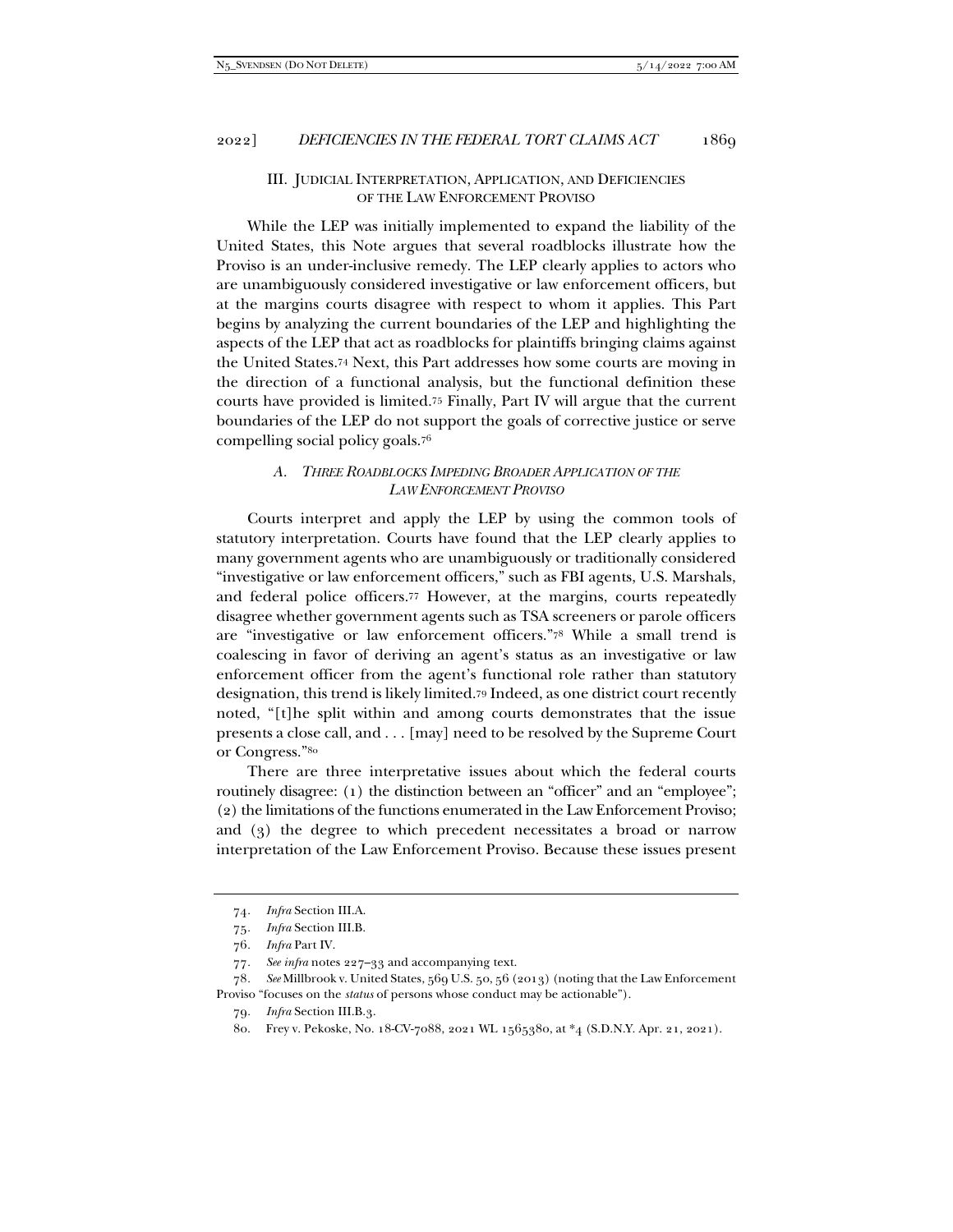## III. JUDICIAL INTERPRETATION, APPLICATION, AND DEFICIENCIES OF THE LAW ENFORCEMENT PROVISO

While the LEP was initially implemented to expand the liability of the United States, this Note argues that several roadblocks illustrate how the Proviso is an under-inclusive remedy. The LEP clearly applies to actors who are unambiguously considered investigative or law enforcement officers, but at the margins courts disagree with respect to whom it applies. This Part begins by analyzing the current boundaries of the LEP and highlighting the aspects of the LEP that act as roadblocks for plaintiffs bringing claims against the United States.74 Next, this Part addresses how some courts are moving in the direction of a functional analysis, but the functional definition these courts have provided is limited.75 Finally, Part IV will argue that the current boundaries of the LEP do not support the goals of corrective justice or serve compelling social policy goals.76

# *A. THREE ROADBLOCKS IMPEDING BROADER APPLICATION OF THE LAW ENFORCEMENT PROVISO*

Courts interpret and apply the LEP by using the common tools of statutory interpretation. Courts have found that the LEP clearly applies to many government agents who are unambiguously or traditionally considered "investigative or law enforcement officers," such as FBI agents, U.S. Marshals, and federal police officers.77 However, at the margins, courts repeatedly disagree whether government agents such as TSA screeners or parole officers are "investigative or law enforcement officers."78 While a small trend is coalescing in favor of deriving an agent's status as an investigative or law enforcement officer from the agent's functional role rather than statutory designation, this trend is likely limited.79 Indeed, as one district court recently noted, "[t]he split within and among courts demonstrates that the issue presents a close call, and . . . [may] need to be resolved by the Supreme Court or Congress."80

There are three interpretative issues about which the federal courts routinely disagree: (1) the distinction between an "officer" and an "employee"; (2) the limitations of the functions enumerated in the Law Enforcement Proviso; and (3) the degree to which precedent necessitates a broad or narrow interpretation of the Law Enforcement Proviso. Because these issues present

<sup>74</sup>*. Infra* Section III.A.

<sup>75</sup>*. Infra* Section III.B.

<sup>76</sup>*. Infra* Part IV.

<sup>77</sup>*. See infra* notes 227–33 and accompanying text.

<sup>78</sup>*. See* Millbrook v. United States, 569 U.S. 50, 56 (2013) (noting that the Law Enforcement Proviso "focuses on the *status* of persons whose conduct may be actionable").

<sup>79</sup>*. Infra* Section III.B.3.

 <sup>80.</sup> Frey v. Pekoske, No. 18-CV-7088, 2021 WL 1565380, at \*4 (S.D.N.Y. Apr. 21, 2021).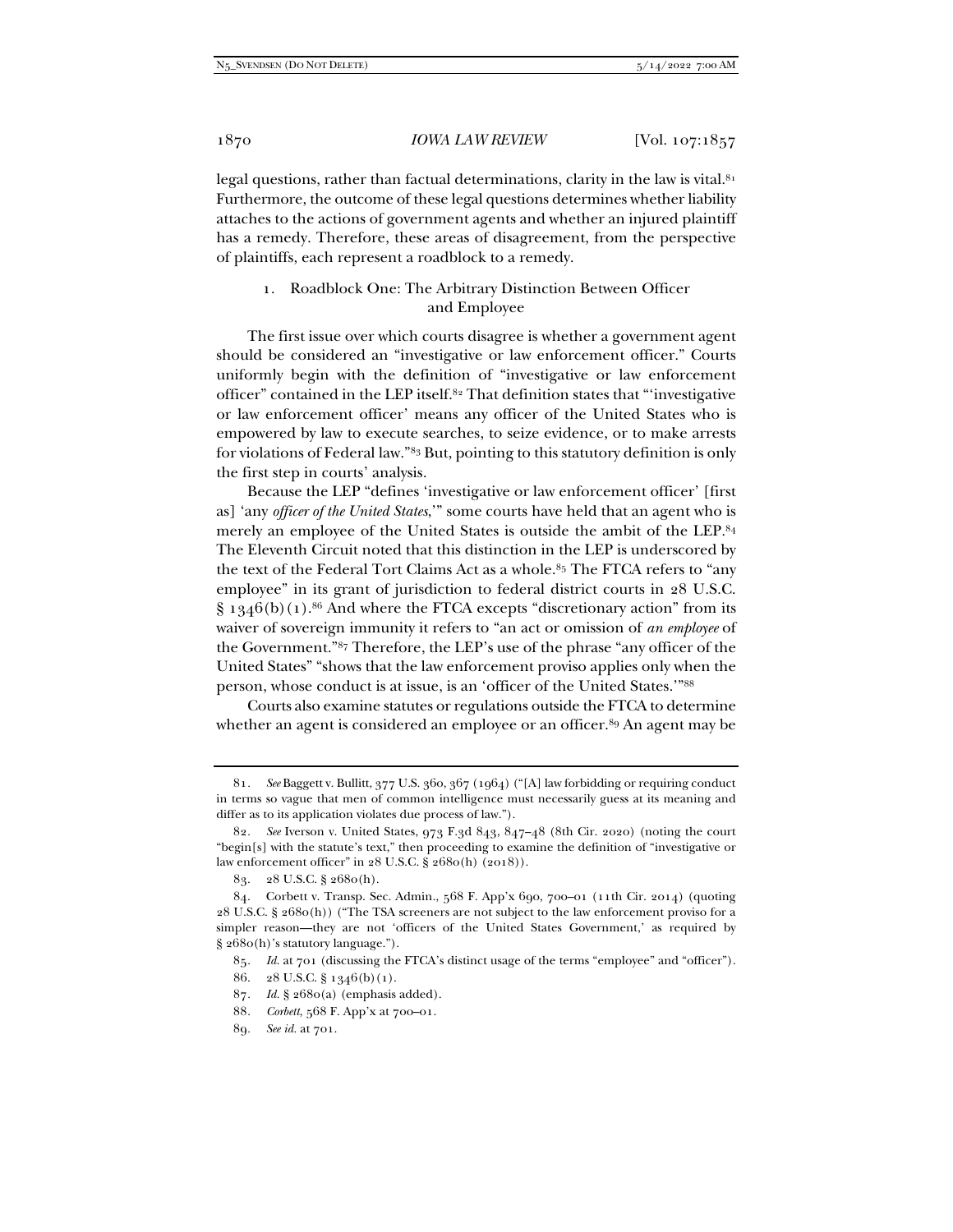legal questions, rather than factual determinations, clarity in the law is vital. $81$ Furthermore, the outcome of these legal questions determines whether liability attaches to the actions of government agents and whether an injured plaintiff has a remedy. Therefore, these areas of disagreement, from the perspective of plaintiffs, each represent a roadblock to a remedy.

# 1. Roadblock One: The Arbitrary Distinction Between Officer and Employee

The first issue over which courts disagree is whether a government agent should be considered an "investigative or law enforcement officer." Courts uniformly begin with the definition of "investigative or law enforcement officer" contained in the LEP itself.82 That definition states that "'investigative or law enforcement officer' means any officer of the United States who is empowered by law to execute searches, to seize evidence, or to make arrests for violations of Federal law."83 But, pointing to this statutory definition is only the first step in courts' analysis.

Because the LEP "defines 'investigative or law enforcement officer' [first as] 'any *officer of the United States*,'" some courts have held that an agent who is merely an employee of the United States is outside the ambit of the LEP.84 The Eleventh Circuit noted that this distinction in the LEP is underscored by the text of the Federal Tort Claims Act as a whole.<sup>85</sup> The FTCA refers to "any employee" in its grant of jurisdiction to federal district courts in 28 U.S.C.  $\S$  1346(b)(1).<sup>86</sup> And where the FTCA excepts "discretionary action" from its waiver of sovereign immunity it refers to "an act or omission of *an employee* of the Government."87 Therefore, the LEP's use of the phrase "any officer of the United States" "shows that the law enforcement proviso applies only when the person, whose conduct is at issue, is an 'officer of the United States.'"88

Courts also examine statutes or regulations outside the FTCA to determine whether an agent is considered an employee or an officer.<sup>89</sup> An agent may be

<sup>81</sup>*. See* Baggett v. Bullitt, 377 U.S. 360, 367 (1964) ("[A] law forbidding or requiring conduct in terms so vague that men of common intelligence must necessarily guess at its meaning and differ as to its application violates due process of law.").

<sup>82</sup>*. See* Iverson v. United States, 973 F.3d 843, 847–48 (8th Cir. 2020) (noting the court "begin[s] with the statute's text," then proceeding to examine the definition of "investigative or law enforcement officer" in 28 U.S.C. § 2680(h) (2018)).

 <sup>83. 28</sup> U.S.C. § 2680(h).

 <sup>84.</sup> Corbett v. Transp. Sec. Admin., 568 F. App'x 690, 700–01 (11th Cir. 2014) (quoting 28 U.S.C. § 2680(h)) ("The TSA screeners are not subject to the law enforcement proviso for a simpler reason—they are not 'officers of the United States Government,' as required by § 2680(h)'s statutory language.").

<sup>85</sup>*. Id.* at 701 (discussing the FTCA's distinct usage of the terms "employee" and "officer").

 <sup>86. 28</sup> U.S.C. § 1346(b)(1).

<sup>87</sup>*. Id.* § 2680(a) (emphasis added).

<sup>88</sup>*. Corbett*, 568 F. App'x at 700–01.

<sup>89</sup>*. See id.* at 701.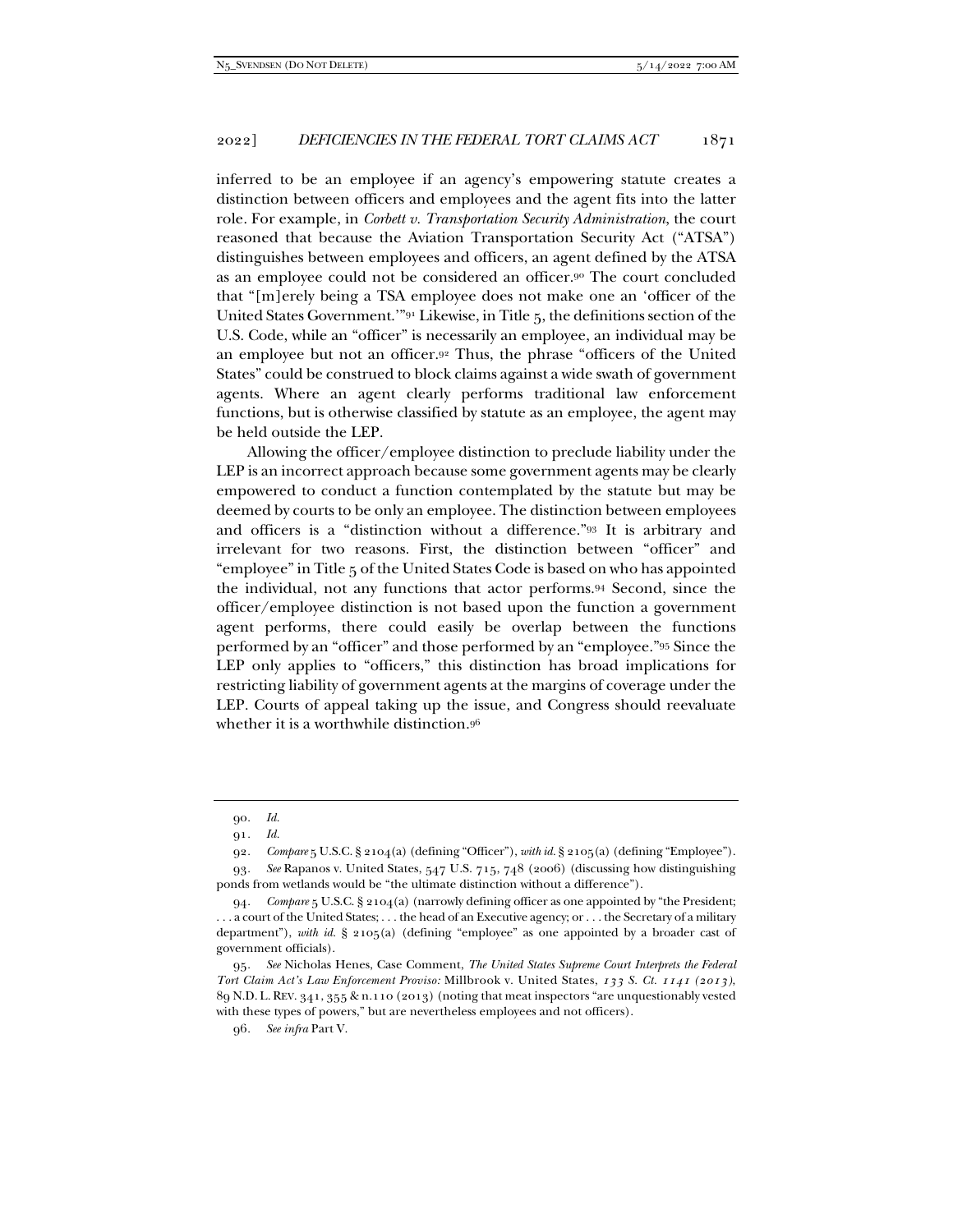inferred to be an employee if an agency's empowering statute creates a distinction between officers and employees and the agent fits into the latter role. For example, in *Corbett v. Transportation Security Administration*, the court reasoned that because the Aviation Transportation Security Act ("ATSA") distinguishes between employees and officers, an agent defined by the ATSA as an employee could not be considered an officer.90 The court concluded that "[m]erely being a TSA employee does not make one an 'officer of the United States Government.'"91 Likewise, in Title 5, the definitions section of the U.S. Code, while an "officer" is necessarily an employee, an individual may be an employee but not an officer.92 Thus, the phrase "officers of the United States" could be construed to block claims against a wide swath of government agents. Where an agent clearly performs traditional law enforcement functions, but is otherwise classified by statute as an employee, the agent may be held outside the LEP.

Allowing the officer/employee distinction to preclude liability under the LEP is an incorrect approach because some government agents may be clearly empowered to conduct a function contemplated by the statute but may be deemed by courts to be only an employee. The distinction between employees and officers is a "distinction without a difference."93 It is arbitrary and irrelevant for two reasons. First, the distinction between "officer" and "employee" in Title 5 of the United States Code is based on who has appointed the individual, not any functions that actor performs.94 Second, since the officer/employee distinction is not based upon the function a government agent performs, there could easily be overlap between the functions performed by an "officer" and those performed by an "employee."95 Since the LEP only applies to "officers," this distinction has broad implications for restricting liability of government agents at the margins of coverage under the LEP. Courts of appeal taking up the issue, and Congress should reevaluate whether it is a worthwhile distinction.96

95*. See* Nicholas Henes, Case Comment, *The United States Supreme Court Interprets the Federal Tort Claim Act's Law Enforcement Proviso:* Millbrook v. United States, *133 S. Ct. 1141 (2013)*, 89 N.D. L. REV. 341, 355 & n.110 (2013) (noting that meat inspectors "are unquestionably vested with these types of powers," but are nevertheless employees and not officers).

<sup>90</sup>*. Id.*

<sup>91</sup>*. Id.* 

<sup>92</sup>*. Compare* 5 U.S.C. § 2104(a) (defining "Officer"), *with id.* § 2105(a) (defining "Employee").

<sup>93</sup>*. See* Rapanos v. United States, 547 U.S. 715, 748 (2006) (discussing how distinguishing ponds from wetlands would be "the ultimate distinction without a difference").

<sup>94</sup>*. Compare* 5 U.S.C. § 2104(a) (narrowly defining officer as one appointed by "the President; . . . a court of the United States; . . . the head of an Executive agency; or . . . the Secretary of a military department"), *with id.* § 2105(a) (defining "employee" as one appointed by a broader cast of government officials).

<sup>96</sup>*. See infra* Part V.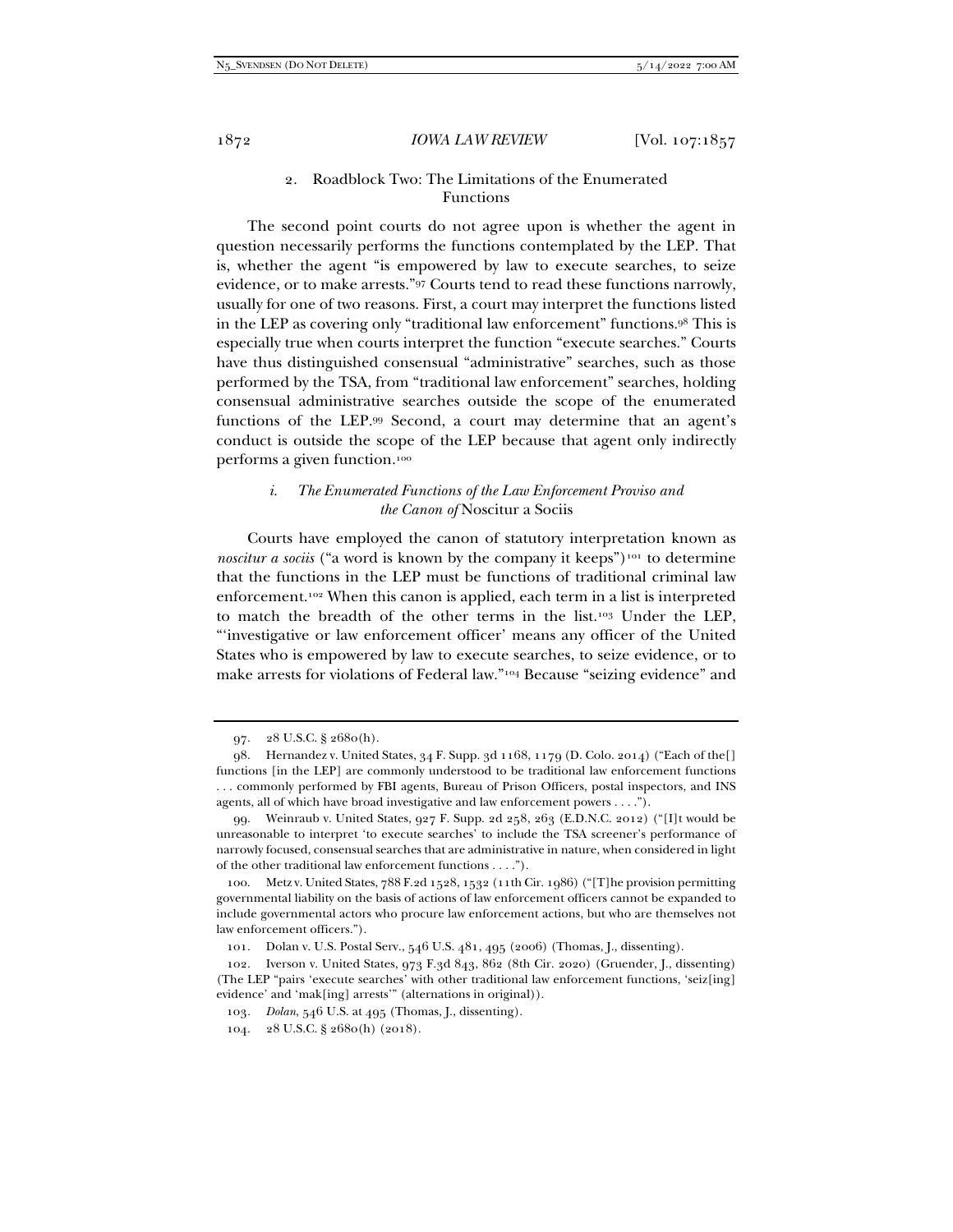# 2. Roadblock Two: The Limitations of the Enumerated Functions

The second point courts do not agree upon is whether the agent in question necessarily performs the functions contemplated by the LEP. That is, whether the agent "is empowered by law to execute searches, to seize evidence, or to make arrests."97 Courts tend to read these functions narrowly, usually for one of two reasons. First, a court may interpret the functions listed in the LEP as covering only "traditional law enforcement" functions.98 This is especially true when courts interpret the function "execute searches." Courts have thus distinguished consensual "administrative" searches, such as those performed by the TSA, from "traditional law enforcement" searches, holding consensual administrative searches outside the scope of the enumerated functions of the LEP.99 Second, a court may determine that an agent's conduct is outside the scope of the LEP because that agent only indirectly performs a given function.100

# *i. The Enumerated Functions of the Law Enforcement Proviso and the Canon of* Noscitur a Sociis

Courts have employed the canon of statutory interpretation known as *noscitur a sociis* ("a word is known by the company it keeps")<sup>101</sup> to determine that the functions in the LEP must be functions of traditional criminal law enforcement.102 When this canon is applied, each term in a list is interpreted to match the breadth of the other terms in the list.103 Under the LEP, "'investigative or law enforcement officer' means any officer of the United States who is empowered by law to execute searches, to seize evidence, or to make arrests for violations of Federal law."104 Because "seizing evidence" and

 <sup>97. 28</sup> U.S.C. § 2680(h).

 <sup>98.</sup> Hernandez v. United States, 34 F. Supp. 3d 1168, 1179 (D. Colo. 2014) ("Each of the[] functions [in the LEP] are commonly understood to be traditional law enforcement functions . . . commonly performed by FBI agents, Bureau of Prison Officers, postal inspectors, and INS agents, all of which have broad investigative and law enforcement powers . . . .").

 <sup>99.</sup> Weinraub v. United States, 927 F. Supp. 2d 258, 263 (E.D.N.C. 2012) ("[I]t would be unreasonable to interpret 'to execute searches' to include the TSA screener's performance of narrowly focused, consensual searches that are administrative in nature, when considered in light of the other traditional law enforcement functions . . . .").

 <sup>100.</sup> Metz v. United States, 788 F.2d 1528, 1532 (11th Cir. 1986) ("[T]he provision permitting governmental liability on the basis of actions of law enforcement officers cannot be expanded to include governmental actors who procure law enforcement actions, but who are themselves not law enforcement officers.").

 <sup>101.</sup> Dolan v. U.S. Postal Serv., 546 U.S. 481, 495 (2006) (Thomas, J., dissenting).

 <sup>102.</sup> Iverson v. United States, 973 F.3d 843, 862 (8th Cir. 2020) (Gruender, J., dissenting) (The LEP "pairs 'execute searches' with other traditional law enforcement functions, 'seiz[ing] evidence' and 'mak[ing] arrests'" (alternations in original)).

<sup>103</sup>*. Dolan*, 546 U.S. at 495 (Thomas, J., dissenting).

 <sup>104. 28</sup> U.S.C. § 2680(h) (2018).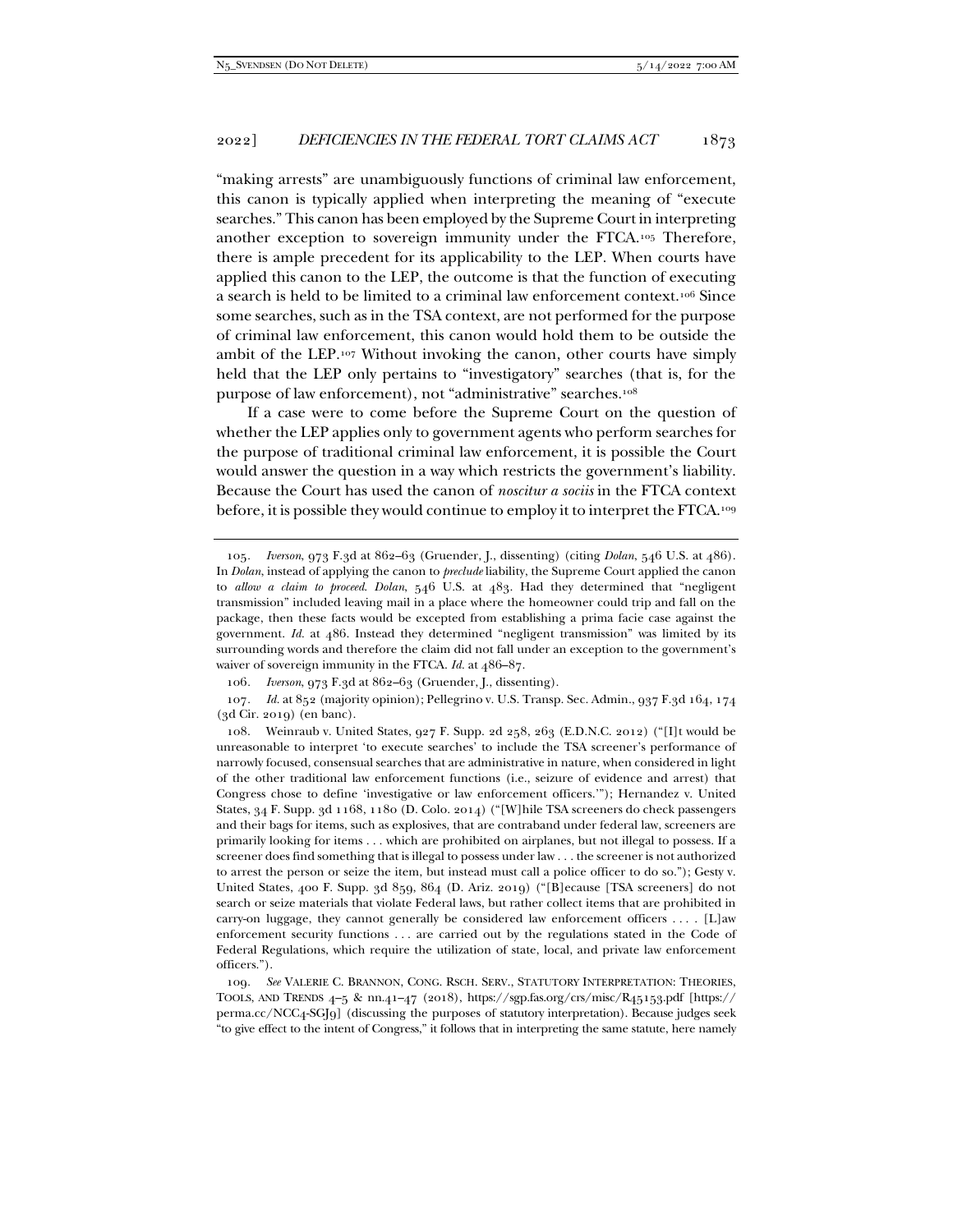"making arrests" are unambiguously functions of criminal law enforcement, this canon is typically applied when interpreting the meaning of "execute searches." This canon has been employed by the Supreme Court in interpreting another exception to sovereign immunity under the FTCA.105 Therefore, there is ample precedent for its applicability to the LEP. When courts have applied this canon to the LEP, the outcome is that the function of executing a search is held to be limited to a criminal law enforcement context.106 Since some searches, such as in the TSA context, are not performed for the purpose of criminal law enforcement, this canon would hold them to be outside the ambit of the LEP.107 Without invoking the canon, other courts have simply held that the LEP only pertains to "investigatory" searches (that is, for the purpose of law enforcement), not "administrative" searches.<sup>108</sup>

If a case were to come before the Supreme Court on the question of whether the LEP applies only to government agents who perform searches for the purpose of traditional criminal law enforcement, it is possible the Court would answer the question in a way which restricts the government's liability. Because the Court has used the canon of *noscitur a sociis* in the FTCA context before, it is possible they would continue to employ it to interpret the FTCA.<sup>109</sup>

106*. Iverson*, 973 F.3d at 862–63 (Gruender, J., dissenting).

107*. Id.* at 852 (majority opinion); Pellegrino v. U.S. Transp. Sec. Admin., 937 F.3d 164, 174 (3d Cir. 2019) (en banc).

 108. Weinraub v. United States, 927 F. Supp. 2d 258, 263 (E.D.N.C. 2012) ("[I]t would be unreasonable to interpret 'to execute searches' to include the TSA screener's performance of narrowly focused, consensual searches that are administrative in nature, when considered in light of the other traditional law enforcement functions (i.e., seizure of evidence and arrest) that Congress chose to define 'investigative or law enforcement officers.'"); Hernandez v. United States, 34 F. Supp. 3d 1168, 1180 (D. Colo. 2014) ("[W]hile TSA screeners do check passengers and their bags for items, such as explosives, that are contraband under federal law, screeners are primarily looking for items . . . which are prohibited on airplanes, but not illegal to possess. If a screener does find something that is illegal to possess under law . . . the screener is not authorized to arrest the person or seize the item, but instead must call a police officer to do so."); Gesty v. United States, 400 F. Supp. 3d 859, 864 (D. Ariz. 2019) ("[B]ecause [TSA screeners] do not search or seize materials that violate Federal laws, but rather collect items that are prohibited in carry-on luggage, they cannot generally be considered law enforcement officers . . . . [L]aw enforcement security functions . . . are carried out by the regulations stated in the Code of Federal Regulations, which require the utilization of state, local, and private law enforcement officers.").

109*. See* VALERIE C. BRANNON, CONG. RSCH. SERV., STATUTORY INTERPRETATION: THEORIES, TOOLS, AND TRENDS  $4-5$  & nn.41-47 (2018), https://sgp.fas.org/crs/misc/R45153.pdf [https:// perma.cc/NCC4-SGJ9] (discussing the purposes of statutory interpretation). Because judges seek "to give effect to the intent of Congress," it follows that in interpreting the same statute, here namely

<sup>105</sup>*. Iverson*, 973 F.3d at 862–63 (Gruender, J., dissenting) (citing *Dolan*, 546 U.S. at 486). In *Dolan*, instead of applying the canon to *preclude* liability, the Supreme Court applied the canon to *allow a claim to proceed*. *Dolan*, 546 U.S. at 483. Had they determined that "negligent transmission" included leaving mail in a place where the homeowner could trip and fall on the package, then these facts would be excepted from establishing a prima facie case against the government. *Id.* at 486. Instead they determined "negligent transmission" was limited by its surrounding words and therefore the claim did not fall under an exception to the government's waiver of sovereign immunity in the FTCA. *Id.* at 486–87.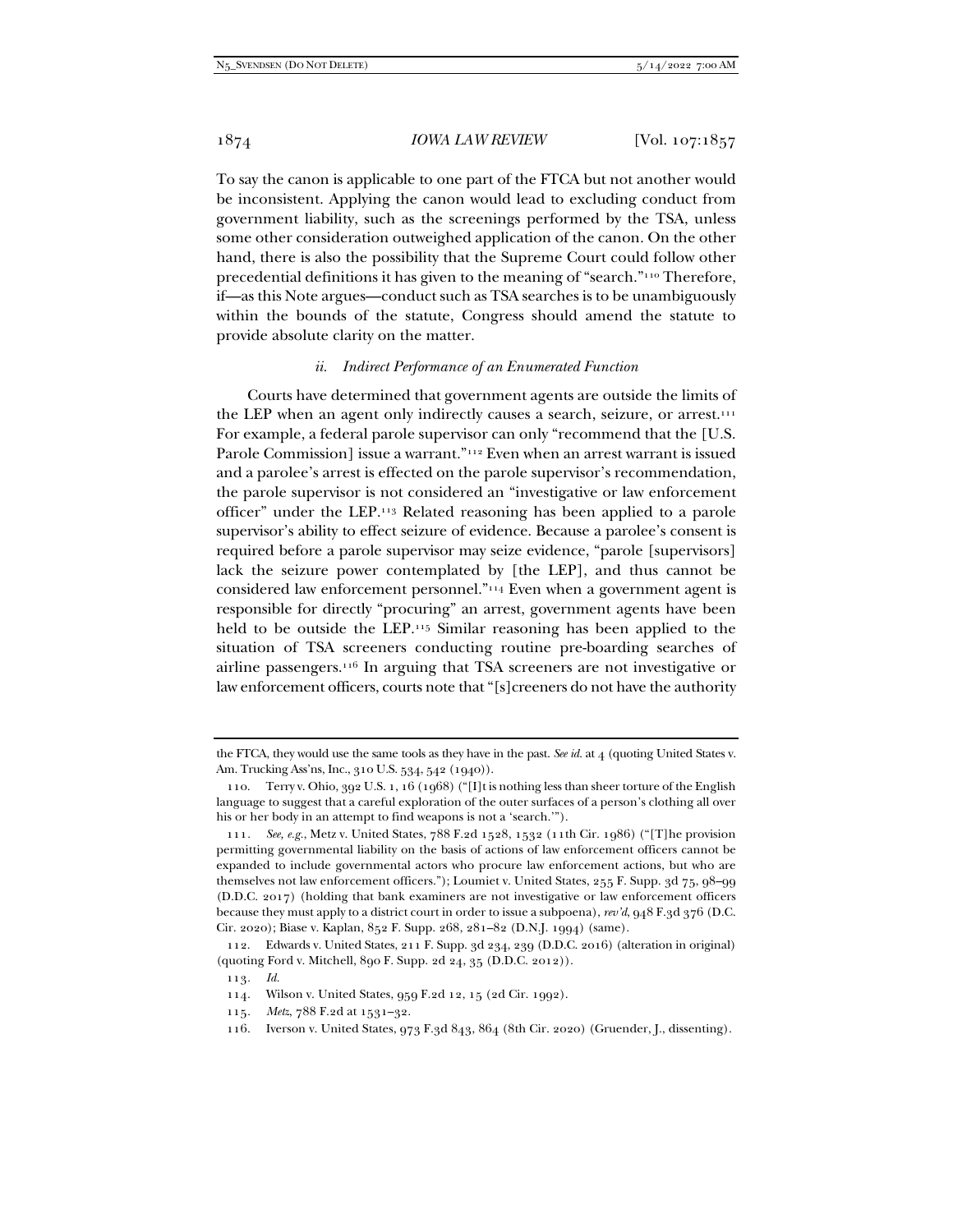To say the canon is applicable to one part of the FTCA but not another would be inconsistent. Applying the canon would lead to excluding conduct from government liability, such as the screenings performed by the TSA, unless some other consideration outweighed application of the canon. On the other hand, there is also the possibility that the Supreme Court could follow other precedential definitions it has given to the meaning of "search."110 Therefore, if—as this Note argues—conduct such as TSA searches is to be unambiguously within the bounds of the statute, Congress should amend the statute to provide absolute clarity on the matter.

#### *ii. Indirect Performance of an Enumerated Function*

Courts have determined that government agents are outside the limits of the LEP when an agent only indirectly causes a search, seizure, or arrest.<sup>111</sup> For example, a federal parole supervisor can only "recommend that the [U.S. Parole Commission] issue a warrant."<sup>112</sup> Even when an arrest warrant is issued and a parolee's arrest is effected on the parole supervisor's recommendation, the parole supervisor is not considered an "investigative or law enforcement officer" under the LEP.113 Related reasoning has been applied to a parole supervisor's ability to effect seizure of evidence. Because a parolee's consent is required before a parole supervisor may seize evidence, "parole [supervisors] lack the seizure power contemplated by [the LEP], and thus cannot be considered law enforcement personnel."114 Even when a government agent is responsible for directly "procuring" an arrest, government agents have been held to be outside the LEP.115 Similar reasoning has been applied to the situation of TSA screeners conducting routine pre-boarding searches of airline passengers.116 In arguing that TSA screeners are not investigative or law enforcement officers, courts note that "[s]creeners do not have the authority

the FTCA, they would use the same tools as they have in the past. *See id.* at 4 (quoting United States v. Am. Trucking Ass'ns, Inc., 310 U.S. 534, 542 (1940)).

 <sup>110.</sup> Terry v. Ohio, 392 U.S. 1, 16 (1968) ("[I]t is nothing less than sheer torture of the English language to suggest that a careful exploration of the outer surfaces of a person's clothing all over his or her body in an attempt to find weapons is not a 'search.'").

<sup>111</sup>*. See, e.g.*, Metz v. United States, 788 F.2d 1528, 1532 (11th Cir. 1986) ("[T]he provision permitting governmental liability on the basis of actions of law enforcement officers cannot be expanded to include governmental actors who procure law enforcement actions, but who are themselves not law enforcement officers."); Loumiet v. United States, 255 F. Supp. 3d 75, 98–99 (D.D.C. 2017) (holding that bank examiners are not investigative or law enforcement officers because they must apply to a district court in order to issue a subpoena), *rev'd*, 948 F.3d 376 (D.C. Cir. 2020); Biase v. Kaplan, 852 F. Supp. 268, 281–82 (D.N.J. 1994) (same).

 <sup>112.</sup> Edwards v. United States, 211 F. Supp. 3d 234, 239 (D.D.C. 2016) (alteration in original) (quoting Ford v. Mitchell, 890 F. Supp. 2d 24, 35 (D.D.C. 2012)).

<sup>113</sup>*. Id.*

 <sup>114.</sup> Wilson v. United States, 959 F.2d 12, 15 (2d Cir. 1992).

<sup>115</sup>*. Metz*, 788 F.2d at 1531–32.

 <sup>116.</sup> Iverson v. United States, 973 F.3d 843, 864 (8th Cir. 2020) (Gruender, J., dissenting).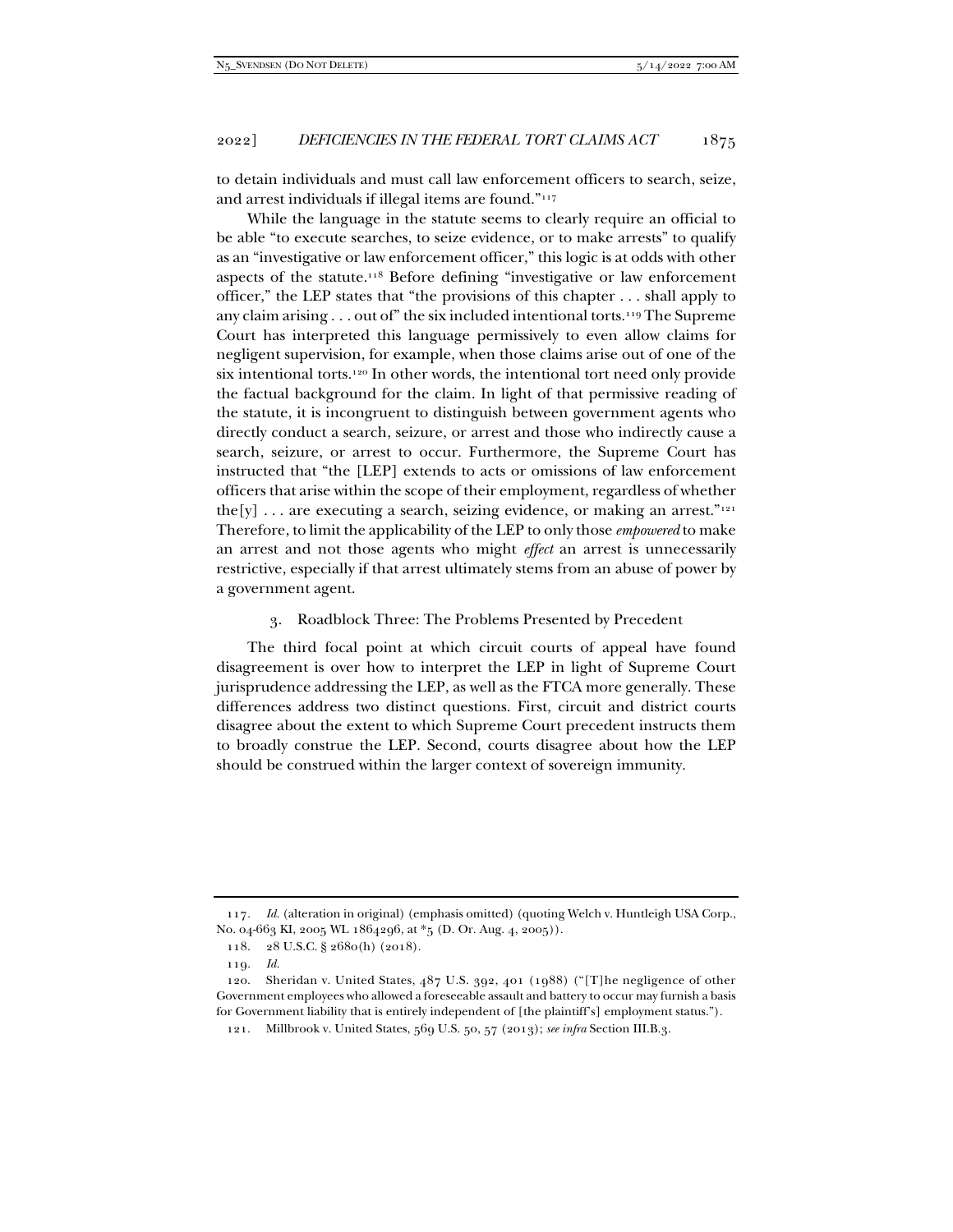to detain individuals and must call law enforcement officers to search, seize, and arrest individuals if illegal items are found."117

While the language in the statute seems to clearly require an official to be able "to execute searches, to seize evidence, or to make arrests" to qualify as an "investigative or law enforcement officer," this logic is at odds with other aspects of the statute.118 Before defining "investigative or law enforcement officer," the LEP states that "the provisions of this chapter . . . shall apply to any claim arising  $\ldots$  out of" the six included intentional torts.<sup>119</sup> The Supreme Court has interpreted this language permissively to even allow claims for negligent supervision, for example, when those claims arise out of one of the six intentional torts.120 In other words, the intentional tort need only provide the factual background for the claim. In light of that permissive reading of the statute, it is incongruent to distinguish between government agents who directly conduct a search, seizure, or arrest and those who indirectly cause a search, seizure, or arrest to occur. Furthermore, the Supreme Court has instructed that "the [LEP] extends to acts or omissions of law enforcement officers that arise within the scope of their employment, regardless of whether the[y] ... are executing a search, seizing evidence, or making an arrest."<sup>121</sup> Therefore, to limit the applicability of the LEP to only those *empowered* to make an arrest and not those agents who might *effect* an arrest is unnecessarily restrictive, especially if that arrest ultimately stems from an abuse of power by a government agent.

#### 3. Roadblock Three: The Problems Presented by Precedent

The third focal point at which circuit courts of appeal have found disagreement is over how to interpret the LEP in light of Supreme Court jurisprudence addressing the LEP, as well as the FTCA more generally. These differences address two distinct questions. First, circuit and district courts disagree about the extent to which Supreme Court precedent instructs them to broadly construe the LEP. Second, courts disagree about how the LEP should be construed within the larger context of sovereign immunity.

<sup>117</sup>*. Id.* (alteration in original) (emphasis omitted) (quoting Welch v. Huntleigh USA Corp., No. 04-663 KI, 2005 WL 1864296, at \*5 (D. Or. Aug. 4, 2005)).

 <sup>118. 28</sup> U.S.C. § 2680(h) (2018).

<sup>119</sup>*. Id.*

 <sup>120.</sup> Sheridan v. United States, 487 U.S. 392, 401 (1988) ("[T]he negligence of other Government employees who allowed a foreseeable assault and battery to occur may furnish a basis for Government liability that is entirely independent of [the plaintiff's] employment status.").

 <sup>121.</sup> Millbrook v. United States, 569 U.S. 50, 57 (2013); *see infra* Section III.B.3.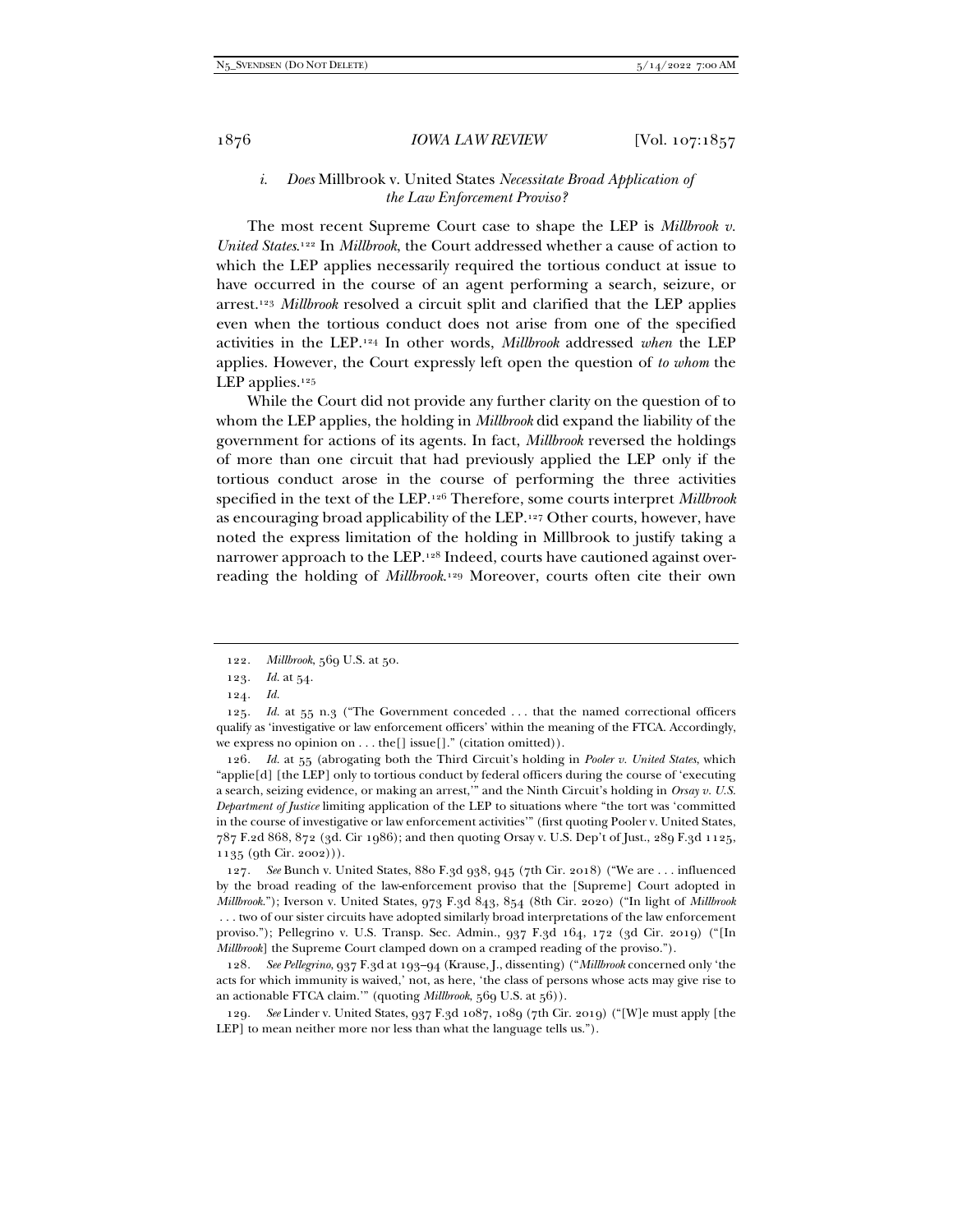# *i. Does* Millbrook v. United States *Necessitate Broad Application of the Law Enforcement Proviso?*

The most recent Supreme Court case to shape the LEP is *Millbrook v. United States*. 122 In *Millbrook*, the Court addressed whether a cause of action to which the LEP applies necessarily required the tortious conduct at issue to have occurred in the course of an agent performing a search, seizure, or arrest.123 *Millbrook* resolved a circuit split and clarified that the LEP applies even when the tortious conduct does not arise from one of the specified activities in the LEP.124 In other words, *Millbrook* addressed *when* the LEP applies. However, the Court expressly left open the question of *to whom* the LEP applies. $125$ 

While the Court did not provide any further clarity on the question of to whom the LEP applies, the holding in *Millbrook* did expand the liability of the government for actions of its agents. In fact, *Millbrook* reversed the holdings of more than one circuit that had previously applied the LEP only if the tortious conduct arose in the course of performing the three activities specified in the text of the LEP.126 Therefore, some courts interpret *Millbrook* as encouraging broad applicability of the LEP.127 Other courts, however, have noted the express limitation of the holding in Millbrook to justify taking a narrower approach to the LEP.128 Indeed, courts have cautioned against overreading the holding of *Millbrook*.129 Moreover, courts often cite their own

126*. Id.* at 55 (abrogating both the Third Circuit's holding in *Pooler v. United States*, which "applie[d] [the LEP] only to tortious conduct by federal officers during the course of 'executing a search, seizing evidence, or making an arrest,'" and the Ninth Circuit's holding in *Orsay v. U.S. Department of Justice* limiting application of the LEP to situations where "the tort was 'committed in the course of investigative or law enforcement activities'" (first quoting Pooler v. United States, 787 F.2d 868, 872 (3d. Cir 1986); and then quoting Orsay v. U.S. Dep't of Just., 289 F.3d 1125, 1135 (9th Cir. 2002))).

127*. See* Bunch v. United States, 880 F.3d 938, 945 (7th Cir. 2018) ("We are . . . influenced by the broad reading of the law-enforcement proviso that the [Supreme] Court adopted in *Millbrook*."); Iverson v. United States, 973 F.3d 843, 854 (8th Cir. 2020) ("In light of *Millbrook*  . . . two of our sister circuits have adopted similarly broad interpretations of the law enforcement proviso."); Pellegrino v. U.S. Transp. Sec. Admin., 937 F.3d 164, 172 (3d Cir. 2019) ("[In *Millbrook*] the Supreme Court clamped down on a cramped reading of the proviso.").

128*. See Pellegrino*, 937 F.3d at 193–94 (Krause, J., dissenting) ("*Millbrook* concerned only 'the acts for which immunity is waived,' not, as here, 'the class of persons whose acts may give rise to an actionable FTCA claim.'" (quoting *Millbrook*, 569 U.S. at 56)).

129*. See* Linder v. United States, 937 F.3d 1087, 1089 (7th Cir. 2019) ("[W]e must apply [the LEP] to mean neither more nor less than what the language tells us.").

<sup>122</sup>*. Millbrook*, 569 U.S. at 50.

<sup>123</sup>*. Id.* at 54.

<sup>124</sup>*. Id.*

<sup>125</sup>*. Id.* at 55 n.3 ("The Government conceded . . . that the named correctional officers qualify as 'investigative or law enforcement officers' within the meaning of the FTCA. Accordingly, we express no opinion on . . . the[] issue[]." (citation omitted)).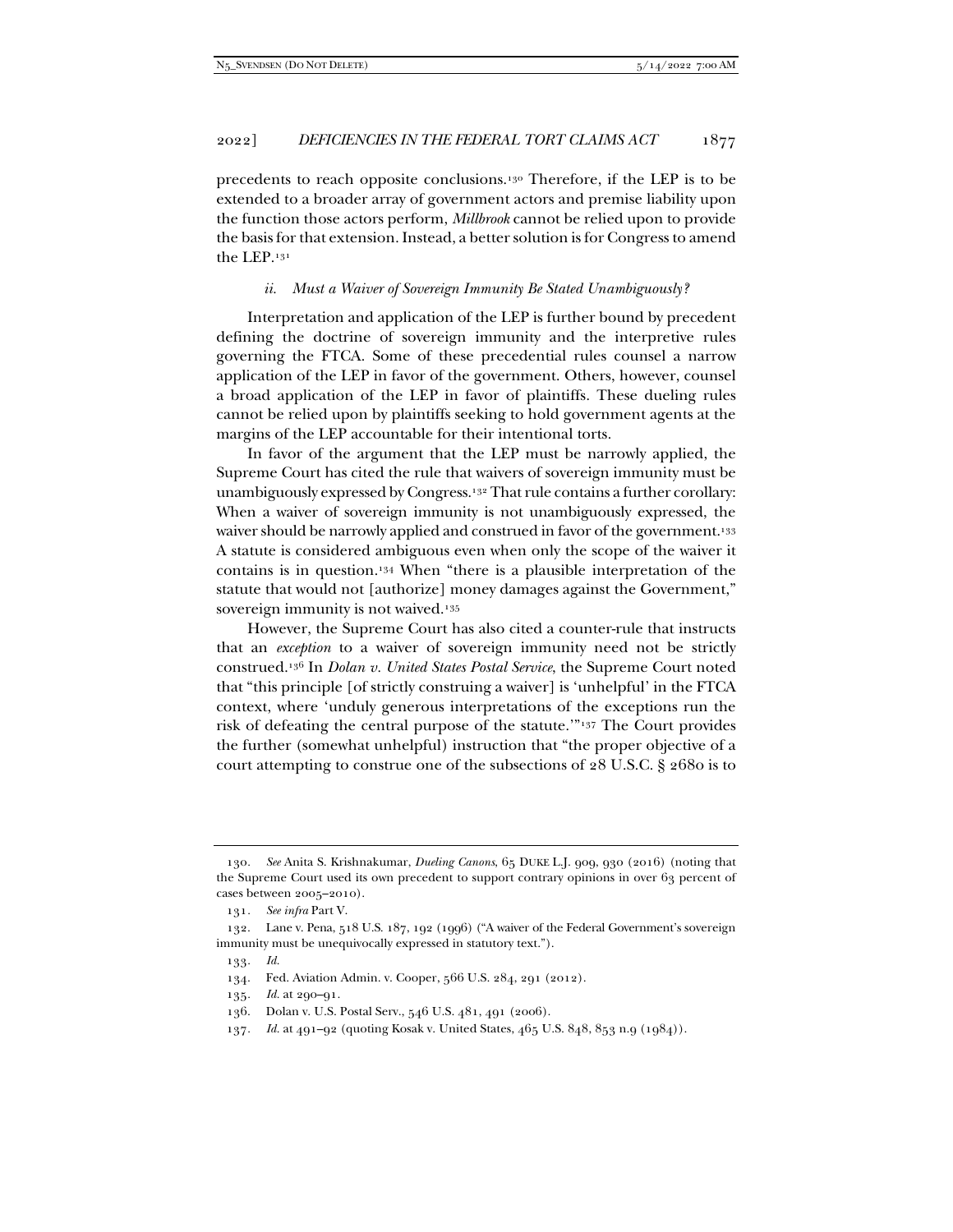precedents to reach opposite conclusions.130 Therefore, if the LEP is to be extended to a broader array of government actors and premise liability upon the function those actors perform, *Millbrook* cannot be relied upon to provide the basis for that extension. Instead, a better solution is for Congress to amend the LEP.131

#### *ii. Must a Waiver of Sovereign Immunity Be Stated Unambiguously?*

Interpretation and application of the LEP is further bound by precedent defining the doctrine of sovereign immunity and the interpretive rules governing the FTCA. Some of these precedential rules counsel a narrow application of the LEP in favor of the government. Others, however, counsel a broad application of the LEP in favor of plaintiffs. These dueling rules cannot be relied upon by plaintiffs seeking to hold government agents at the margins of the LEP accountable for their intentional torts.

In favor of the argument that the LEP must be narrowly applied, the Supreme Court has cited the rule that waivers of sovereign immunity must be unambiguously expressed by Congress.132 That rule contains a further corollary: When a waiver of sovereign immunity is not unambiguously expressed, the waiver should be narrowly applied and construed in favor of the government.<sup>133</sup> A statute is considered ambiguous even when only the scope of the waiver it contains is in question.134 When "there is a plausible interpretation of the statute that would not [authorize] money damages against the Government," sovereign immunity is not waived.<sup>135</sup>

However, the Supreme Court has also cited a counter-rule that instructs that an *exception* to a waiver of sovereign immunity need not be strictly construed.136 In *Dolan v. United States Postal Service*, the Supreme Court noted that "this principle [of strictly construing a waiver] is 'unhelpful' in the FTCA context, where 'unduly generous interpretations of the exceptions run the risk of defeating the central purpose of the statute.'"137 The Court provides the further (somewhat unhelpful) instruction that "the proper objective of a court attempting to construe one of the subsections of 28 U.S.C. § 2680 is to

<sup>130</sup>*. See* Anita S. Krishnakumar, *Dueling Canons*, 65 DUKE L.J. 909, 930 (2016) (noting that the Supreme Court used its own precedent to support contrary opinions in over 63 percent of cases between 2005–2010).

<sup>131</sup>*. See infra* Part V.

 <sup>132.</sup> Lane v. Pena, 518 U.S. 187, 192 (1996) ("A waiver of the Federal Government's sovereign immunity must be unequivocally expressed in statutory text.").

<sup>133</sup>*. Id.*

 <sup>134.</sup> Fed. Aviation Admin. v. Cooper, 566 U.S. 284, 291 (2012).

<sup>135</sup>*. Id.* at 290–91.

 <sup>136.</sup> Dolan v. U.S. Postal Serv., 546 U.S. 481, 491 (2006).

<sup>137</sup>*. Id.* at 491–92 (quoting Kosak v. United States, 465 U.S. 848, 853 n.9 (1984)).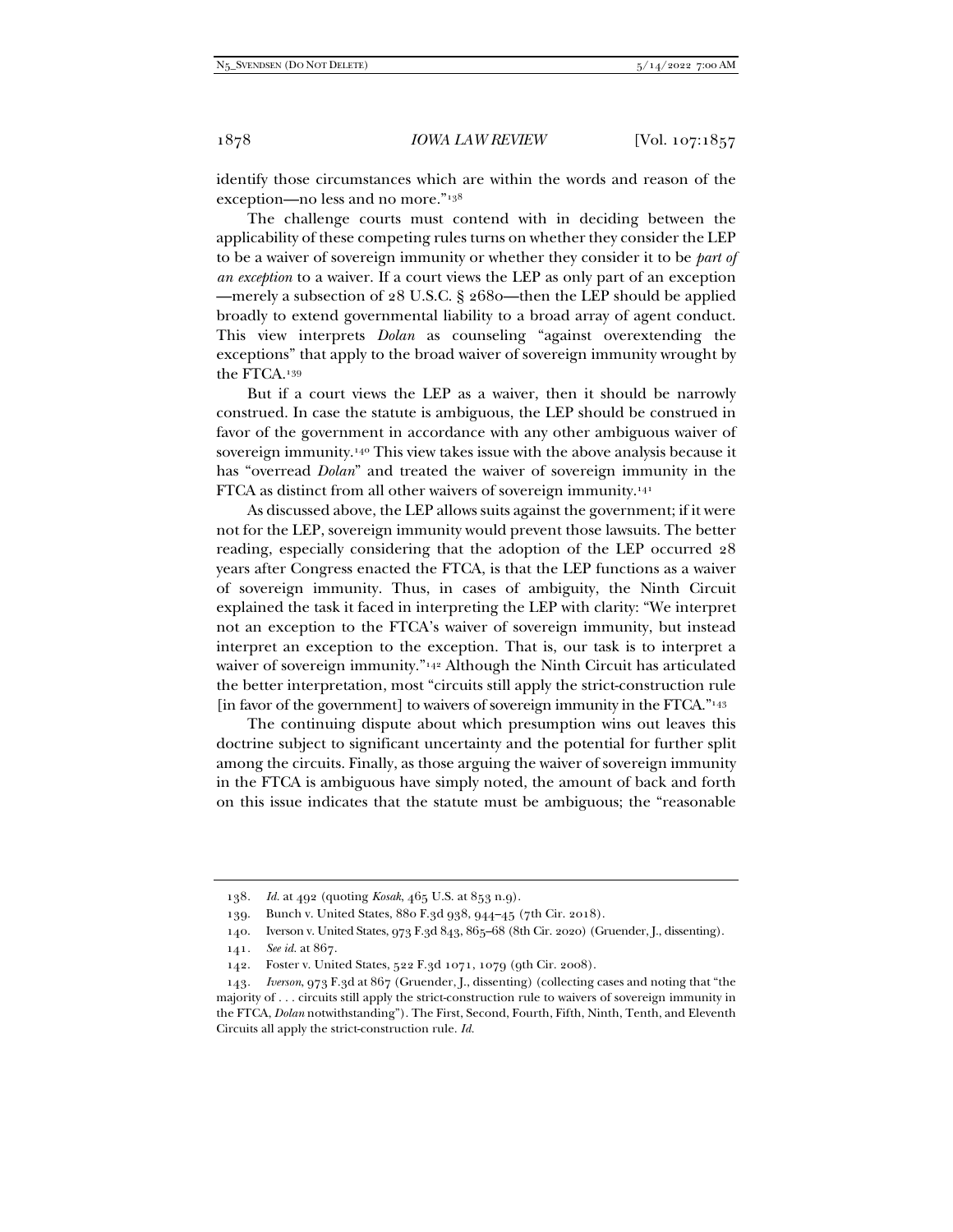identify those circumstances which are within the words and reason of the exception—no less and no more."138

The challenge courts must contend with in deciding between the applicability of these competing rules turns on whether they consider the LEP to be a waiver of sovereign immunity or whether they consider it to be *part of an exception* to a waiver. If a court views the LEP as only part of an exception —merely a subsection of 28 U.S.C. § 2680—then the LEP should be applied broadly to extend governmental liability to a broad array of agent conduct. This view interprets *Dolan* as counseling "against overextending the exceptions" that apply to the broad waiver of sovereign immunity wrought by the FTCA.139

But if a court views the LEP as a waiver, then it should be narrowly construed. In case the statute is ambiguous, the LEP should be construed in favor of the government in accordance with any other ambiguous waiver of sovereign immunity.140 This view takes issue with the above analysis because it has "overread *Dolan*" and treated the waiver of sovereign immunity in the FTCA as distinct from all other waivers of sovereign immunity.141

As discussed above, the LEP allows suits against the government; if it were not for the LEP, sovereign immunity would prevent those lawsuits. The better reading, especially considering that the adoption of the LEP occurred 28 years after Congress enacted the FTCA, is that the LEP functions as a waiver of sovereign immunity. Thus, in cases of ambiguity, the Ninth Circuit explained the task it faced in interpreting the LEP with clarity: "We interpret not an exception to the FTCA's waiver of sovereign immunity, but instead interpret an exception to the exception. That is, our task is to interpret a waiver of sovereign immunity."<sup>142</sup> Although the Ninth Circuit has articulated the better interpretation, most "circuits still apply the strict-construction rule [in favor of the government] to waivers of sovereign immunity in the FTCA."143

The continuing dispute about which presumption wins out leaves this doctrine subject to significant uncertainty and the potential for further split among the circuits. Finally, as those arguing the waiver of sovereign immunity in the FTCA is ambiguous have simply noted, the amount of back and forth on this issue indicates that the statute must be ambiguous; the "reasonable

<sup>138</sup>*. Id.* at 492 (quoting *Kosak*, 465 U.S. at 853 n.9).

 <sup>139.</sup> Bunch v. United States, 880 F.3d 938, 944–45 (7th Cir. 2018).

<sup>140.</sup> Iverson v. United States, 973 F.3d 843, 865-68 (8th Cir. 2020) (Gruender, J., dissenting).

<sup>141</sup>*. See id.* at 867.

 <sup>142.</sup> Foster v. United States, 522 F.3d 1071, 1079 (9th Cir. 2008).

<sup>143</sup>*. Iverson*, 973 F.3d at 867 (Gruender, J., dissenting) (collecting cases and noting that "the majority of . . . circuits still apply the strict-construction rule to waivers of sovereign immunity in the FTCA, *Dolan* notwithstanding"). The First, Second, Fourth, Fifth, Ninth, Tenth, and Eleventh Circuits all apply the strict-construction rule. *Id.*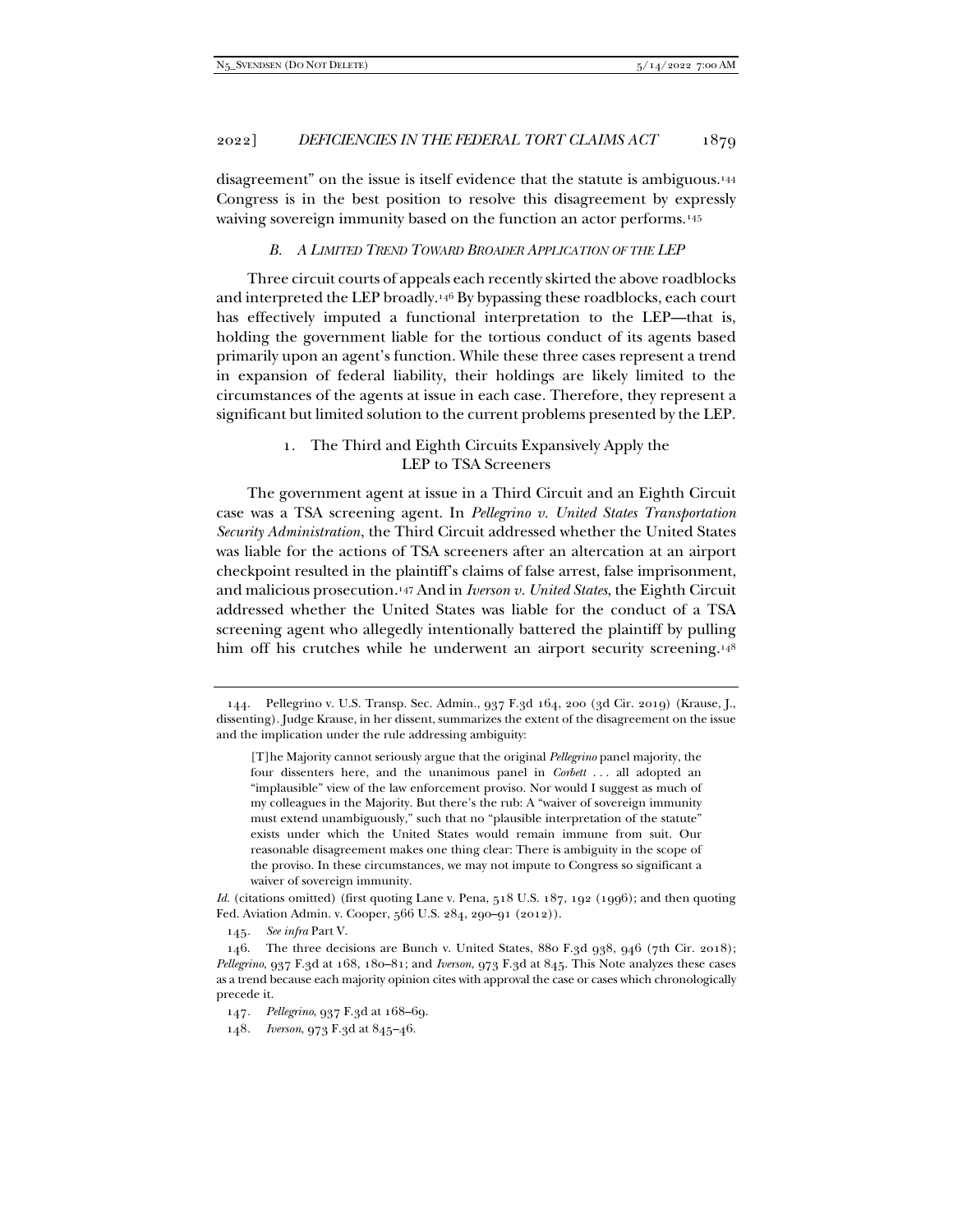disagreement" on the issue is itself evidence that the statute is ambiguous.144 Congress is in the best position to resolve this disagreement by expressly waiving sovereign immunity based on the function an actor performs.<sup>145</sup>

#### *B. A LIMITED TREND TOWARD BROADER APPLICATION OF THE LEP*

Three circuit courts of appeals each recently skirted the above roadblocks and interpreted the LEP broadly.146 By bypassing these roadblocks, each court has effectively imputed a functional interpretation to the LEP—that is, holding the government liable for the tortious conduct of its agents based primarily upon an agent's function. While these three cases represent a trend in expansion of federal liability, their holdings are likely limited to the circumstances of the agents at issue in each case. Therefore, they represent a significant but limited solution to the current problems presented by the LEP.

# 1. The Third and Eighth Circuits Expansively Apply the LEP to TSA Screeners

The government agent at issue in a Third Circuit and an Eighth Circuit case was a TSA screening agent. In *Pellegrino v. United States Transportation Security Administration*, the Third Circuit addressed whether the United States was liable for the actions of TSA screeners after an altercation at an airport checkpoint resulted in the plaintiff's claims of false arrest, false imprisonment, and malicious prosecution.147 And in *Iverson v. United States*, the Eighth Circuit addressed whether the United States was liable for the conduct of a TSA screening agent who allegedly intentionally battered the plaintiff by pulling him off his crutches while he underwent an airport security screening.<sup>148</sup>

 <sup>144.</sup> Pellegrino v. U.S. Transp. Sec. Admin., 937 F.3d 164, 200 (3d Cir. 2019) (Krause, J., dissenting). Judge Krause, in her dissent, summarizes the extent of the disagreement on the issue and the implication under the rule addressing ambiguity:

<sup>[</sup>T]he Majority cannot seriously argue that the original *Pellegrino* panel majority, the four dissenters here, and the unanimous panel in *Corbett* . . . all adopted an "implausible" view of the law enforcement proviso. Nor would I suggest as much of my colleagues in the Majority. But there's the rub: A "waiver of sovereign immunity must extend unambiguously," such that no "plausible interpretation of the statute" exists under which the United States would remain immune from suit. Our reasonable disagreement makes one thing clear: There is ambiguity in the scope of the proviso. In these circumstances, we may not impute to Congress so significant a waiver of sovereign immunity.

Id. (citations omitted) (first quoting Lane v. Pena, 518 U.S. 187, 192 (1996); and then quoting Fed. Aviation Admin. v. Cooper, 566 U.S. 284, 290–91 (2012)).

<sup>145</sup>*. See infra* Part V.

 <sup>146.</sup> The three decisions are Bunch v. United States, 880 F.3d 938, 946 (7th Cir. 2018); *Pellegrino*, 937 F.3d at 168, 180–81; and *Iverson*, 973 F.3d at 845. This Note analyzes these cases as a trend because each majority opinion cites with approval the case or cases which chronologically precede it.

<sup>147</sup>*. Pellegrino*, 937 F.3d at 168–69.

<sup>148</sup>*. Iverson*, 973 F.3d at 845–46.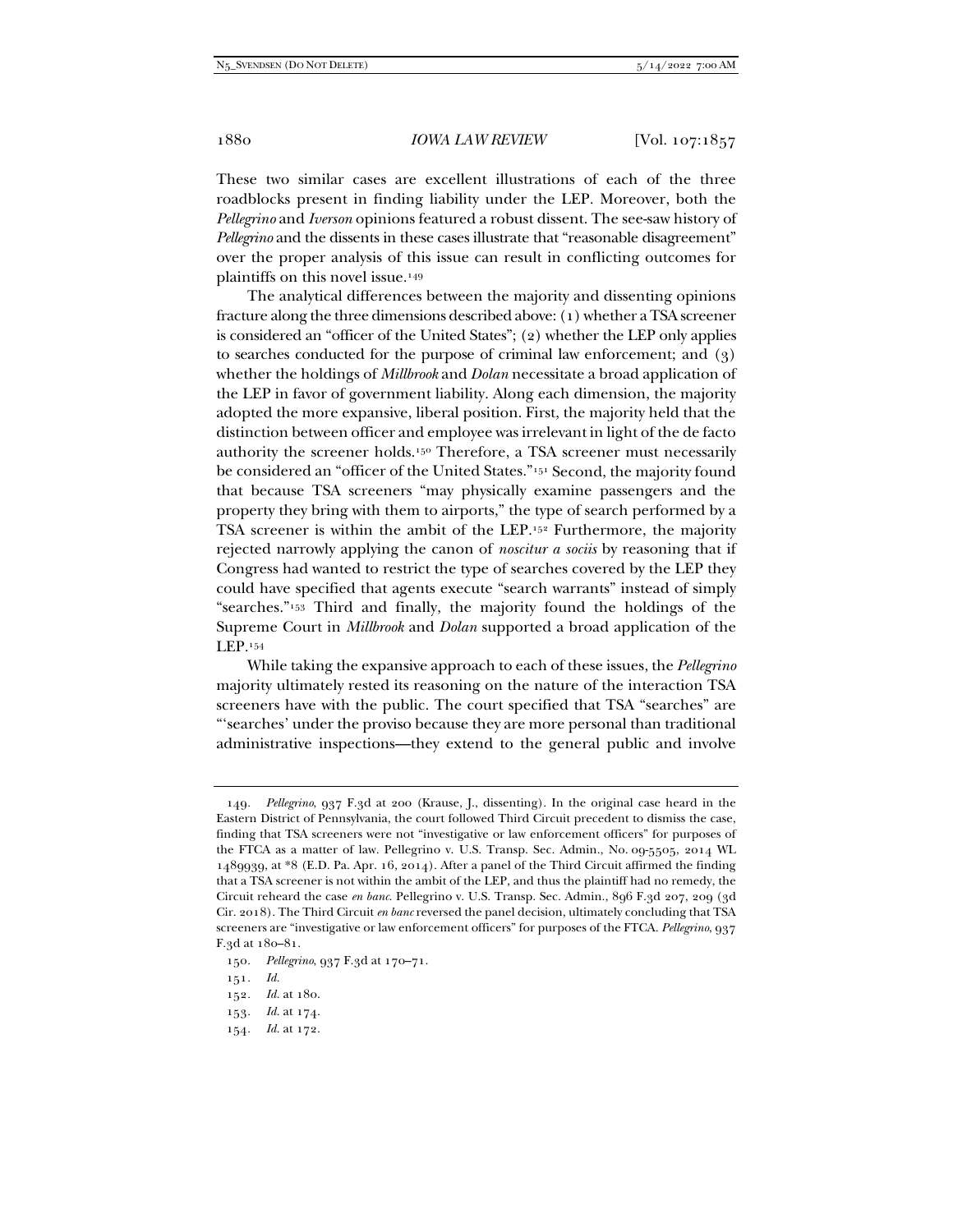These two similar cases are excellent illustrations of each of the three roadblocks present in finding liability under the LEP. Moreover, both the *Pellegrino* and *Iverson* opinions featured a robust dissent. The see-saw history of *Pellegrino* and the dissents in these cases illustrate that "reasonable disagreement" over the proper analysis of this issue can result in conflicting outcomes for plaintiffs on this novel issue.149

The analytical differences between the majority and dissenting opinions fracture along the three dimensions described above: (1) whether a TSA screener is considered an "officer of the United States"; (2) whether the LEP only applies to searches conducted for the purpose of criminal law enforcement; and (3) whether the holdings of *Millbrook* and *Dolan* necessitate a broad application of the LEP in favor of government liability. Along each dimension, the majority adopted the more expansive, liberal position. First, the majority held that the distinction between officer and employee was irrelevant in light of the de facto authority the screener holds.150 Therefore, a TSA screener must necessarily be considered an "officer of the United States."151 Second, the majority found that because TSA screeners "may physically examine passengers and the property they bring with them to airports," the type of search performed by a TSA screener is within the ambit of the LEP.152 Furthermore, the majority rejected narrowly applying the canon of *noscitur a sociis* by reasoning that if Congress had wanted to restrict the type of searches covered by the LEP they could have specified that agents execute "search warrants" instead of simply "searches."153 Third and finally, the majority found the holdings of the Supreme Court in *Millbrook* and *Dolan* supported a broad application of the LEP.154

While taking the expansive approach to each of these issues, the *Pellegrino*  majority ultimately rested its reasoning on the nature of the interaction TSA screeners have with the public. The court specified that TSA "searches" are "'searches' under the proviso because they are more personal than traditional administrative inspections—they extend to the general public and involve

154*. Id.* at 172.

<sup>149</sup>*. Pellegrino*, 937 F.3d at 200 (Krause, J., dissenting). In the original case heard in the Eastern District of Pennsylvania, the court followed Third Circuit precedent to dismiss the case, finding that TSA screeners were not "investigative or law enforcement officers" for purposes of the FTCA as a matter of law. Pellegrino v. U.S. Transp. Sec. Admin., No. 09-5505, 2014 WL 1489939, at \*8 (E.D. Pa. Apr. 16, 2014). After a panel of the Third Circuit affirmed the finding that a TSA screener is not within the ambit of the LEP, and thus the plaintiff had no remedy, the Circuit reheard the case *en banc*. Pellegrino v. U.S. Transp. Sec. Admin., 896 F.3d 207, 209 (3d Cir. 2018). The Third Circuit *en banc* reversed the panel decision, ultimately concluding that TSA screeners are "investigative or law enforcement officers" for purposes of the FTCA. *Pellegrino*, 937 F.3d at 180–81.

<sup>150</sup>*. Pellegrino*, 937 F.3d at 170–71.

<sup>151</sup>*. Id.*

<sup>152</sup>*. Id.* at 180.

<sup>153</sup>*. Id.* at 174.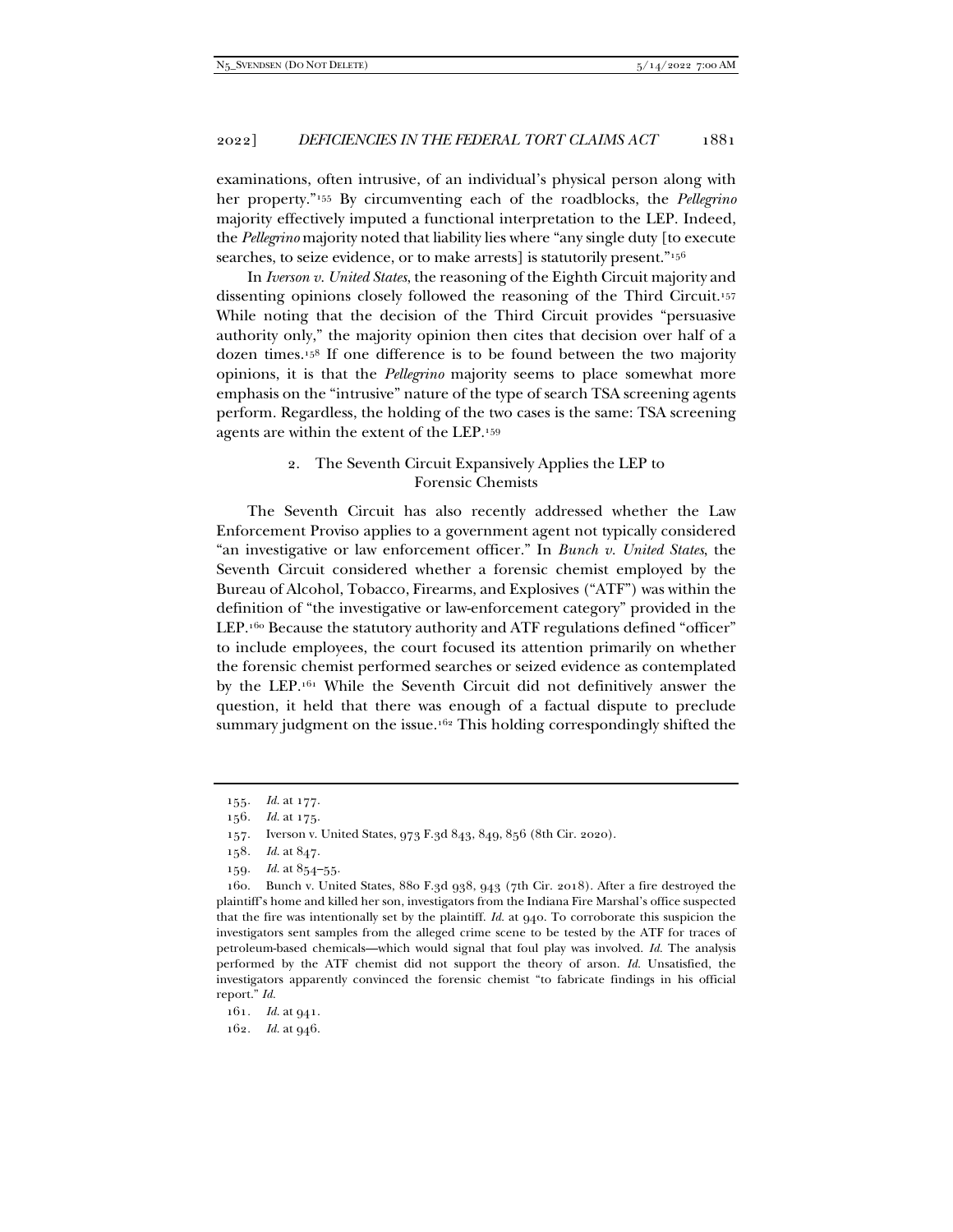examinations, often intrusive, of an individual's physical person along with her property."155 By circumventing each of the roadblocks, the *Pellegrino* majority effectively imputed a functional interpretation to the LEP. Indeed, the *Pellegrino* majority noted that liability lies where "any single duty [to execute searches, to seize evidence, or to make arrests] is statutorily present."<sup>156</sup>

In *Iverson v. United States*, the reasoning of the Eighth Circuit majority and dissenting opinions closely followed the reasoning of the Third Circuit.157 While noting that the decision of the Third Circuit provides "persuasive authority only," the majority opinion then cites that decision over half of a dozen times.158 If one difference is to be found between the two majority opinions, it is that the *Pellegrino* majority seems to place somewhat more emphasis on the "intrusive" nature of the type of search TSA screening agents perform. Regardless, the holding of the two cases is the same: TSA screening agents are within the extent of the LEP.159

# 2. The Seventh Circuit Expansively Applies the LEP to Forensic Chemists

The Seventh Circuit has also recently addressed whether the Law Enforcement Proviso applies to a government agent not typically considered "an investigative or law enforcement officer." In *Bunch v. United States*, the Seventh Circuit considered whether a forensic chemist employed by the Bureau of Alcohol, Tobacco, Firearms, and Explosives ("ATF") was within the definition of "the investigative or law-enforcement category" provided in the LEP.<sup>160</sup> Because the statutory authority and ATF regulations defined "officer" to include employees, the court focused its attention primarily on whether the forensic chemist performed searches or seized evidence as contemplated by the LEP.161 While the Seventh Circuit did not definitively answer the question, it held that there was enough of a factual dispute to preclude summary judgment on the issue.<sup>162</sup> This holding correspondingly shifted the

<sup>155</sup>*. Id.* at 177.

<sup>156</sup>*. Id.* at 175.

 <sup>157.</sup> Iverson v. United States, 973 F.3d 843, 849, 856 (8th Cir. 2020).

<sup>158</sup>*. Id.* at 847.

<sup>159</sup>*. Id.* at 854–55.

 <sup>160.</sup> Bunch v. United States, 880 F.3d 938, 943 (7th Cir. 2018). After a fire destroyed the plaintiff's home and killed her son, investigators from the Indiana Fire Marshal's office suspected that the fire was intentionally set by the plaintiff. *Id.* at 940. To corroborate this suspicion the investigators sent samples from the alleged crime scene to be tested by the ATF for traces of petroleum-based chemicals—which would signal that foul play was involved. *Id.* The analysis performed by the ATF chemist did not support the theory of arson. *Id.* Unsatisfied, the investigators apparently convinced the forensic chemist "to fabricate findings in his official report." *Id.* 

<sup>161</sup>*. Id.* at 941. 162*. Id.* at 946.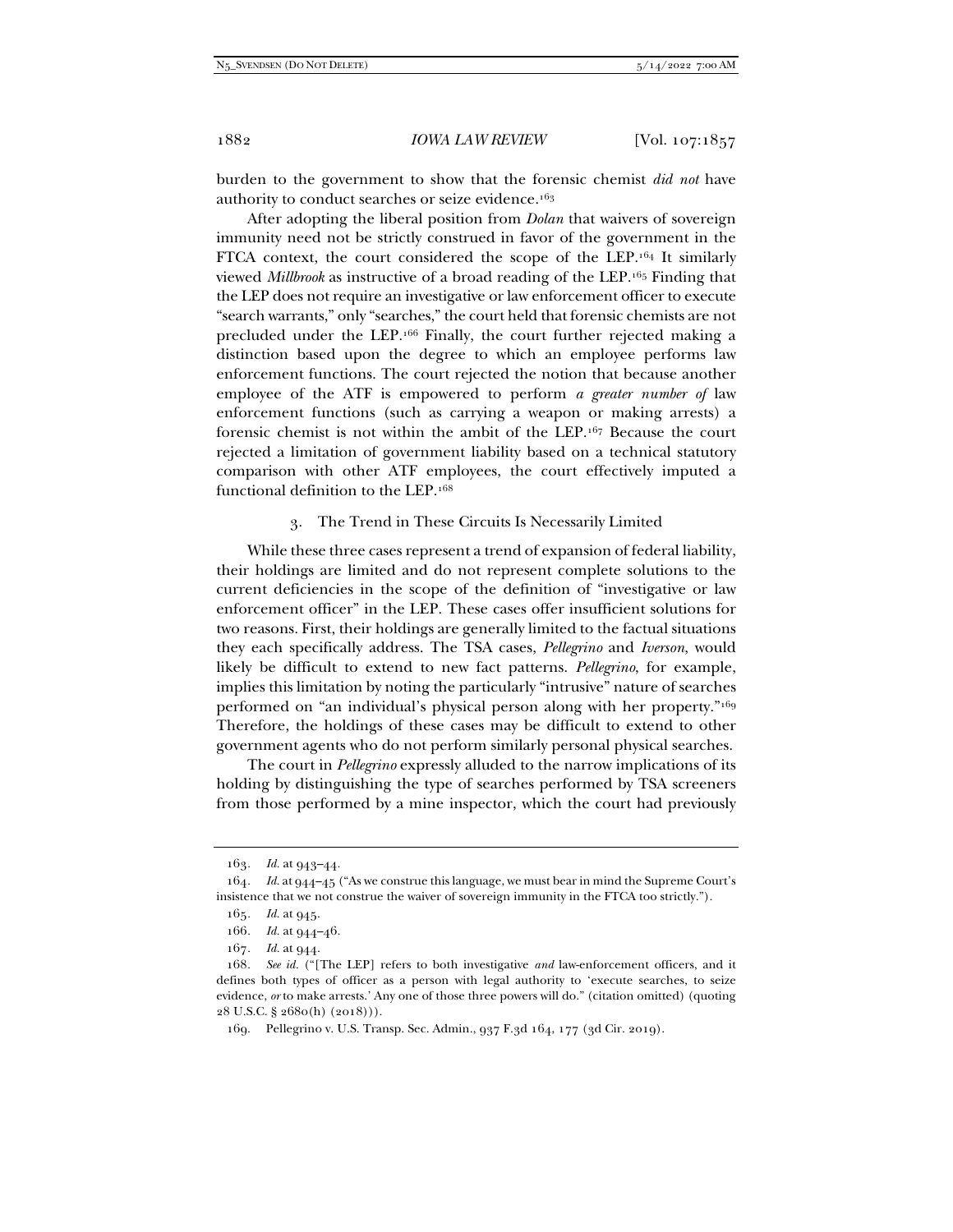burden to the government to show that the forensic chemist *did not* have authority to conduct searches or seize evidence.163

After adopting the liberal position from *Dolan* that waivers of sovereign immunity need not be strictly construed in favor of the government in the FTCA context, the court considered the scope of the LEP.164 It similarly viewed *Millbrook* as instructive of a broad reading of the LEP.165 Finding that the LEP does not require an investigative or law enforcement officer to execute "search warrants," only "searches," the court held that forensic chemists are not precluded under the LEP.166 Finally, the court further rejected making a distinction based upon the degree to which an employee performs law enforcement functions. The court rejected the notion that because another employee of the ATF is empowered to perform *a greater number of* law enforcement functions (such as carrying a weapon or making arrests) a forensic chemist is not within the ambit of the LEP.167 Because the court rejected a limitation of government liability based on a technical statutory comparison with other ATF employees, the court effectively imputed a functional definition to the LEP.168

#### 3. The Trend in These Circuits Is Necessarily Limited

While these three cases represent a trend of expansion of federal liability, their holdings are limited and do not represent complete solutions to the current deficiencies in the scope of the definition of "investigative or law enforcement officer" in the LEP. These cases offer insufficient solutions for two reasons. First, their holdings are generally limited to the factual situations they each specifically address. The TSA cases, *Pellegrino* and *Iverson*, would likely be difficult to extend to new fact patterns. *Pellegrino*, for example, implies this limitation by noting the particularly "intrusive" nature of searches performed on "an individual's physical person along with her property."169 Therefore, the holdings of these cases may be difficult to extend to other government agents who do not perform similarly personal physical searches.

The court in *Pellegrino* expressly alluded to the narrow implications of its holding by distinguishing the type of searches performed by TSA screeners from those performed by a mine inspector, which the court had previously

<sup>163</sup>*. Id.* at 943–44.

<sup>164</sup>*. Id.* at 944–45 ("As we construe this language, we must bear in mind the Supreme Court's insistence that we not construe the waiver of sovereign immunity in the FTCA too strictly.").

<sup>165</sup>*. Id.* at 945.

<sup>166</sup>*. Id.* at 944–46.

<sup>167</sup>*. Id.* at 944.

<sup>168</sup>*. See id.* ("[The LEP] refers to both investigative *and* law-enforcement officers, and it defines both types of officer as a person with legal authority to 'execute searches, to seize evidence, *or* to make arrests.' Any one of those three powers will do." (citation omitted) (quoting 28 U.S.C. § 2680(h) (2018))).

 <sup>169.</sup> Pellegrino v. U.S. Transp. Sec. Admin., 937 F.3d 164, 177 (3d Cir. 2019).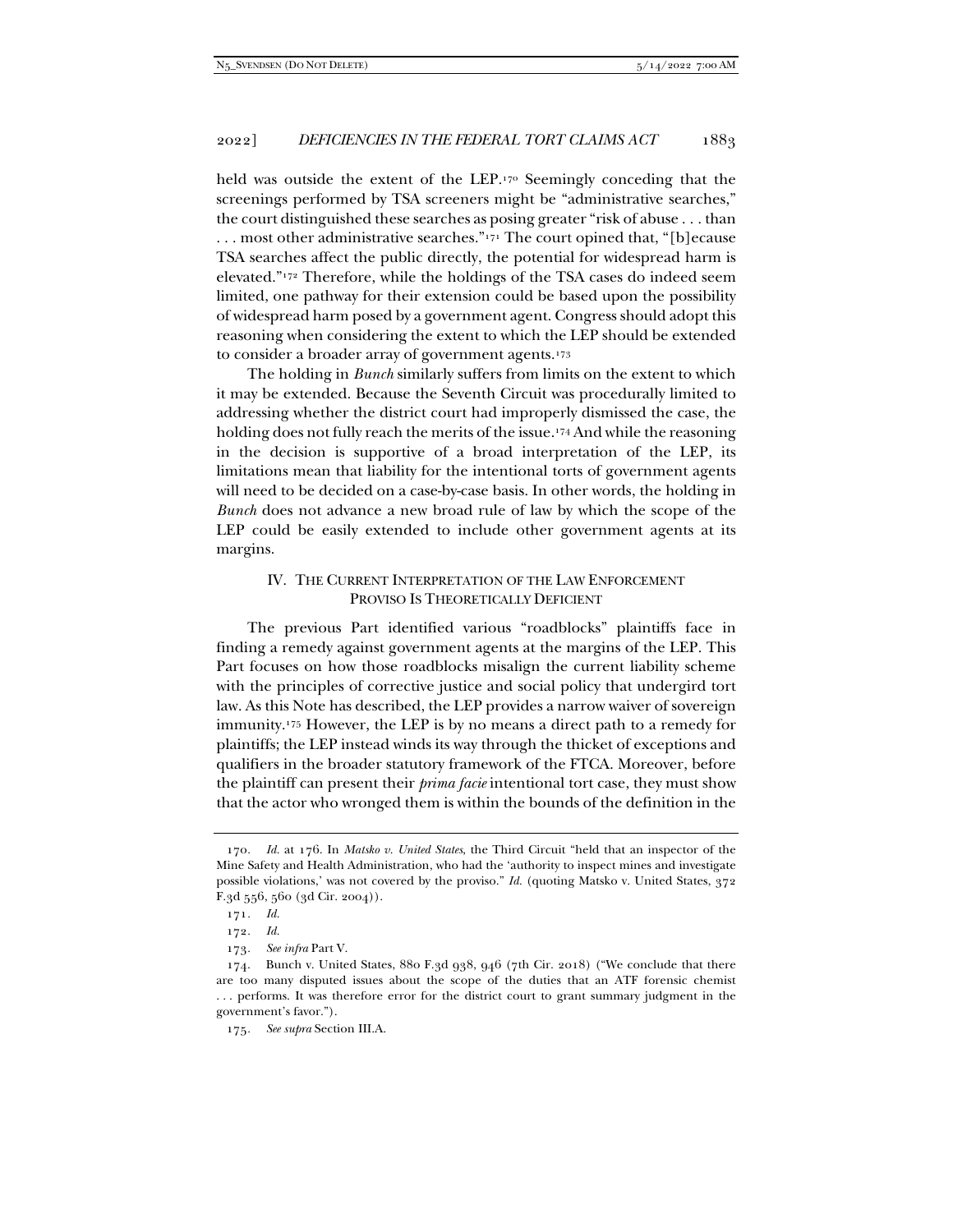held was outside the extent of the LEP.170 Seemingly conceding that the screenings performed by TSA screeners might be "administrative searches," the court distinguished these searches as posing greater "risk of abuse . . . than ... most other administrative searches." $171$  The court opined that, "[b] ecause TSA searches affect the public directly, the potential for widespread harm is elevated."172 Therefore, while the holdings of the TSA cases do indeed seem limited, one pathway for their extension could be based upon the possibility of widespread harm posed by a government agent. Congress should adopt this reasoning when considering the extent to which the LEP should be extended to consider a broader array of government agents.173

The holding in *Bunch* similarly suffers from limits on the extent to which it may be extended. Because the Seventh Circuit was procedurally limited to addressing whether the district court had improperly dismissed the case, the holding does not fully reach the merits of the issue.<sup>174</sup> And while the reasoning in the decision is supportive of a broad interpretation of the LEP, its limitations mean that liability for the intentional torts of government agents will need to be decided on a case-by-case basis. In other words, the holding in *Bunch* does not advance a new broad rule of law by which the scope of the LEP could be easily extended to include other government agents at its margins.

# IV. THE CURRENT INTERPRETATION OF THE LAW ENFORCEMENT PROVISO IS THEORETICALLY DEFICIENT

The previous Part identified various "roadblocks" plaintiffs face in finding a remedy against government agents at the margins of the LEP. This Part focuses on how those roadblocks misalign the current liability scheme with the principles of corrective justice and social policy that undergird tort law. As this Note has described, the LEP provides a narrow waiver of sovereign immunity.175 However, the LEP is by no means a direct path to a remedy for plaintiffs; the LEP instead winds its way through the thicket of exceptions and qualifiers in the broader statutory framework of the FTCA. Moreover, before the plaintiff can present their *prima facie* intentional tort case, they must show that the actor who wronged them is within the bounds of the definition in the

<sup>170</sup>*. Id.* at 176. In *Matsko v. United States*, the Third Circuit "held that an inspector of the Mine Safety and Health Administration, who had the 'authority to inspect mines and investigate possible violations,' was not covered by the proviso." *Id.* (quoting Matsko v. United States, 372 F.3d 556, 560 (3d Cir. 2004)).

<sup>171</sup>*. Id.* 

<sup>172</sup>*. Id.*

<sup>173</sup>*. See infra* Part V.

 <sup>174.</sup> Bunch v. United States, 880 F.3d 938, 946 (7th Cir. 2018) ("We conclude that there are too many disputed issues about the scope of the duties that an ATF forensic chemist . . . performs. It was therefore error for the district court to grant summary judgment in the government's favor.").

<sup>175</sup>*. See supra* Section III.A.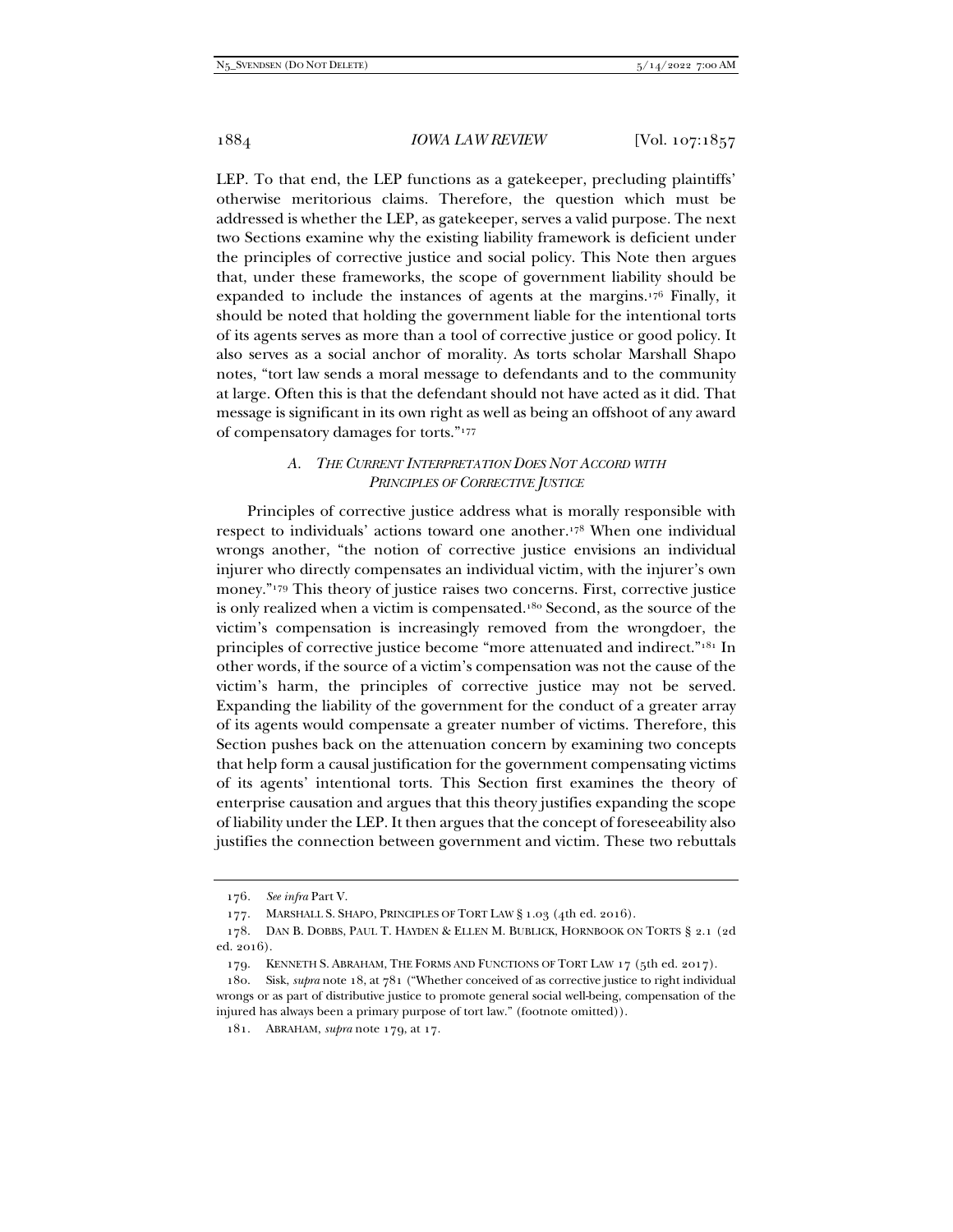LEP. To that end, the LEP functions as a gatekeeper, precluding plaintiffs' otherwise meritorious claims. Therefore, the question which must be addressed is whether the LEP, as gatekeeper, serves a valid purpose. The next two Sections examine why the existing liability framework is deficient under the principles of corrective justice and social policy. This Note then argues that, under these frameworks, the scope of government liability should be expanded to include the instances of agents at the margins.176 Finally, it should be noted that holding the government liable for the intentional torts of its agents serves as more than a tool of corrective justice or good policy. It also serves as a social anchor of morality. As torts scholar Marshall Shapo notes, "tort law sends a moral message to defendants and to the community at large. Often this is that the defendant should not have acted as it did. That message is significant in its own right as well as being an offshoot of any award of compensatory damages for torts."177

## *A. THE CURRENT INTERPRETATION DOES NOT ACCORD WITH PRINCIPLES OF CORRECTIVE JUSTICE*

Principles of corrective justice address what is morally responsible with respect to individuals' actions toward one another.178 When one individual wrongs another, "the notion of corrective justice envisions an individual injurer who directly compensates an individual victim, with the injurer's own money."179 This theory of justice raises two concerns. First, corrective justice is only realized when a victim is compensated.180 Second, as the source of the victim's compensation is increasingly removed from the wrongdoer, the principles of corrective justice become "more attenuated and indirect."181 In other words, if the source of a victim's compensation was not the cause of the victim's harm, the principles of corrective justice may not be served. Expanding the liability of the government for the conduct of a greater array of its agents would compensate a greater number of victims. Therefore, this Section pushes back on the attenuation concern by examining two concepts that help form a causal justification for the government compensating victims of its agents' intentional torts. This Section first examines the theory of enterprise causation and argues that this theory justifies expanding the scope of liability under the LEP. It then argues that the concept of foreseeability also justifies the connection between government and victim. These two rebuttals

<sup>176</sup>*. See infra* Part V.

<sup>177.</sup> MARSHALL S. SHAPO, PRINCIPLES OF TORT LAW § 1.03 (4th ed. 2016).

 <sup>178.</sup> DAN B. DOBBS, PAUL T. HAYDEN & ELLEN M. BUBLICK, HORNBOOK ON TORTS § 2.1 (2d ed. 2016).

<sup>179.</sup> KENNETH S. ABRAHAM, THE FORMS AND FUNCTIONS OF TORT LAW 17 (5th ed. 2017).

 <sup>180.</sup> Sisk, *supra* note 18, at 781 ("Whether conceived of as corrective justice to right individual wrongs or as part of distributive justice to promote general social well-being, compensation of the injured has always been a primary purpose of tort law." (footnote omitted)).

 <sup>181.</sup> ABRAHAM, *supra* note 179, at 17.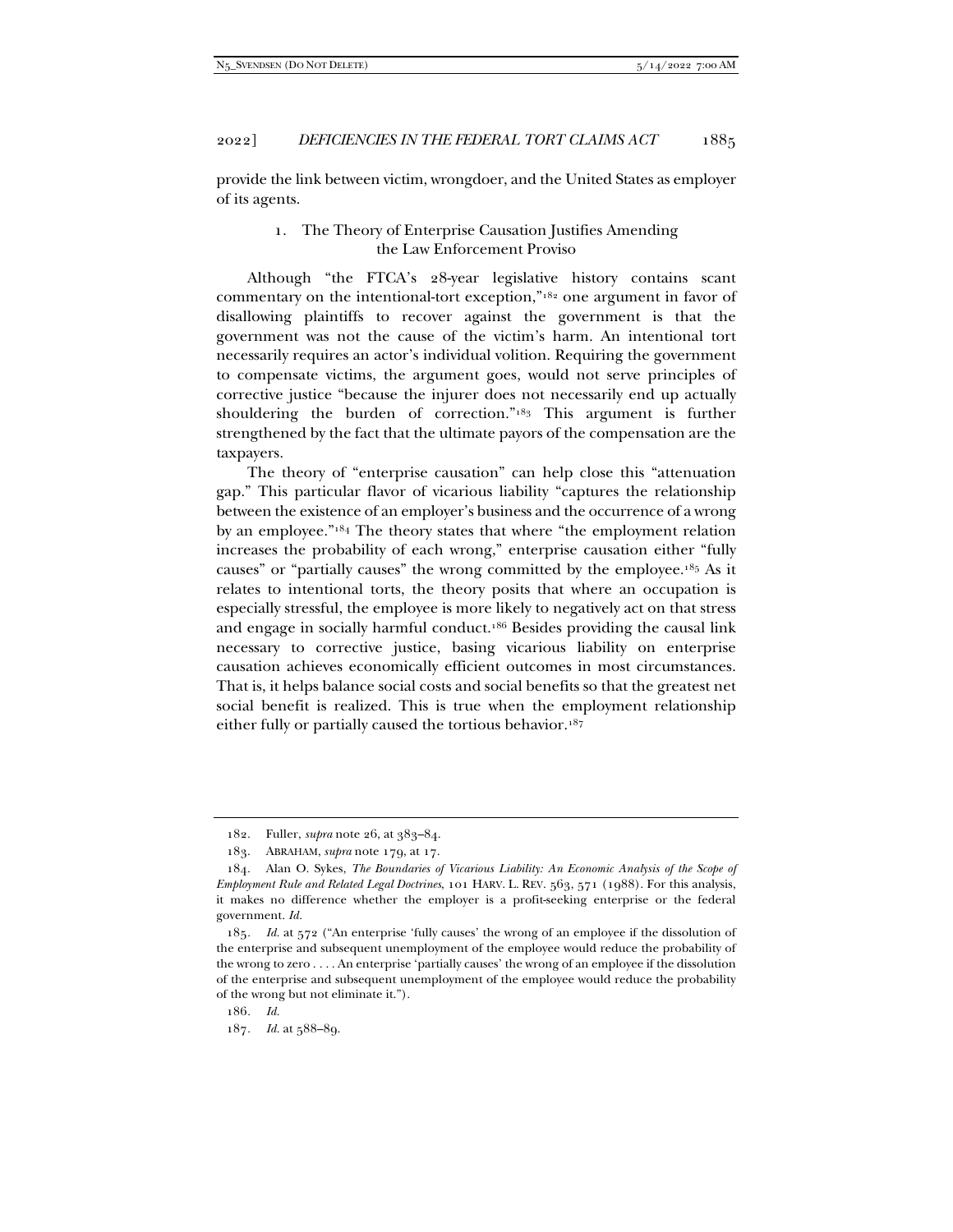provide the link between victim, wrongdoer, and the United States as employer of its agents.

# 1. The Theory of Enterprise Causation Justifies Amending the Law Enforcement Proviso

Although "the FTCA's 28-year legislative history contains scant commentary on the intentional-tort exception,"182 one argument in favor of disallowing plaintiffs to recover against the government is that the government was not the cause of the victim's harm. An intentional tort necessarily requires an actor's individual volition. Requiring the government to compensate victims, the argument goes, would not serve principles of corrective justice "because the injurer does not necessarily end up actually shouldering the burden of correction."183 This argument is further strengthened by the fact that the ultimate payors of the compensation are the taxpayers.

The theory of "enterprise causation" can help close this "attenuation gap." This particular flavor of vicarious liability "captures the relationship between the existence of an employer's business and the occurrence of a wrong by an employee."184 The theory states that where "the employment relation increases the probability of each wrong," enterprise causation either "fully causes" or "partially causes" the wrong committed by the employee.185 As it relates to intentional torts, the theory posits that where an occupation is especially stressful, the employee is more likely to negatively act on that stress and engage in socially harmful conduct.186 Besides providing the causal link necessary to corrective justice, basing vicarious liability on enterprise causation achieves economically efficient outcomes in most circumstances. That is, it helps balance social costs and social benefits so that the greatest net social benefit is realized. This is true when the employment relationship either fully or partially caused the tortious behavior.187

 <sup>182.</sup> Fuller, *supra* note 26, at 383–84.

 <sup>183.</sup> ABRAHAM, *supra* note 179, at 17.

 <sup>184.</sup> Alan O. Sykes, *The Boundaries of Vicarious Liability: An Economic Analysis of the Scope of Employment Rule and Related Legal Doctrines*, 101 HARV. L. REV. 563, 571 (1988). For this analysis, it makes no difference whether the employer is a profit-seeking enterprise or the federal government. *Id.* 

<sup>185</sup>*. Id.* at 572 ("An enterprise 'fully causes' the wrong of an employee if the dissolution of the enterprise and subsequent unemployment of the employee would reduce the probability of the wrong to zero . . . . An enterprise 'partially causes' the wrong of an employee if the dissolution of the enterprise and subsequent unemployment of the employee would reduce the probability of the wrong but not eliminate it.").

<sup>186</sup>*. Id.*

<sup>187</sup>*. Id.* at 588–89.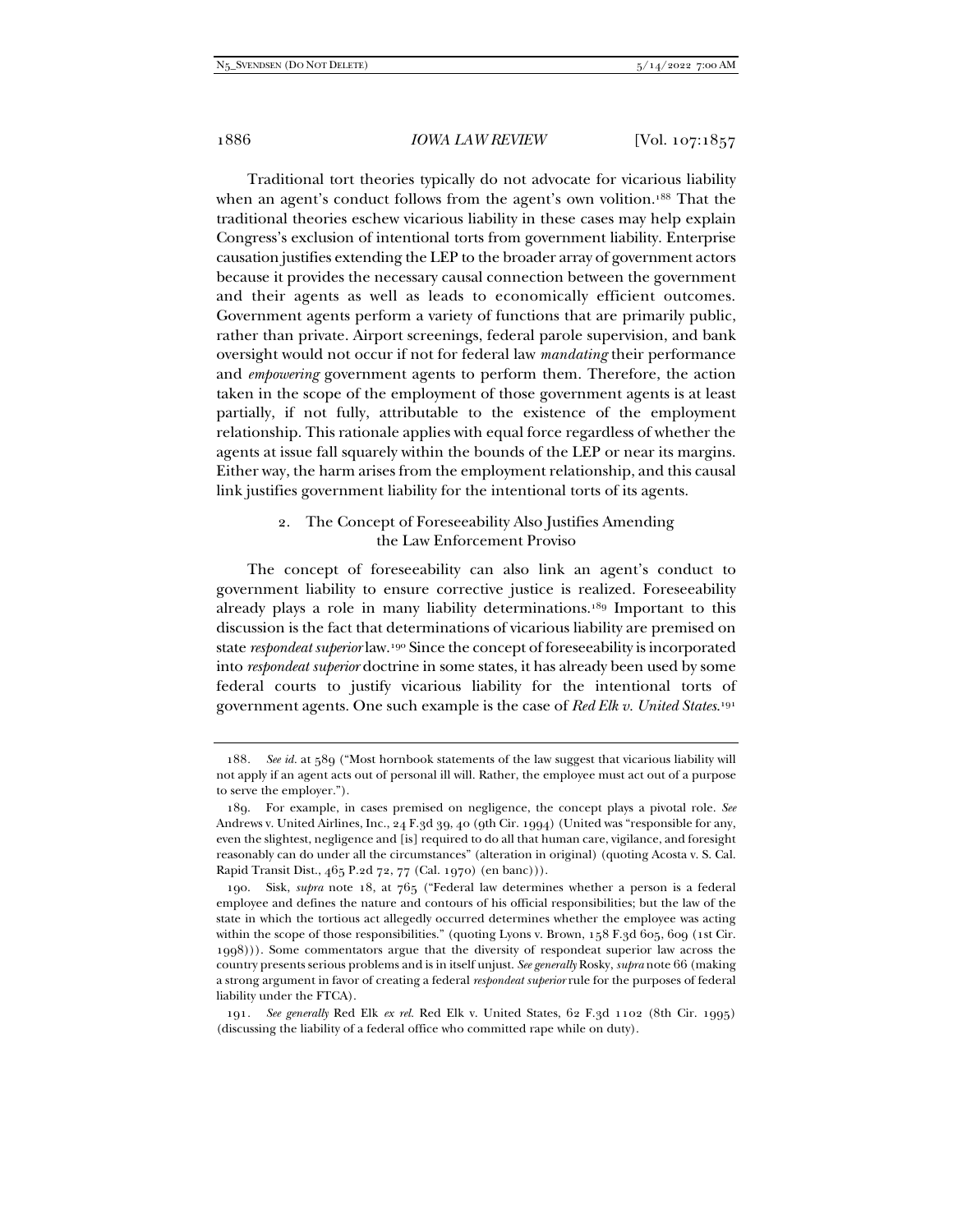Traditional tort theories typically do not advocate for vicarious liability when an agent's conduct follows from the agent's own volition.<sup>188</sup> That the traditional theories eschew vicarious liability in these cases may help explain Congress's exclusion of intentional torts from government liability. Enterprise causation justifies extending the LEP to the broader array of government actors because it provides the necessary causal connection between the government and their agents as well as leads to economically efficient outcomes. Government agents perform a variety of functions that are primarily public, rather than private. Airport screenings, federal parole supervision, and bank oversight would not occur if not for federal law *mandating* their performance and *empowering* government agents to perform them. Therefore, the action taken in the scope of the employment of those government agents is at least partially, if not fully, attributable to the existence of the employment relationship. This rationale applies with equal force regardless of whether the agents at issue fall squarely within the bounds of the LEP or near its margins. Either way, the harm arises from the employment relationship, and this causal link justifies government liability for the intentional torts of its agents.

## 2. The Concept of Foreseeability Also Justifies Amending the Law Enforcement Proviso

The concept of foreseeability can also link an agent's conduct to government liability to ensure corrective justice is realized. Foreseeability already plays a role in many liability determinations.189 Important to this discussion is the fact that determinations of vicarious liability are premised on state *respondeat superior* law.190 Since the concept of foreseeability is incorporated into *respondeat superior* doctrine in some states, it has already been used by some federal courts to justify vicarious liability for the intentional torts of government agents. One such example is the case of *Red Elk v. United States*.191

<sup>188</sup>*. See id.* at 589 ("Most hornbook statements of the law suggest that vicarious liability will not apply if an agent acts out of personal ill will. Rather, the employee must act out of a purpose to serve the employer.").

 <sup>189.</sup> For example, in cases premised on negligence, the concept plays a pivotal role. *See* Andrews v. United Airlines, Inc., 24 F.3d 39, 40 (9th Cir. 1994) (United was "responsible for any, even the slightest, negligence and [is] required to do all that human care, vigilance, and foresight reasonably can do under all the circumstances" (alteration in original) (quoting Acosta v. S. Cal. Rapid Transit Dist., 465 P.2d 72, 77 (Cal. 1970) (en banc))).

 <sup>190.</sup> Sisk, *supra* note 18, at 765 ("Federal law determines whether a person is a federal employee and defines the nature and contours of his official responsibilities; but the law of the state in which the tortious act allegedly occurred determines whether the employee was acting within the scope of those responsibilities." (quoting Lyons v. Brown, 158 F.3d 605, 609 (1st Cir. 1998))). Some commentators argue that the diversity of respondeat superior law across the country presents serious problems and is in itself unjust. *See generally* Rosky, *supra* note 66 (making a strong argument in favor of creating a federal *respondeat superior* rule for the purposes of federal liability under the FTCA).

<sup>191</sup>*. See generally* Red Elk *ex rel.* Red Elk v. United States, 62 F.3d 1102 (8th Cir. 1995) (discussing the liability of a federal office who committed rape while on duty).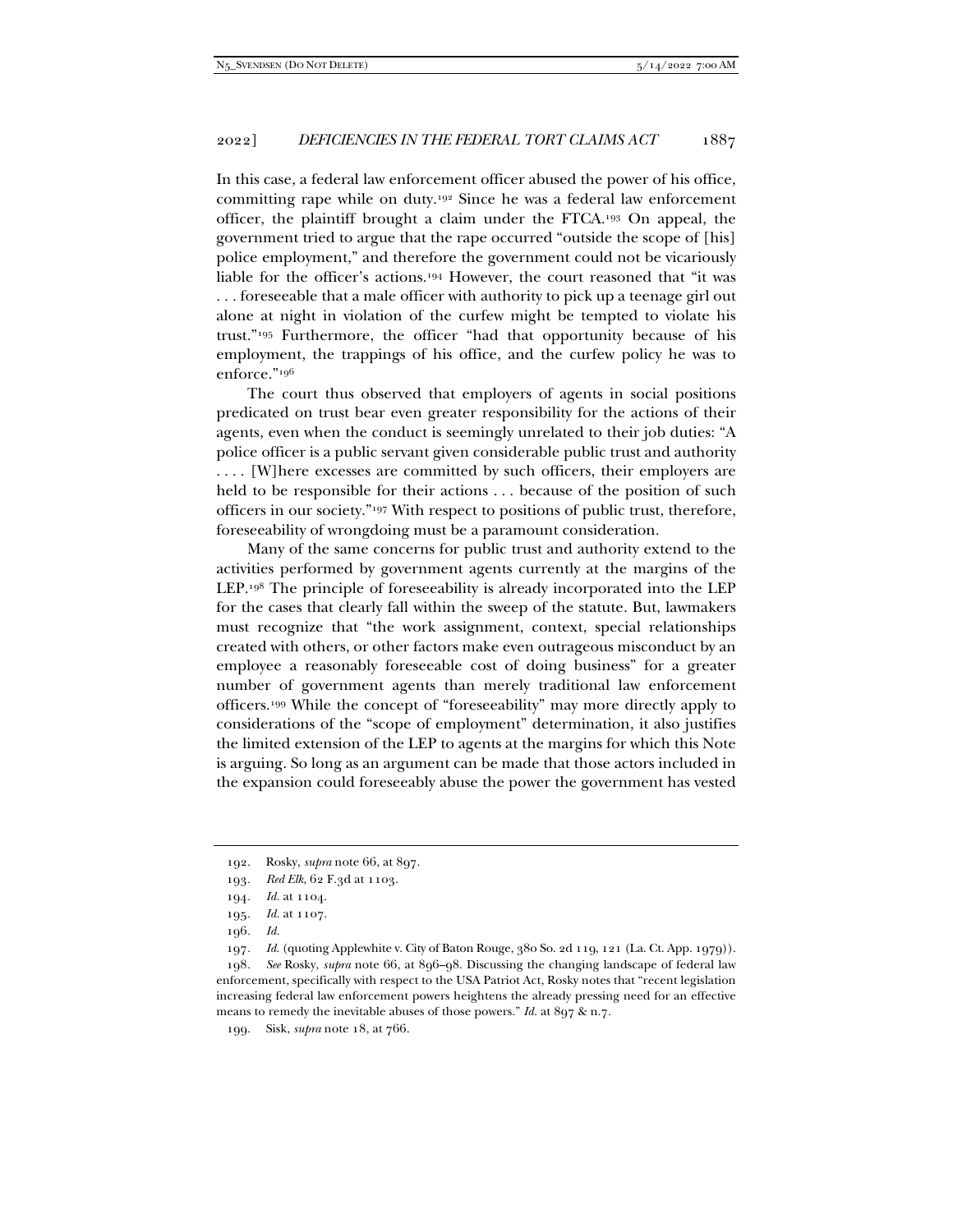In this case, a federal law enforcement officer abused the power of his office, committing rape while on duty.192 Since he was a federal law enforcement officer, the plaintiff brought a claim under the FTCA.193 On appeal, the government tried to argue that the rape occurred "outside the scope of [his] police employment," and therefore the government could not be vicariously liable for the officer's actions.194 However, the court reasoned that "it was . . . foreseeable that a male officer with authority to pick up a teenage girl out alone at night in violation of the curfew might be tempted to violate his trust."195 Furthermore, the officer "had that opportunity because of his employment, the trappings of his office, and the curfew policy he was to enforce."196

The court thus observed that employers of agents in social positions predicated on trust bear even greater responsibility for the actions of their agents, even when the conduct is seemingly unrelated to their job duties: "A police officer is a public servant given considerable public trust and authority .... [W]here excesses are committed by such officers, their employers are held to be responsible for their actions . . . because of the position of such officers in our society."197 With respect to positions of public trust, therefore, foreseeability of wrongdoing must be a paramount consideration.

Many of the same concerns for public trust and authority extend to the activities performed by government agents currently at the margins of the LEP.198 The principle of foreseeability is already incorporated into the LEP for the cases that clearly fall within the sweep of the statute. But, lawmakers must recognize that "the work assignment, context, special relationships created with others, or other factors make even outrageous misconduct by an employee a reasonably foreseeable cost of doing business" for a greater number of government agents than merely traditional law enforcement officers.199 While the concept of "foreseeability" may more directly apply to considerations of the "scope of employment" determination, it also justifies the limited extension of the LEP to agents at the margins for which this Note is arguing. So long as an argument can be made that those actors included in the expansion could foreseeably abuse the power the government has vested

197*. Id.* (quoting Applewhite v. City of Baton Rouge, 380 So. 2d 119, 121 (La. Ct. App. 1979)).

198*. See* Rosky, *supra* note 66, at 896–98. Discussing the changing landscape of federal law enforcement, specifically with respect to the USA Patriot Act, Rosky notes that "recent legislation increasing federal law enforcement powers heightens the already pressing need for an effective means to remedy the inevitable abuses of those powers." *Id.* at 897 & n.7.

199. Sisk, *supra* note 18, at 766.

 <sup>192.</sup> Rosky, *supra* note 66, at 897.

<sup>193</sup>*. Red Elk*, 62 F.3d at 1103.

<sup>194</sup>*. Id.* at 1104.

<sup>195</sup>*. Id.* at 1107.

<sup>196</sup>*. Id.*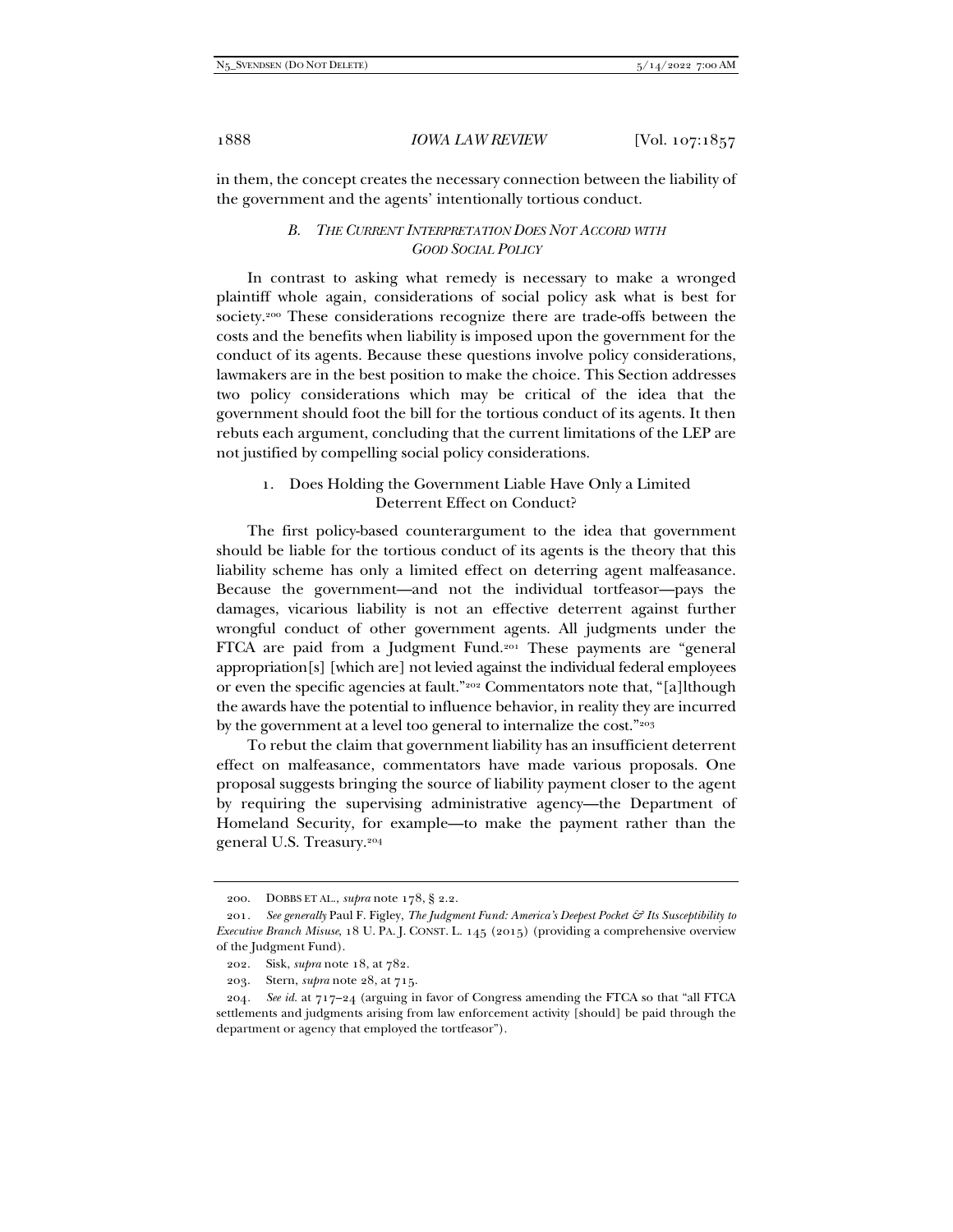in them, the concept creates the necessary connection between the liability of the government and the agents' intentionally tortious conduct.

## *B. THE CURRENT INTERPRETATION DOES NOT ACCORD WITH GOOD SOCIAL POLICY*

In contrast to asking what remedy is necessary to make a wronged plaintiff whole again, considerations of social policy ask what is best for society.200 These considerations recognize there are trade-offs between the costs and the benefits when liability is imposed upon the government for the conduct of its agents. Because these questions involve policy considerations, lawmakers are in the best position to make the choice. This Section addresses two policy considerations which may be critical of the idea that the government should foot the bill for the tortious conduct of its agents. It then rebuts each argument, concluding that the current limitations of the LEP are not justified by compelling social policy considerations.

# 1. Does Holding the Government Liable Have Only a Limited Deterrent Effect on Conduct?

The first policy-based counterargument to the idea that government should be liable for the tortious conduct of its agents is the theory that this liability scheme has only a limited effect on deterring agent malfeasance. Because the government—and not the individual tortfeasor—pays the damages, vicarious liability is not an effective deterrent against further wrongful conduct of other government agents. All judgments under the FTCA are paid from a Judgment Fund.201 These payments are "general appropriation[s] [which are] not levied against the individual federal employees or even the specific agencies at fault."202 Commentators note that, "[a]lthough the awards have the potential to influence behavior, in reality they are incurred by the government at a level too general to internalize the cost."203

To rebut the claim that government liability has an insufficient deterrent effect on malfeasance, commentators have made various proposals. One proposal suggests bringing the source of liability payment closer to the agent by requiring the supervising administrative agency—the Department of Homeland Security, for example—to make the payment rather than the general U.S. Treasury.204

 <sup>200.</sup> DOBBS ET AL., *supra* note 178, § 2.2.

<sup>201</sup>*. See generally* Paul F. Figley, *The Judgment Fund: America's Deepest Pocket & Its Susceptibility to Executive Branch Misuse*, 18 U. PA. J. CONST. L. 145 (2015) (providing a comprehensive overview of the Judgment Fund).

 <sup>202.</sup> Sisk, *supra* note 18, at 782.

 <sup>203.</sup> Stern, *supra* note 28, at 715.

<sup>204</sup>*. See id.* at 717–24 (arguing in favor of Congress amending the FTCA so that "all FTCA settlements and judgments arising from law enforcement activity [should] be paid through the department or agency that employed the tortfeasor").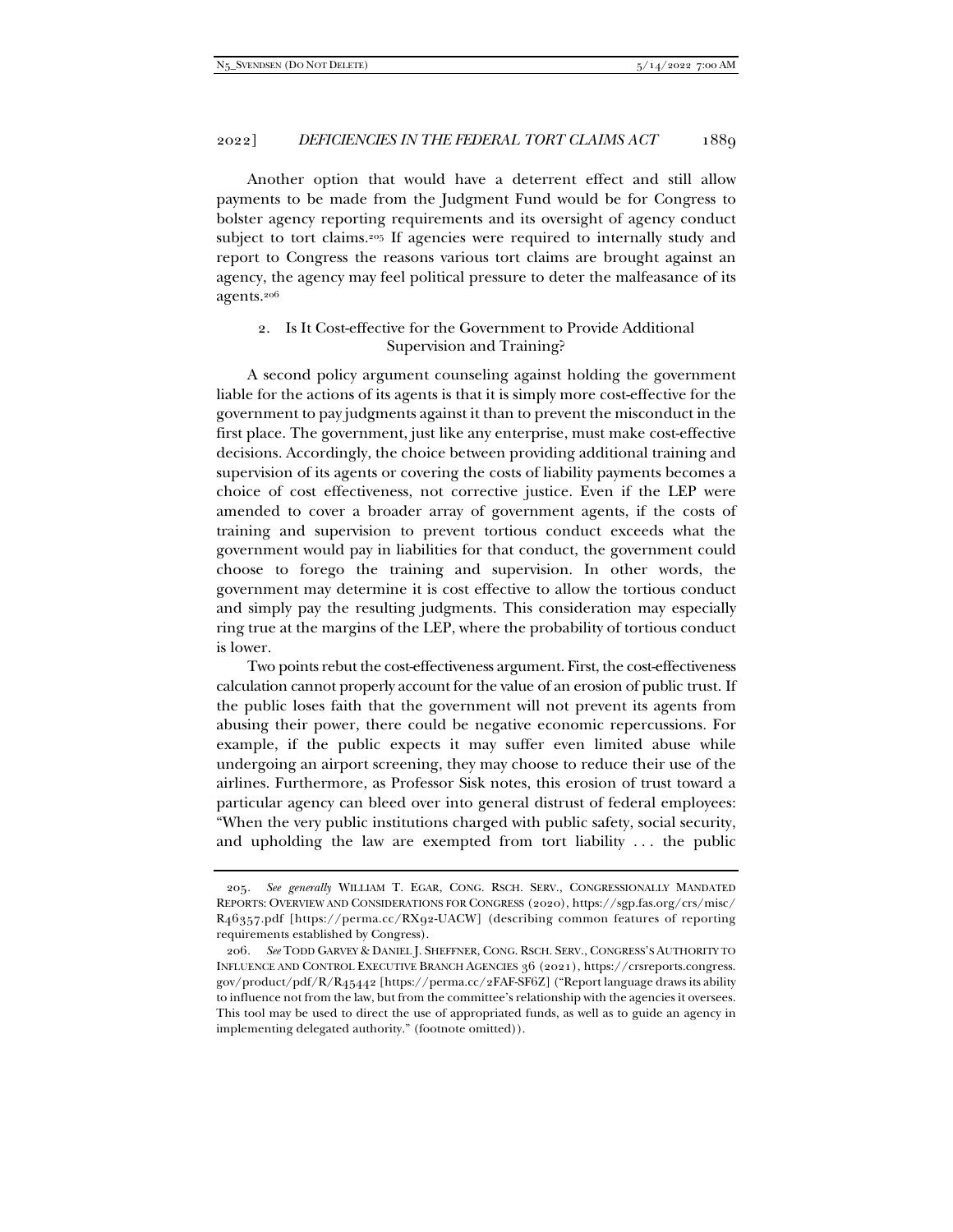Another option that would have a deterrent effect and still allow payments to be made from the Judgment Fund would be for Congress to bolster agency reporting requirements and its oversight of agency conduct subject to tort claims.205 If agencies were required to internally study and report to Congress the reasons various tort claims are brought against an agency, the agency may feel political pressure to deter the malfeasance of its agents.206

# 2. Is It Cost-effective for the Government to Provide Additional Supervision and Training?

A second policy argument counseling against holding the government liable for the actions of its agents is that it is simply more cost-effective for the government to pay judgments against it than to prevent the misconduct in the first place. The government, just like any enterprise, must make cost-effective decisions. Accordingly, the choice between providing additional training and supervision of its agents or covering the costs of liability payments becomes a choice of cost effectiveness, not corrective justice. Even if the LEP were amended to cover a broader array of government agents, if the costs of training and supervision to prevent tortious conduct exceeds what the government would pay in liabilities for that conduct, the government could choose to forego the training and supervision. In other words, the government may determine it is cost effective to allow the tortious conduct and simply pay the resulting judgments. This consideration may especially ring true at the margins of the LEP, where the probability of tortious conduct is lower.

Two points rebut the cost-effectiveness argument. First, the cost-effectiveness calculation cannot properly account for the value of an erosion of public trust. If the public loses faith that the government will not prevent its agents from abusing their power, there could be negative economic repercussions. For example, if the public expects it may suffer even limited abuse while undergoing an airport screening, they may choose to reduce their use of the airlines. Furthermore, as Professor Sisk notes, this erosion of trust toward a particular agency can bleed over into general distrust of federal employees: "When the very public institutions charged with public safety, social security, and upholding the law are exempted from tort liability . . . the public

<sup>205</sup>*. See generally* WILLIAM T. EGAR, CONG. RSCH. SERV., CONGRESSIONALLY MANDATED REPORTS: OVERVIEW AND CONSIDERATIONS FOR CONGRESS (2020), https://sgp.fas.org/crs/misc/ R46357.pdf [https://perma.cc/RX92-UACW] (describing common features of reporting requirements established by Congress).

<sup>206</sup>*. See* TODD GARVEY & DANIEL J. SHEFFNER, CONG. RSCH. SERV., CONGRESS'S AUTHORITY TO INFLUENCE AND CONTROL EXECUTIVE BRANCH AGENCIES 36 (2021), https://crsreports.congress. gov/product/pdf/R/R45442 [https://perma.cc/2FAF-SF6Z] ("Report language draws its ability to influence not from the law, but from the committee's relationship with the agencies it oversees. This tool may be used to direct the use of appropriated funds, as well as to guide an agency in implementing delegated authority." (footnote omitted)).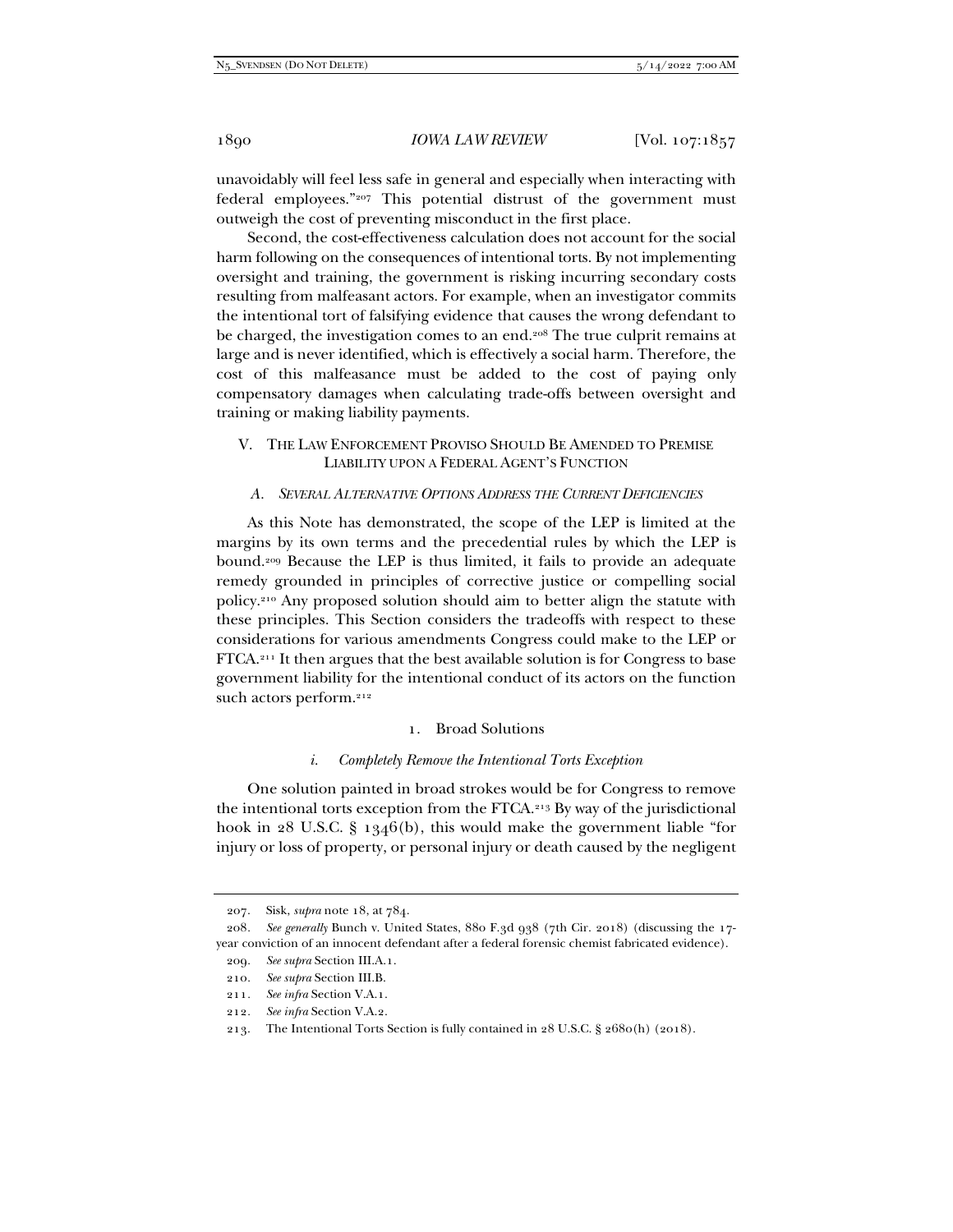unavoidably will feel less safe in general and especially when interacting with federal employees."207 This potential distrust of the government must outweigh the cost of preventing misconduct in the first place.

Second, the cost-effectiveness calculation does not account for the social harm following on the consequences of intentional torts. By not implementing oversight and training, the government is risking incurring secondary costs resulting from malfeasant actors. For example, when an investigator commits the intentional tort of falsifying evidence that causes the wrong defendant to be charged, the investigation comes to an end.<sup>208</sup> The true culprit remains at large and is never identified, which is effectively a social harm. Therefore, the cost of this malfeasance must be added to the cost of paying only compensatory damages when calculating trade-offs between oversight and training or making liability payments.

## V. THE LAW ENFORCEMENT PROVISO SHOULD BE AMENDED TO PREMISE LIABILITY UPON A FEDERAL AGENT'S FUNCTION

## *A. SEVERAL ALTERNATIVE OPTIONS ADDRESS THE CURRENT DEFICIENCIES*

As this Note has demonstrated, the scope of the LEP is limited at the margins by its own terms and the precedential rules by which the LEP is bound.209 Because the LEP is thus limited, it fails to provide an adequate remedy grounded in principles of corrective justice or compelling social policy.210 Any proposed solution should aim to better align the statute with these principles. This Section considers the tradeoffs with respect to these considerations for various amendments Congress could make to the LEP or FTCA.211 It then argues that the best available solution is for Congress to base government liability for the intentional conduct of its actors on the function such actors perform.<sup>212</sup>

## 1. Broad Solutions

#### *i. Completely Remove the Intentional Torts Exception*

One solution painted in broad strokes would be for Congress to remove the intentional torts exception from the FTCA.213 By way of the jurisdictional hook in  $28$  U.S.C. § 1346(b), this would make the government liable "for injury or loss of property, or personal injury or death caused by the negligent

 <sup>207.</sup> Sisk, *supra* note 18, at 784.

<sup>208</sup>*. See generally* Bunch v. United States, 880 F.3d 938 (7th Cir. 2018) (discussing the 17 year conviction of an innocent defendant after a federal forensic chemist fabricated evidence).

<sup>209</sup>*. See supra* Section III.A.1.

<sup>210</sup>*. See supra* Section III.B.

<sup>211</sup>*. See infra* Section V.A.1.

<sup>212</sup>*. See infra* Section V.A.2.

 <sup>213.</sup> The Intentional Torts Section is fully contained in 28 U.S.C. § 2680(h) (2018).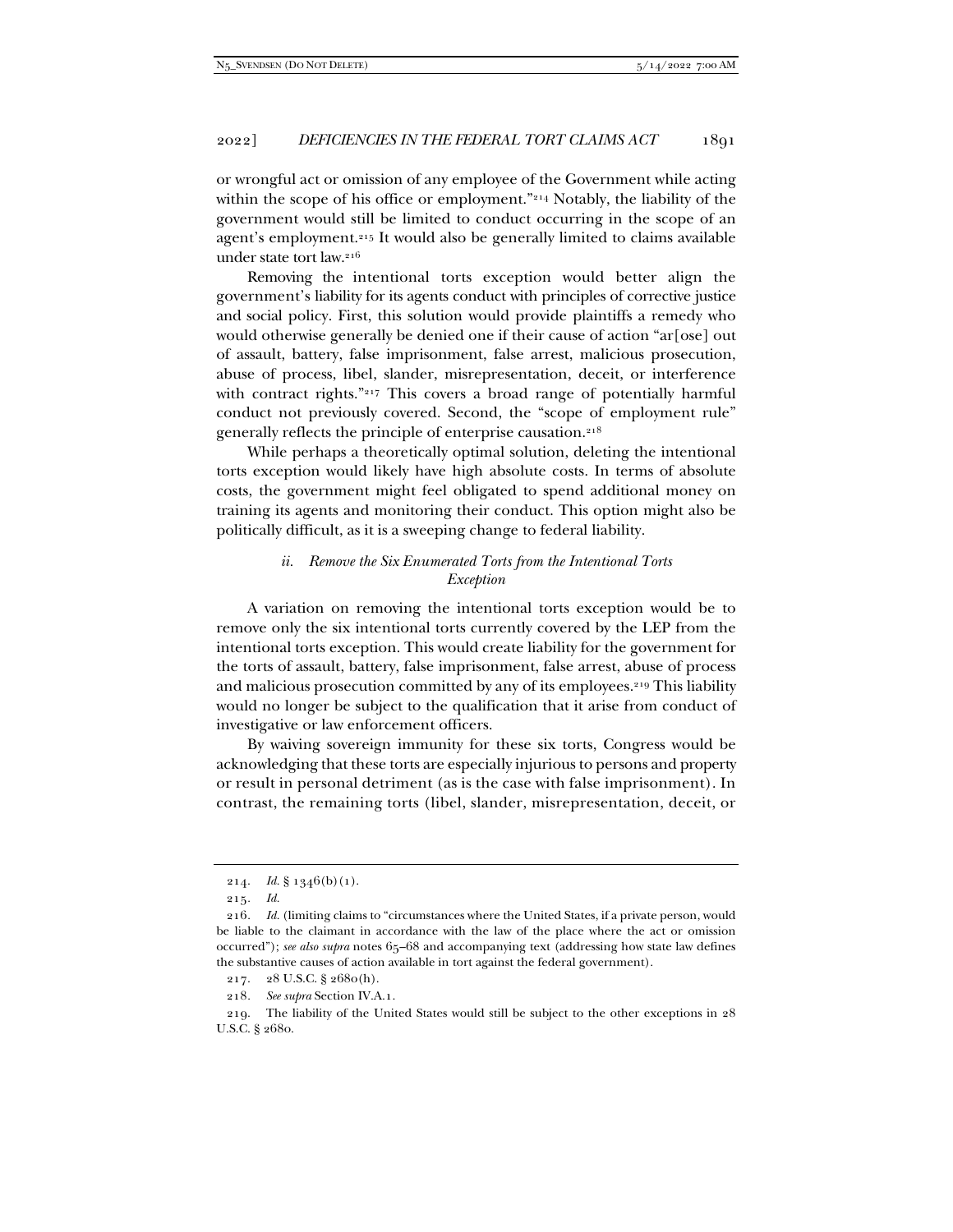or wrongful act or omission of any employee of the Government while acting within the scope of his office or employment."<sup>214</sup> Notably, the liability of the government would still be limited to conduct occurring in the scope of an agent's employment.215 It would also be generally limited to claims available under state tort law.216

Removing the intentional torts exception would better align the government's liability for its agents conduct with principles of corrective justice and social policy. First, this solution would provide plaintiffs a remedy who would otherwise generally be denied one if their cause of action "ar[ose] out of assault, battery, false imprisonment, false arrest, malicious prosecution, abuse of process, libel, slander, misrepresentation, deceit, or interference with contract rights."<sup>217</sup> This covers a broad range of potentially harmful conduct not previously covered. Second, the "scope of employment rule" generally reflects the principle of enterprise causation.218

While perhaps a theoretically optimal solution, deleting the intentional torts exception would likely have high absolute costs. In terms of absolute costs, the government might feel obligated to spend additional money on training its agents and monitoring their conduct. This option might also be politically difficult, as it is a sweeping change to federal liability.

## *ii. Remove the Six Enumerated Torts from the Intentional Torts Exception*

A variation on removing the intentional torts exception would be to remove only the six intentional torts currently covered by the LEP from the intentional torts exception. This would create liability for the government for the torts of assault, battery, false imprisonment, false arrest, abuse of process and malicious prosecution committed by any of its employees.<sup>219</sup> This liability would no longer be subject to the qualification that it arise from conduct of investigative or law enforcement officers.

By waiving sovereign immunity for these six torts, Congress would be acknowledging that these torts are especially injurious to persons and property or result in personal detriment (as is the case with false imprisonment). In contrast, the remaining torts (libel, slander, misrepresentation, deceit, or

<sup>214.</sup> *Id.* § 1346(b)(1).

<sup>215</sup>*. Id.* 

<sup>216</sup>*. Id.* (limiting claims to "circumstances where the United States, if a private person, would be liable to the claimant in accordance with the law of the place where the act or omission occurred"); *see also supra* notes 65–68 and accompanying text (addressing how state law defines the substantive causes of action available in tort against the federal government).

 <sup>217. 28</sup> U.S.C. § 2680(h).

<sup>218</sup>*. See supra* Section IV.A.1.

 <sup>219.</sup> The liability of the United States would still be subject to the other exceptions in 28 U.S.C. § 2680.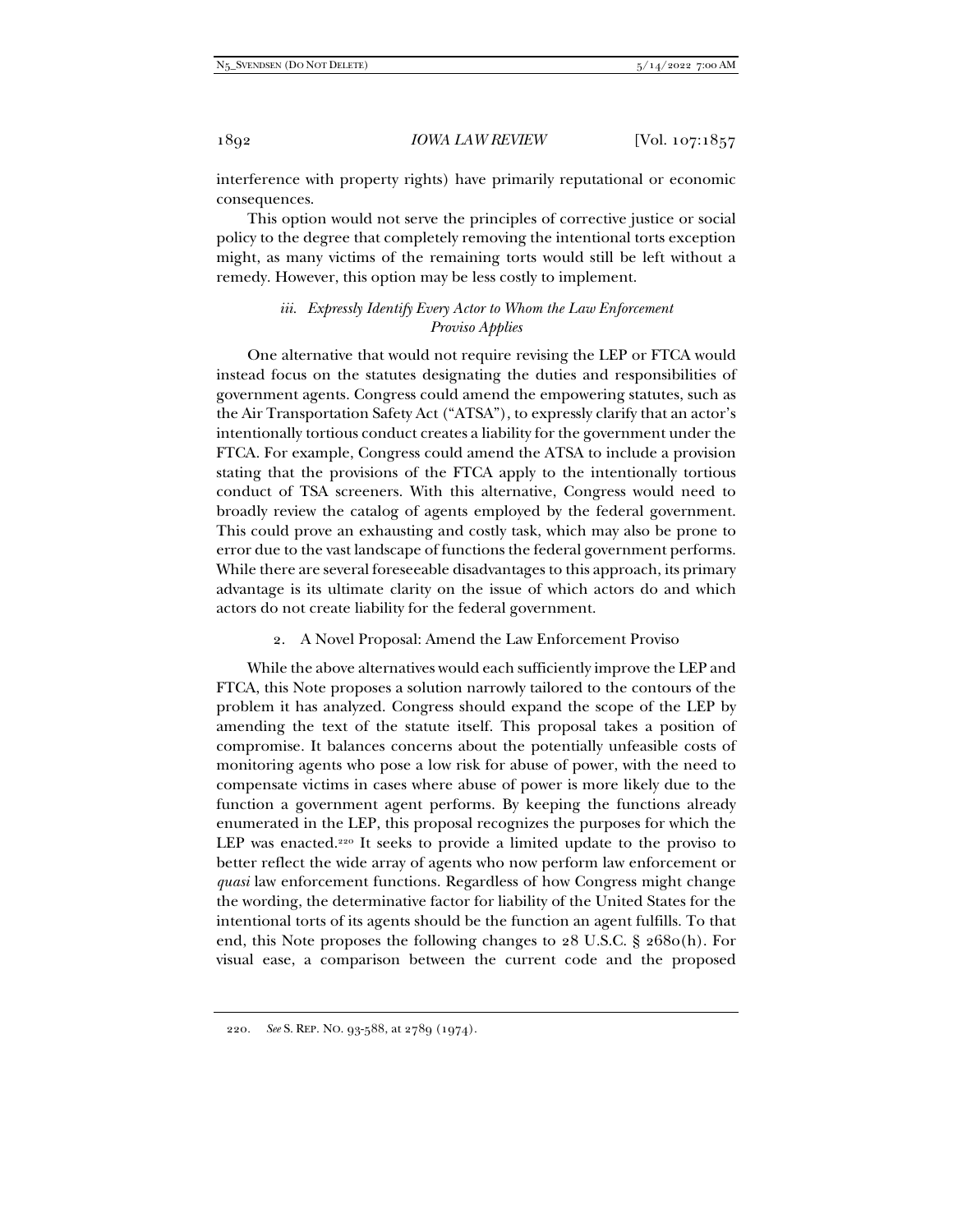interference with property rights) have primarily reputational or economic consequences.

This option would not serve the principles of corrective justice or social policy to the degree that completely removing the intentional torts exception might, as many victims of the remaining torts would still be left without a remedy. However, this option may be less costly to implement.

## *iii. Expressly Identify Every Actor to Whom the Law Enforcement Proviso Applies*

One alternative that would not require revising the LEP or FTCA would instead focus on the statutes designating the duties and responsibilities of government agents. Congress could amend the empowering statutes, such as the Air Transportation Safety Act ("ATSA"), to expressly clarify that an actor's intentionally tortious conduct creates a liability for the government under the FTCA. For example, Congress could amend the ATSA to include a provision stating that the provisions of the FTCA apply to the intentionally tortious conduct of TSA screeners. With this alternative, Congress would need to broadly review the catalog of agents employed by the federal government. This could prove an exhausting and costly task, which may also be prone to error due to the vast landscape of functions the federal government performs. While there are several foreseeable disadvantages to this approach, its primary advantage is its ultimate clarity on the issue of which actors do and which actors do not create liability for the federal government.

2. A Novel Proposal: Amend the Law Enforcement Proviso

While the above alternatives would each sufficiently improve the LEP and FTCA, this Note proposes a solution narrowly tailored to the contours of the problem it has analyzed. Congress should expand the scope of the LEP by amending the text of the statute itself. This proposal takes a position of compromise. It balances concerns about the potentially unfeasible costs of monitoring agents who pose a low risk for abuse of power, with the need to compensate victims in cases where abuse of power is more likely due to the function a government agent performs. By keeping the functions already enumerated in the LEP, this proposal recognizes the purposes for which the LEP was enacted.<sup>220</sup> It seeks to provide a limited update to the proviso to better reflect the wide array of agents who now perform law enforcement or *quasi* law enforcement functions. Regardless of how Congress might change the wording, the determinative factor for liability of the United States for the intentional torts of its agents should be the function an agent fulfills. To that end, this Note proposes the following changes to 28 U.S.C. § 2680(h). For visual ease, a comparison between the current code and the proposed

<sup>220</sup>*. See* S. REP. NO. 93-588, at 2789 (1974).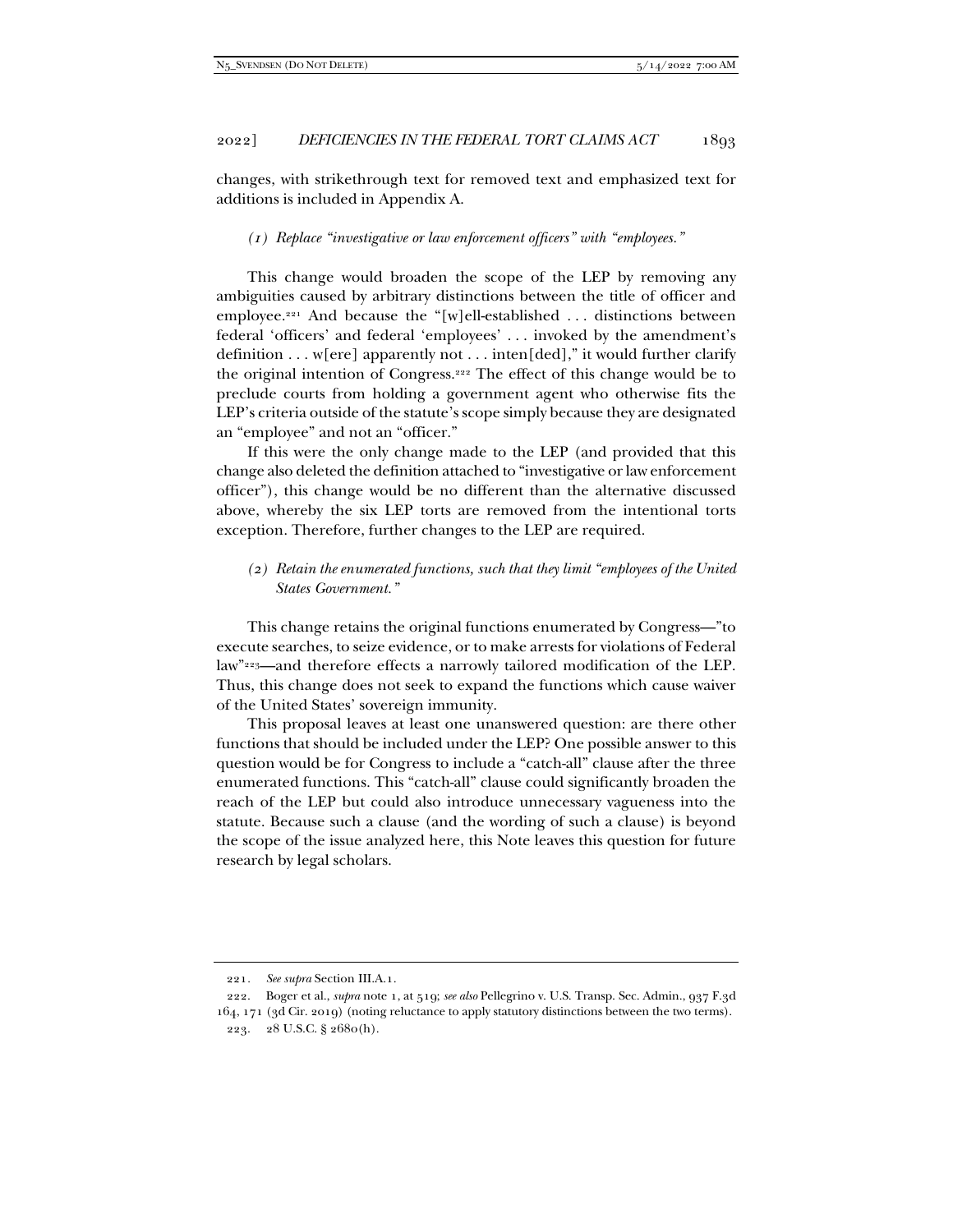changes, with strikethrough text for removed text and emphasized text for additions is included in Appendix A.

# *(1) Replace "investigative or law enforcement officers" with "employees."*

This change would broaden the scope of the LEP by removing any ambiguities caused by arbitrary distinctions between the title of officer and employee.221 And because the "[w]ell-established . . . distinctions between federal 'officers' and federal 'employees' . . . invoked by the amendment's definition  $\dots$  w[ere] apparently not  $\dots$  inten[ded]," it would further clarify the original intention of Congress.222 The effect of this change would be to preclude courts from holding a government agent who otherwise fits the LEP's criteria outside of the statute's scope simply because they are designated an "employee" and not an "officer."

If this were the only change made to the LEP (and provided that this change also deleted the definition attached to "investigative or law enforcement officer"), this change would be no different than the alternative discussed above, whereby the six LEP torts are removed from the intentional torts exception. Therefore, further changes to the LEP are required.

## *(2) Retain the enumerated functions, such that they limit "employees of the United States Government."*

This change retains the original functions enumerated by Congress—"to execute searches, to seize evidence, or to make arrests for violations of Federal law"223—and therefore effects a narrowly tailored modification of the LEP. Thus, this change does not seek to expand the functions which cause waiver of the United States' sovereign immunity.

This proposal leaves at least one unanswered question: are there other functions that should be included under the LEP? One possible answer to this question would be for Congress to include a "catch-all" clause after the three enumerated functions. This "catch-all" clause could significantly broaden the reach of the LEP but could also introduce unnecessary vagueness into the statute. Because such a clause (and the wording of such a clause) is beyond the scope of the issue analyzed here, this Note leaves this question for future research by legal scholars.

<sup>221</sup>*. See supra* Section III.A.1.

 <sup>222.</sup> Boger et al., *supra* note 1, at 519; *see also* Pellegrino v. U.S. Transp. Sec. Admin., 937 F.3d 164, 171 (3d Cir. 2019) (noting reluctance to apply statutory distinctions between the two terms). 223. 28 U.S.C. § 2680(h).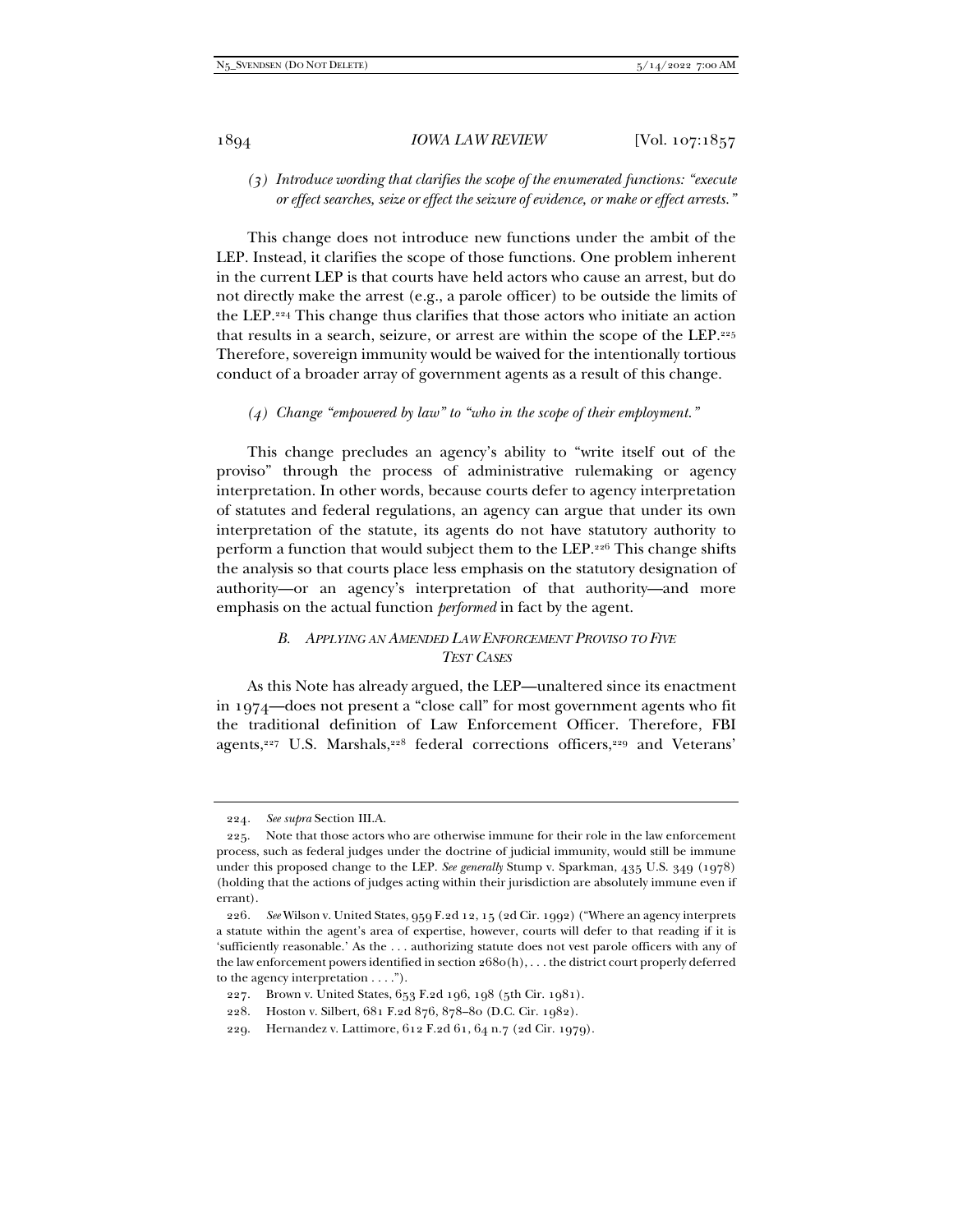*(3) Introduce wording that clarifies the scope of the enumerated functions: "execute or effect searches, seize or effect the seizure of evidence, or make or effect arrests."* 

This change does not introduce new functions under the ambit of the LEP. Instead, it clarifies the scope of those functions. One problem inherent in the current LEP is that courts have held actors who cause an arrest, but do not directly make the arrest (e.g., a parole officer) to be outside the limits of the LEP.224 This change thus clarifies that those actors who initiate an action that results in a search, seizure, or arrest are within the scope of the LEP.225 Therefore, sovereign immunity would be waived for the intentionally tortious conduct of a broader array of government agents as a result of this change.

#### *(4) Change "empowered by law" to "who in the scope of their employment."*

This change precludes an agency's ability to "write itself out of the proviso" through the process of administrative rulemaking or agency interpretation. In other words, because courts defer to agency interpretation of statutes and federal regulations, an agency can argue that under its own interpretation of the statute, its agents do not have statutory authority to perform a function that would subject them to the LEP.226 This change shifts the analysis so that courts place less emphasis on the statutory designation of authority—or an agency's interpretation of that authority—and more emphasis on the actual function *performed* in fact by the agent.

# *B. APPLYING AN AMENDED LAW ENFORCEMENT PROVISO TO FIVE TEST CASES*

As this Note has already argued, the LEP—unaltered since its enactment in 1974—does not present a "close call" for most government agents who fit the traditional definition of Law Enforcement Officer. Therefore, FBI agents,<sup>227</sup> U.S. Marshals,<sup>228</sup> federal corrections officers,<sup>229</sup> and Veterans'

<sup>224</sup>*. See supra* Section III.A.

 <sup>225.</sup> Note that those actors who are otherwise immune for their role in the law enforcement process, such as federal judges under the doctrine of judicial immunity, would still be immune under this proposed change to the LEP. *See generally* Stump v. Sparkman, 435 U.S. 349 (1978) (holding that the actions of judges acting within their jurisdiction are absolutely immune even if errant).

<sup>226</sup>*. See* Wilson v. United States, 959 F.2d 12, 15 (2d Cir. 1992) ("Where an agency interprets a statute within the agent's area of expertise, however, courts will defer to that reading if it is 'sufficiently reasonable.' As the . . . authorizing statute does not vest parole officers with any of the law enforcement powers identified in section 2680(h), . . . the district court properly deferred to the agency interpretation . . . .").

 <sup>227.</sup> Brown v. United States, 653 F.2d 196, 198 (5th Cir. 1981).

 <sup>228.</sup> Hoston v. Silbert, 681 F.2d 876, 878–80 (D.C. Cir. 1982).

 <sup>229.</sup> Hernandez v. Lattimore, 612 F.2d 61, 64 n.7 (2d Cir. 1979).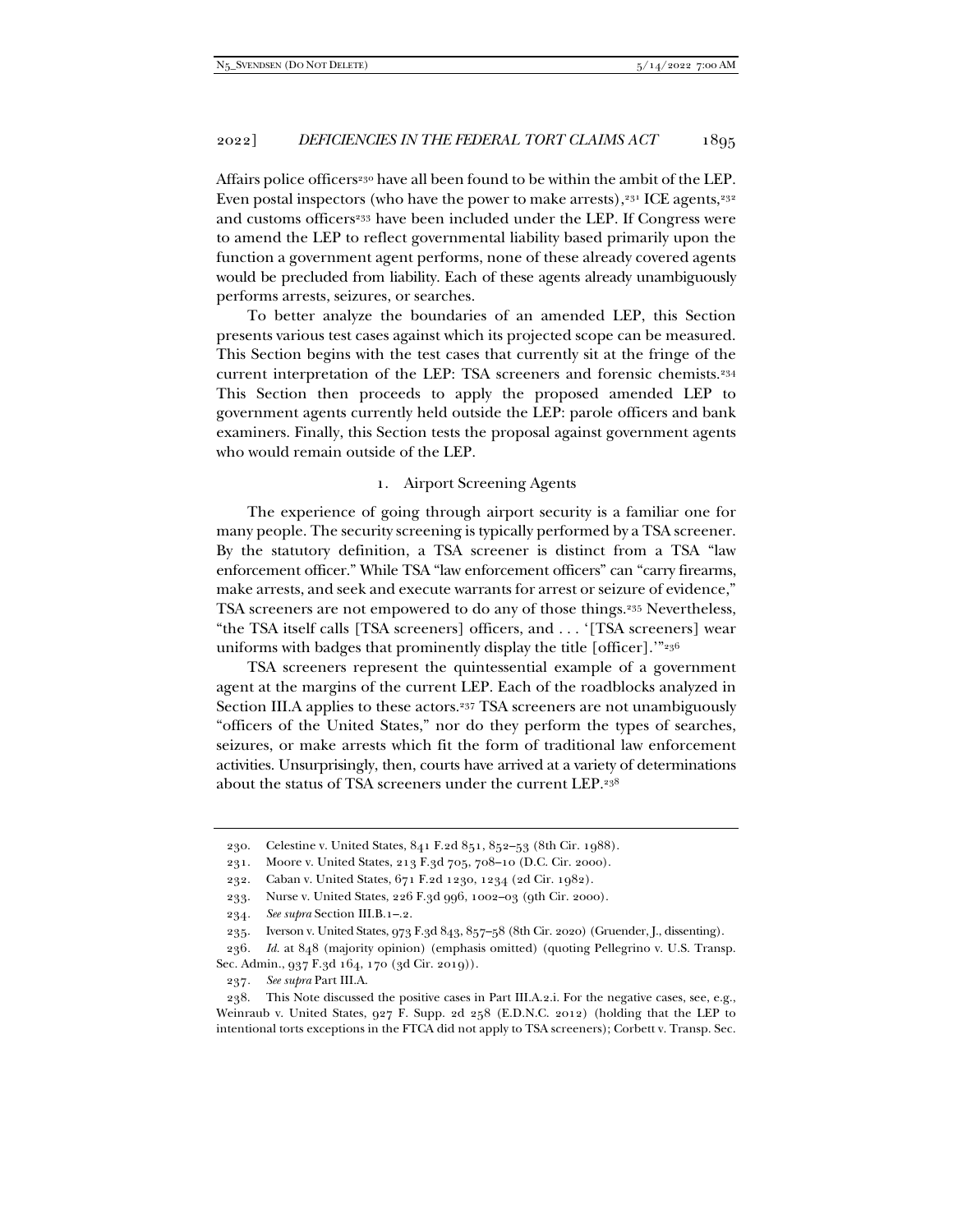Affairs police officers<sup>230</sup> have all been found to be within the ambit of the LEP. Even postal inspectors (who have the power to make arrests), $231$  ICE agents, $232$ and customs officers<sup>233</sup> have been included under the LEP. If Congress were to amend the LEP to reflect governmental liability based primarily upon the function a government agent performs, none of these already covered agents would be precluded from liability. Each of these agents already unambiguously performs arrests, seizures, or searches.

To better analyze the boundaries of an amended LEP, this Section presents various test cases against which its projected scope can be measured. This Section begins with the test cases that currently sit at the fringe of the current interpretation of the LEP: TSA screeners and forensic chemists.234 This Section then proceeds to apply the proposed amended LEP to government agents currently held outside the LEP: parole officers and bank examiners. Finally, this Section tests the proposal against government agents who would remain outside of the LEP.

#### 1. Airport Screening Agents

The experience of going through airport security is a familiar one for many people. The security screening is typically performed by a TSA screener. By the statutory definition, a TSA screener is distinct from a TSA "law enforcement officer." While TSA "law enforcement officers" can "carry firearms, make arrests, and seek and execute warrants for arrest or seizure of evidence," TSA screeners are not empowered to do any of those things.235 Nevertheless, "the TSA itself calls [TSA screeners] officers, and . . . '[TSA screeners] wear uniforms with badges that prominently display the title [officer]."<sup>236</sup>

TSA screeners represent the quintessential example of a government agent at the margins of the current LEP. Each of the roadblocks analyzed in Section III.A applies to these actors.<sup>237</sup> TSA screeners are not unambiguously "officers of the United States," nor do they perform the types of searches, seizures, or make arrests which fit the form of traditional law enforcement activities. Unsurprisingly, then, courts have arrived at a variety of determinations about the status of TSA screeners under the current LEP.238

237*. See supra* Part III.A.

 <sup>230.</sup> Celestine v. United States, 841 F.2d 851, 852–53 (8th Cir. 1988).

 <sup>231.</sup> Moore v. United States, 213 F.3d 705, 708–10 (D.C. Cir. 2000).

 <sup>232.</sup> Caban v. United States, 671 F.2d 1230, 1234 (2d Cir. 1982).

 <sup>233.</sup> Nurse v. United States, 226 F.3d 996, 1002–03 (9th Cir. 2000).

<sup>234</sup>*. See supra* Section III.B.1–.2.

 <sup>235.</sup> Iverson v. United States, 973 F.3d 843, 857–58 (8th Cir. 2020) (Gruender, J., dissenting).

<sup>236</sup>*. Id.* at 848 (majority opinion) (emphasis omitted) (quoting Pellegrino v. U.S. Transp. Sec. Admin., 937 F.3d 164, 170 (3d Cir. 2019)).

 <sup>238.</sup> This Note discussed the positive cases in Part III.A.2.i. For the negative cases, see, e.g., Weinraub v. United States, 927 F. Supp. 2d 258 (E.D.N.C. 2012) (holding that the LEP to intentional torts exceptions in the FTCA did not apply to TSA screeners); Corbett v. Transp. Sec.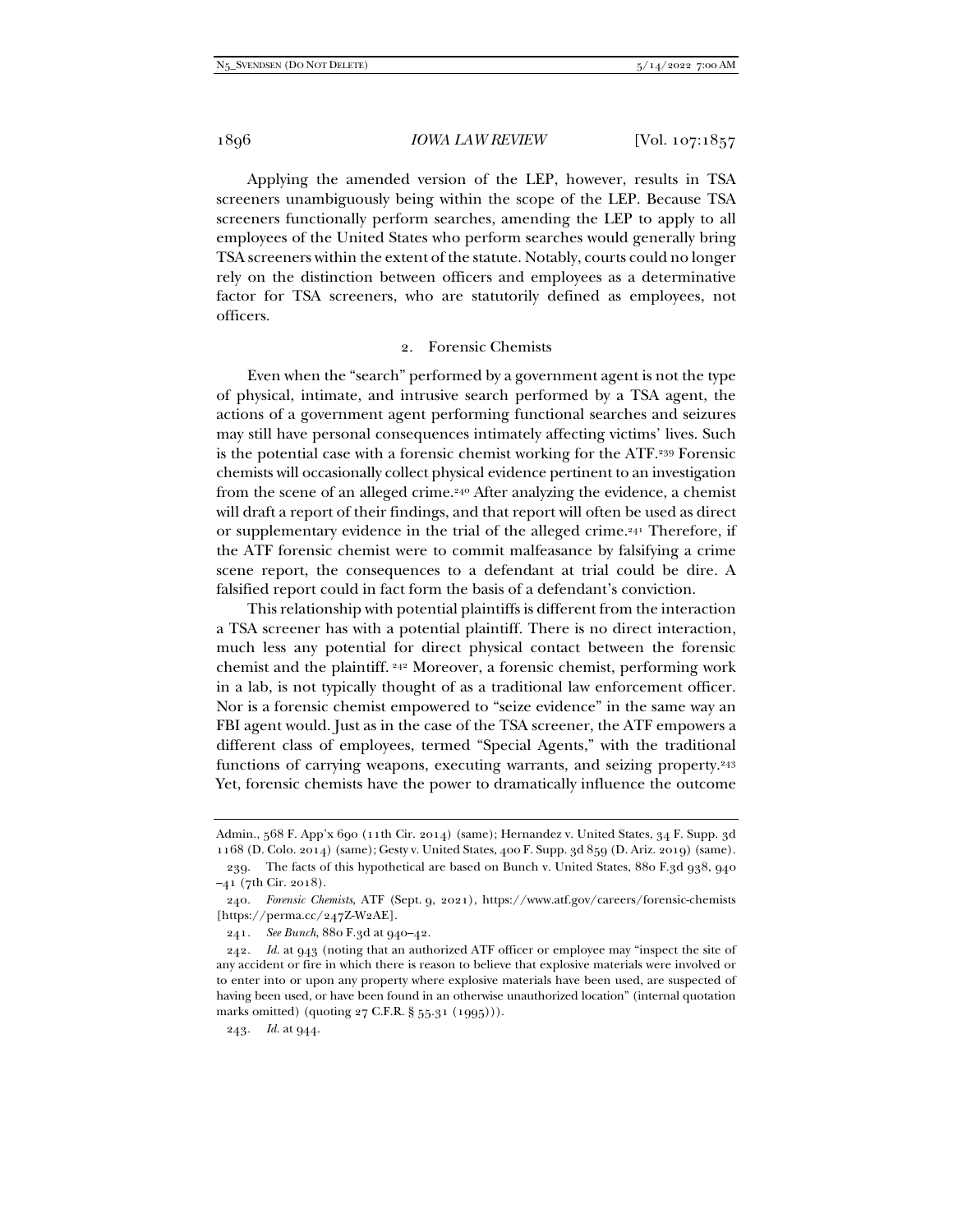Applying the amended version of the LEP, however, results in TSA screeners unambiguously being within the scope of the LEP. Because TSA screeners functionally perform searches, amending the LEP to apply to all employees of the United States who perform searches would generally bring TSA screeners within the extent of the statute. Notably, courts could no longer rely on the distinction between officers and employees as a determinative factor for TSA screeners, who are statutorily defined as employees, not officers.

#### 2. Forensic Chemists

Even when the "search" performed by a government agent is not the type of physical, intimate, and intrusive search performed by a TSA agent, the actions of a government agent performing functional searches and seizures may still have personal consequences intimately affecting victims' lives. Such is the potential case with a forensic chemist working for the ATF.239 Forensic chemists will occasionally collect physical evidence pertinent to an investigation from the scene of an alleged crime.240 After analyzing the evidence, a chemist will draft a report of their findings, and that report will often be used as direct or supplementary evidence in the trial of the alleged crime.<sup>241</sup> Therefore, if the ATF forensic chemist were to commit malfeasance by falsifying a crime scene report, the consequences to a defendant at trial could be dire. A falsified report could in fact form the basis of a defendant's conviction.

This relationship with potential plaintiffs is different from the interaction a TSA screener has with a potential plaintiff. There is no direct interaction, much less any potential for direct physical contact between the forensic chemist and the plaintiff. 242 Moreover, a forensic chemist, performing work in a lab, is not typically thought of as a traditional law enforcement officer. Nor is a forensic chemist empowered to "seize evidence" in the same way an FBI agent would. Just as in the case of the TSA screener, the ATF empowers a different class of employees, termed "Special Agents," with the traditional functions of carrying weapons, executing warrants, and seizing property.<sup>243</sup> Yet, forensic chemists have the power to dramatically influence the outcome

241*. See Bunch*, 880 F.3d at 940–42.

243*. Id.* at 944.

Admin., 568 F. App'x 690 (11th Cir. 2014) (same); Hernandez v. United States, 34 F. Supp. 3d 1168 (D. Colo. 2014) (same); Gesty v. United States, 400 F. Supp. 3d 859 (D. Ariz. 2019) (same).

 <sup>239.</sup> The facts of this hypothetical are based on Bunch v. United States, 880 F.3d 938, 940 –41 (7th Cir. 2018).

<sup>240</sup>*. Forensic Chemists*, ATF (Sept. 9, 2021), https://www.atf.gov/careers/forensic-chemists  $[https://perma.cc/247Z-W2AE].$ 

<sup>242</sup>*. Id.* at 943 (noting that an authorized ATF officer or employee may "inspect the site of any accident or fire in which there is reason to believe that explosive materials were involved or to enter into or upon any property where explosive materials have been used, are suspected of having been used, or have been found in an otherwise unauthorized location" (internal quotation marks omitted) (quoting 27 C.F.R. § 55.31 (1995))).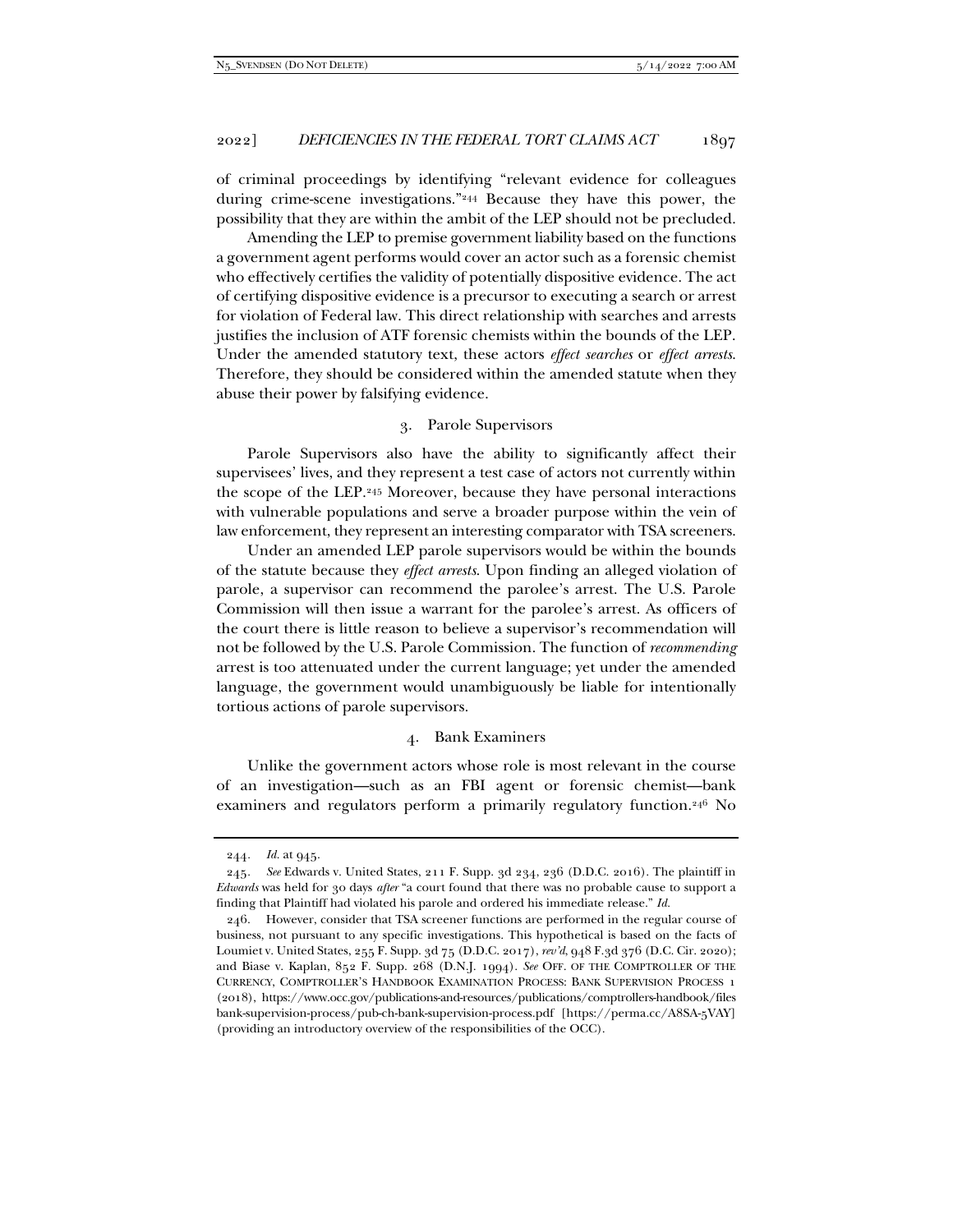of criminal proceedings by identifying "relevant evidence for colleagues during crime-scene investigations."244 Because they have this power, the possibility that they are within the ambit of the LEP should not be precluded.

Amending the LEP to premise government liability based on the functions a government agent performs would cover an actor such as a forensic chemist who effectively certifies the validity of potentially dispositive evidence. The act of certifying dispositive evidence is a precursor to executing a search or arrest for violation of Federal law. This direct relationship with searches and arrests justifies the inclusion of ATF forensic chemists within the bounds of the LEP. Under the amended statutory text, these actors *effect searches* or *effect arrests*. Therefore, they should be considered within the amended statute when they abuse their power by falsifying evidence.

### 3. Parole Supervisors

Parole Supervisors also have the ability to significantly affect their supervisees' lives, and they represent a test case of actors not currently within the scope of the LEP.245 Moreover, because they have personal interactions with vulnerable populations and serve a broader purpose within the vein of law enforcement, they represent an interesting comparator with TSA screeners.

Under an amended LEP parole supervisors would be within the bounds of the statute because they *effect arrests*. Upon finding an alleged violation of parole, a supervisor can recommend the parolee's arrest. The U.S. Parole Commission will then issue a warrant for the parolee's arrest. As officers of the court there is little reason to believe a supervisor's recommendation will not be followed by the U.S. Parole Commission. The function of *recommending* arrest is too attenuated under the current language; yet under the amended language, the government would unambiguously be liable for intentionally tortious actions of parole supervisors.

#### 4. Bank Examiners

Unlike the government actors whose role is most relevant in the course of an investigation—such as an FBI agent or forensic chemist—bank examiners and regulators perform a primarily regulatory function.<sup>246</sup> No

<sup>244</sup>*. Id.* at 945.

<sup>245</sup>*. See* Edwards v. United States, 211 F. Supp. 3d 234, 236 (D.D.C. 2016). The plaintiff in *Edwards* was held for 30 days *after* "a court found that there was no probable cause to support a finding that Plaintiff had violated his parole and ordered his immediate release." *Id.*

 <sup>246.</sup> However, consider that TSA screener functions are performed in the regular course of business, not pursuant to any specific investigations. This hypothetical is based on the facts of Loumiet v. United States, 255 F. Supp. 3d 75 (D.D.C. 2017), *rev'd*, 948 F.3d 376 (D.C. Cir. 2020); and Biase v. Kaplan, 852 F. Supp. 268 (D.N.J. 1994). *See* OFF. OF THE COMPTROLLER OF THE CURRENCY, COMPTROLLER'S HANDBOOK EXAMINATION PROCESS: BANK SUPERVISION PROCESS 1 (2018), https://www.occ.gov/publications-and-resources/publications/comptrollers-handbook/files bank-supervision-process/pub-ch-bank-supervision-process.pdf [https://perma.cc/A8SA-5VAY] (providing an introductory overview of the responsibilities of the OCC).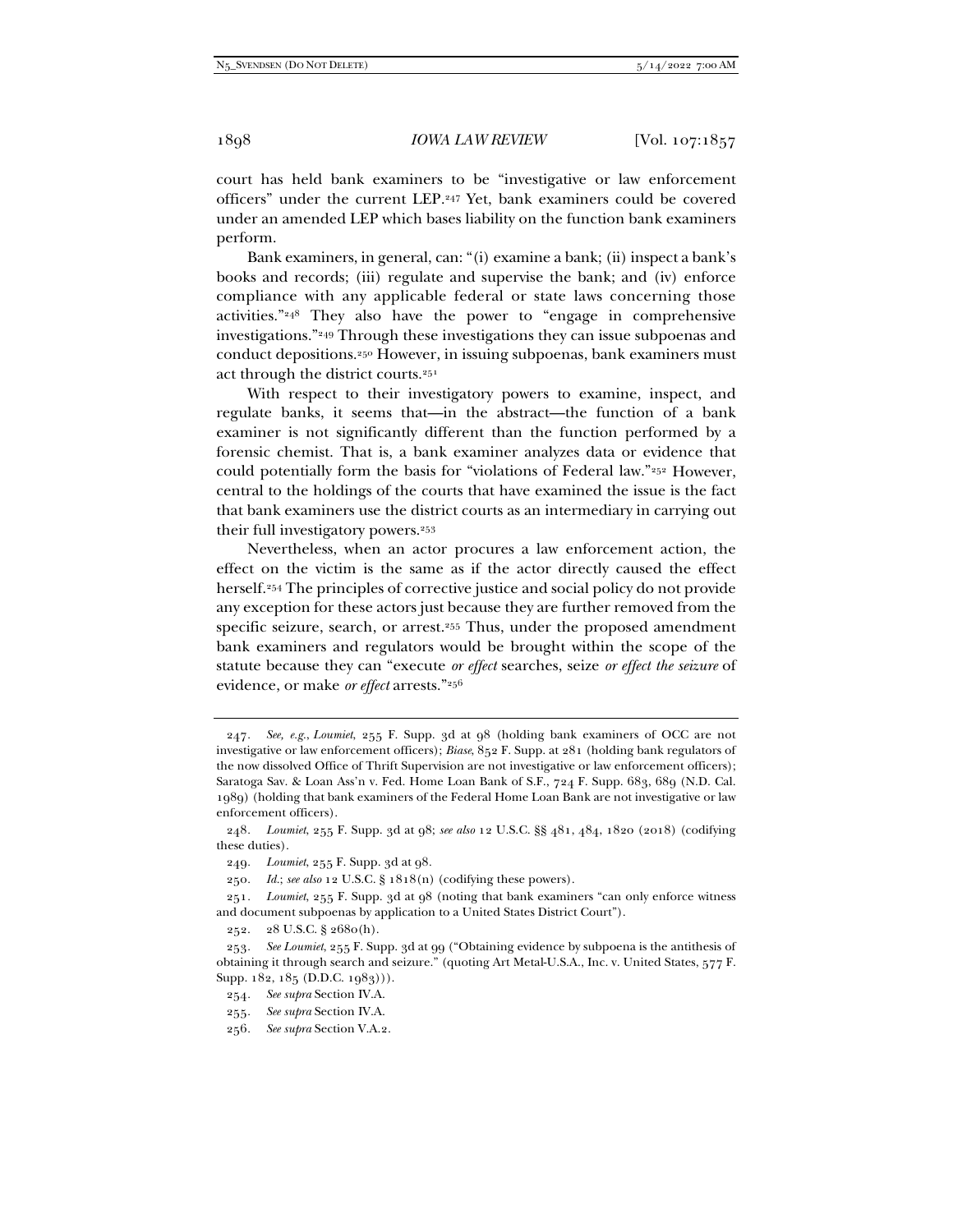court has held bank examiners to be "investigative or law enforcement officers" under the current LEP.247 Yet, bank examiners could be covered under an amended LEP which bases liability on the function bank examiners perform.

Bank examiners, in general, can: "(i) examine a bank; (ii) inspect a bank's books and records; (iii) regulate and supervise the bank; and (iv) enforce compliance with any applicable federal or state laws concerning those activities."248 They also have the power to "engage in comprehensive investigations."249 Through these investigations they can issue subpoenas and conduct depositions.250 However, in issuing subpoenas, bank examiners must act through the district courts.251

With respect to their investigatory powers to examine, inspect, and regulate banks, it seems that—in the abstract—the function of a bank examiner is not significantly different than the function performed by a forensic chemist. That is, a bank examiner analyzes data or evidence that could potentially form the basis for "violations of Federal law."252 However, central to the holdings of the courts that have examined the issue is the fact that bank examiners use the district courts as an intermediary in carrying out their full investigatory powers.253

Nevertheless, when an actor procures a law enforcement action, the effect on the victim is the same as if the actor directly caused the effect herself.254 The principles of corrective justice and social policy do not provide any exception for these actors just because they are further removed from the specific seizure, search, or arrest.255 Thus, under the proposed amendment bank examiners and regulators would be brought within the scope of the statute because they can "execute *or effect* searches, seize *or effect the seizure* of evidence, or make *or effect* arrests."256

<sup>247</sup>*. See, e.g.*, *Loumiet*, 255 F. Supp. 3d at 98 (holding bank examiners of OCC are not investigative or law enforcement officers); *Biase*, 852 F. Supp. at 281 (holding bank regulators of the now dissolved Office of Thrift Supervision are not investigative or law enforcement officers); Saratoga Sav. & Loan Ass'n v. Fed. Home Loan Bank of S.F., 724 F. Supp. 683, 689 (N.D. Cal. 1989) (holding that bank examiners of the Federal Home Loan Bank are not investigative or law enforcement officers).

<sup>248</sup>*. Loumiet*, 255 F. Supp. 3d at 98; *see also* 12 U.S.C. §§ 481, 484, 1820 (2018) (codifying these duties).

<sup>249</sup>*. Loumiet*, 255 F. Supp. 3d at 98*.*

<sup>250</sup>*. Id.*; *see also* 12 U.S.C. § 1818(n) (codifying these powers).

<sup>251</sup>*. Loumiet*, 255 F. Supp. 3d at 98 (noting that bank examiners "can only enforce witness and document subpoenas by application to a United States District Court").

 <sup>252. 28</sup> U.S.C. § 2680(h).

<sup>253</sup>*. See Loumiet*, 255 F. Supp. 3d at 99 ("Obtaining evidence by subpoena is the antithesis of obtaining it through search and seizure." (quoting Art Metal-U.S.A., Inc. v. United States, 577 F. Supp. 182, 185 (D.D.C. 1983))).

<sup>254</sup>*. See supra* Section IV.A.

<sup>255</sup>*. See supra* Section IV.A.

<sup>256</sup>*. See supra* Section V.A.2.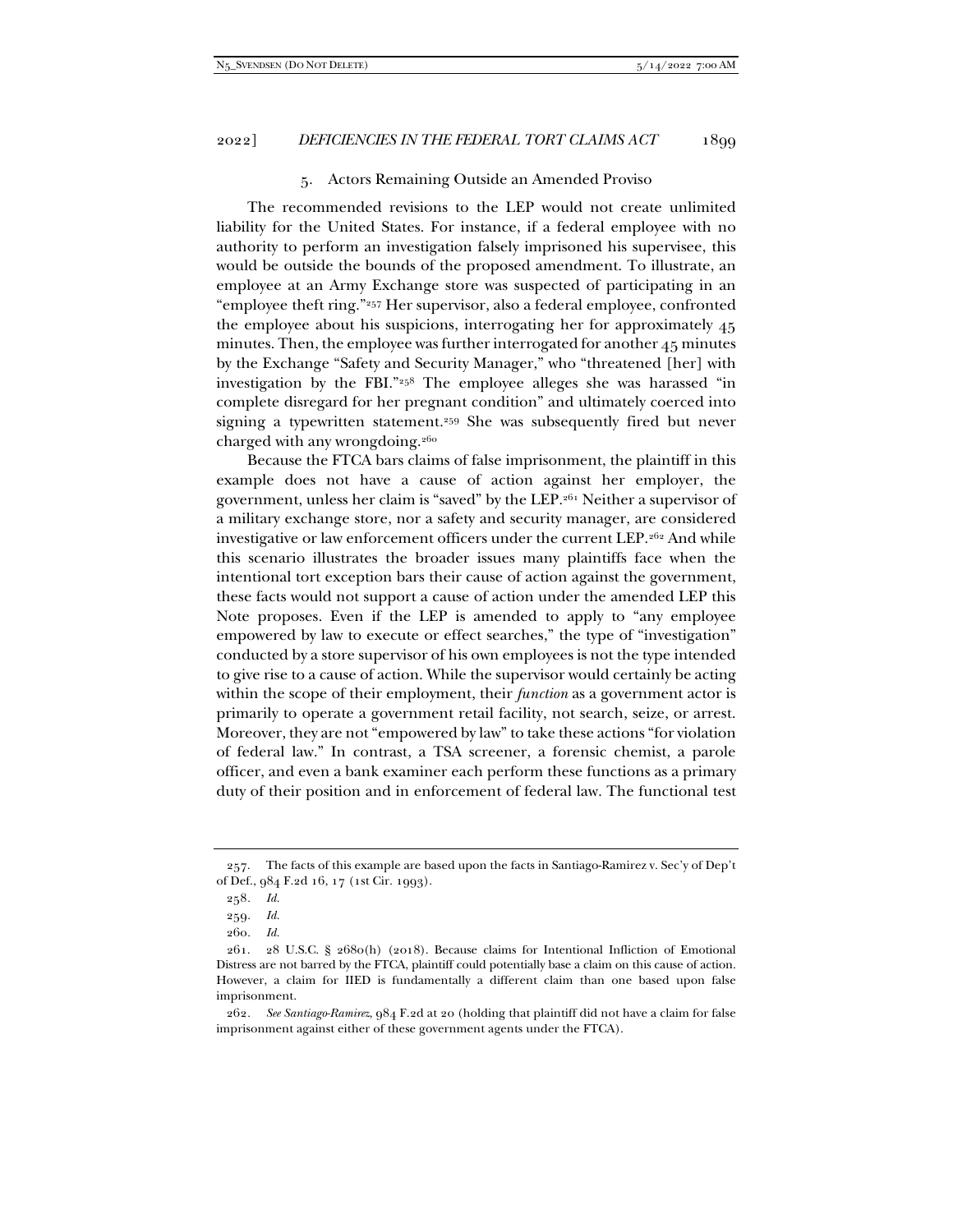#### 5. Actors Remaining Outside an Amended Proviso

The recommended revisions to the LEP would not create unlimited liability for the United States. For instance, if a federal employee with no authority to perform an investigation falsely imprisoned his supervisee, this would be outside the bounds of the proposed amendment. To illustrate, an employee at an Army Exchange store was suspected of participating in an "employee theft ring."257 Her supervisor, also a federal employee, confronted the employee about his suspicions, interrogating her for approximately 45 minutes. Then, the employee was further interrogated for another 45 minutes by the Exchange "Safety and Security Manager," who "threatened [her] with investigation by the FBI."258 The employee alleges she was harassed "in complete disregard for her pregnant condition" and ultimately coerced into signing a typewritten statement.259 She was subsequently fired but never charged with any wrongdoing.<sup>260</sup>

Because the FTCA bars claims of false imprisonment, the plaintiff in this example does not have a cause of action against her employer, the government, unless her claim is "saved" by the LEP.261 Neither a supervisor of a military exchange store, nor a safety and security manager, are considered investigative or law enforcement officers under the current LEP.<sup>262</sup> And while this scenario illustrates the broader issues many plaintiffs face when the intentional tort exception bars their cause of action against the government, these facts would not support a cause of action under the amended LEP this Note proposes. Even if the LEP is amended to apply to "any employee empowered by law to execute or effect searches," the type of "investigation" conducted by a store supervisor of his own employees is not the type intended to give rise to a cause of action. While the supervisor would certainly be acting within the scope of their employment, their *function* as a government actor is primarily to operate a government retail facility, not search, seize, or arrest. Moreover, they are not "empowered by law" to take these actions "for violation of federal law." In contrast, a TSA screener, a forensic chemist, a parole officer, and even a bank examiner each perform these functions as a primary duty of their position and in enforcement of federal law. The functional test

 <sup>257.</sup> The facts of this example are based upon the facts in Santiago-Ramirez v. Sec'y of Dep't of Def., 984 F.2d 16, 17 (1st Cir. 1993).

<sup>258</sup>*. Id.*

<sup>259</sup>*. Id.*

<sup>260</sup>*. Id.*

 <sup>261. 28</sup> U.S.C. § 2680(h) (2018). Because claims for Intentional Infliction of Emotional Distress are not barred by the FTCA, plaintiff could potentially base a claim on this cause of action. However, a claim for IIED is fundamentally a different claim than one based upon false imprisonment.

<sup>262</sup>*. See Santiago-Ramirez*, 984 F.2d at 20 (holding that plaintiff did not have a claim for false imprisonment against either of these government agents under the FTCA).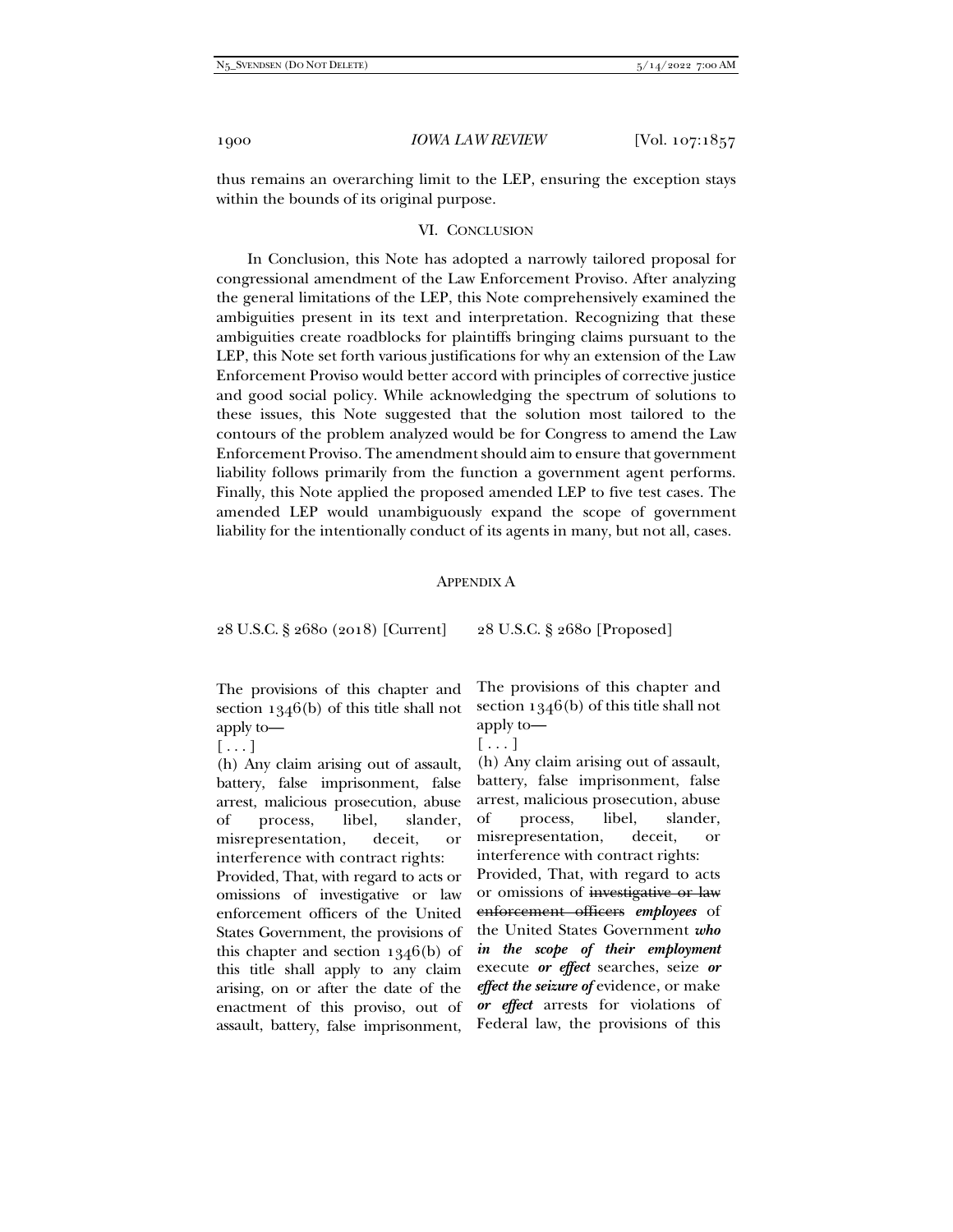thus remains an overarching limit to the LEP, ensuring the exception stays within the bounds of its original purpose.

#### VI. CONCLUSION

In Conclusion, this Note has adopted a narrowly tailored proposal for congressional amendment of the Law Enforcement Proviso. After analyzing the general limitations of the LEP, this Note comprehensively examined the ambiguities present in its text and interpretation. Recognizing that these ambiguities create roadblocks for plaintiffs bringing claims pursuant to the LEP, this Note set forth various justifications for why an extension of the Law Enforcement Proviso would better accord with principles of corrective justice and good social policy. While acknowledging the spectrum of solutions to these issues, this Note suggested that the solution most tailored to the contours of the problem analyzed would be for Congress to amend the Law Enforcement Proviso. The amendment should aim to ensure that government liability follows primarily from the function a government agent performs. Finally, this Note applied the proposed amended LEP to five test cases. The amended LEP would unambiguously expand the scope of government liability for the intentionally conduct of its agents in many, but not all, cases.

#### APPENDIX A

28 U.S.C. § 2680 (2018) [Current] 28 U.S.C. § 2680 [Proposed]

The provisions of this chapter and section 1346(b) of this title shall not apply to—

 $[\ldots]$ 

(h) Any claim arising out of assault, battery, false imprisonment, false arrest, malicious prosecution, abuse of process, libel, slander, misrepresentation, deceit, or interference with contract rights:

Provided, That, with regard to acts or omissions of investigative or law enforcement officers of the United States Government, the provisions of this chapter and section 1346(b) of this title shall apply to any claim arising, on or after the date of the enactment of this proviso, out of assault, battery, false imprisonment,

The provisions of this chapter and section 1346(b) of this title shall not apply to—

 $[\ldots]$ 

(h) Any claim arising out of assault, battery, false imprisonment, false arrest, malicious prosecution, abuse of process, libel, slander, misrepresentation, deceit, or interference with contract rights:

Provided, That, with regard to acts or omissions of investigative or law enforcement officers *employees* of the United States Government *who in the scope of their employment* execute *or effect* searches, seize *or effect the seizure of* evidence, or make *or effect* arrests for violations of Federal law, the provisions of this